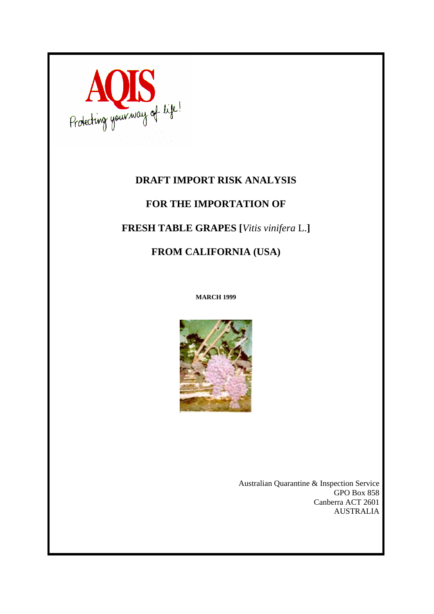

# **DRAFT IMPORT RISK ANALYSIS**

# **FOR THE IMPORTATION OF**

## **FRESH TABLE GRAPES [***Vitis vinifera* L.**]**

# **FROM CALIFORNIA (USA)**

**MARCH 1999** 



Australian Quarantine & Inspection Service GPO Box 858 Canberra ACT 2601 AUSTRALIA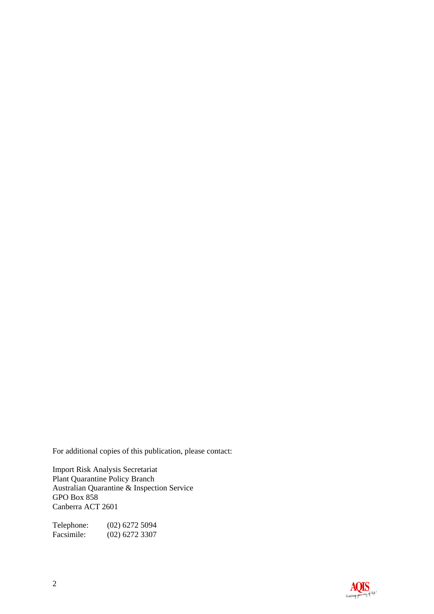For additional copies of this publication, please contact:

Import Risk Analysis Secretariat Plant Quarantine Policy Branch Australian Quarantine & Inspection Service GPO Box 858 Canberra ACT 2601

Telephone: (02) 6272 5094<br>Facsimile: (02) 6272 3307 Facsimile: (02) 6272 3307

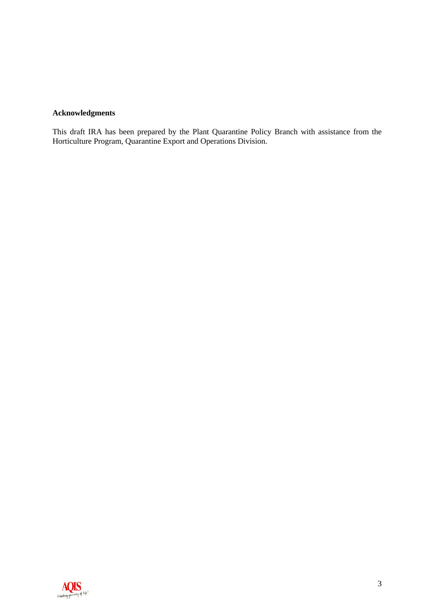### **Acknowledgments**

This draft IRA has been prepared by the Plant Quarantine Policy Branch with assistance from the Horticulture Program, Quarantine Export and Operations Division.

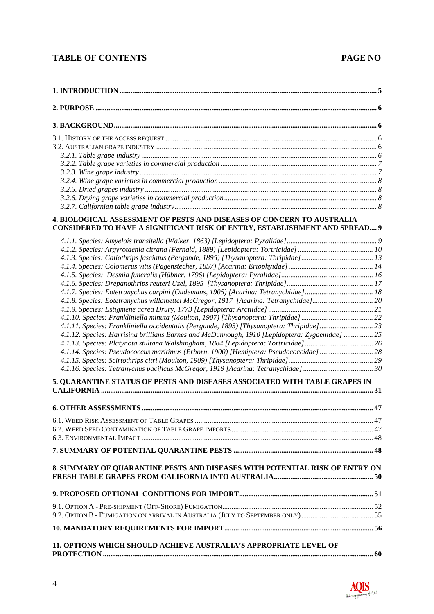### **TABLE OF CONTENTS** PAGE NO

| 4. BIOLOGICAL ASSESSMENT OF PESTS AND DISEASES OF CONCERN TO AUSTRALIA<br>CONSIDERED TO HAVE A SIGNIFICANT RISK OF ENTRY, ESTABLISHMENT AND SPREAD 9                                                                                                                                                                                                                         |  |
|------------------------------------------------------------------------------------------------------------------------------------------------------------------------------------------------------------------------------------------------------------------------------------------------------------------------------------------------------------------------------|--|
| 4.1.8. Species: Eotetranychus willamettei McGregor, 1917 [Acarina: Tetranychidae] 20<br>4.1.11. Species: Frankliniella occidentalis (Pergande, 1895) [Thysanoptera: Thripidae] 23<br>4.1.12. Species: Harrisina brillians Barnes and McDunnough, 1910 [Lepidoptera: Zygaenidae]  25<br>4.1.14. Species: Pseudococcus maritimus (Erhorn, 1900) [Hemiptera: Pseudococcidae] 28 |  |
| 5. QUARANTINE STATUS OF PESTS AND DISEASES ASSOCIATED WITH TABLE GRAPES IN                                                                                                                                                                                                                                                                                                   |  |
|                                                                                                                                                                                                                                                                                                                                                                              |  |
|                                                                                                                                                                                                                                                                                                                                                                              |  |
| 8. SUMMARY OF QUARANTINE PESTS AND DISEASES WITH POTENTIAL RISK OF ENTRY ON                                                                                                                                                                                                                                                                                                  |  |
|                                                                                                                                                                                                                                                                                                                                                                              |  |
|                                                                                                                                                                                                                                                                                                                                                                              |  |
|                                                                                                                                                                                                                                                                                                                                                                              |  |
| 11. OPTIONS WHICH SHOULD ACHIEVE AUSTRALIA'S APPROPRIATE LEVEL OF                                                                                                                                                                                                                                                                                                            |  |

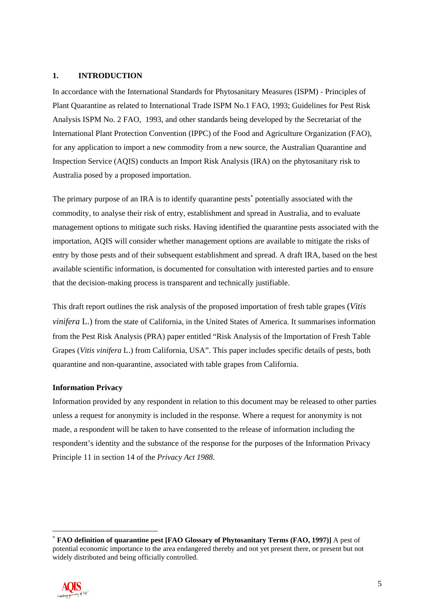#### **1. INTRODUCTION**

In accordance with the International Standards for Phytosanitary Measures (ISPM) - Principles of Plant Quarantine as related to International Trade ISPM No.1 FAO, 1993; Guidelines for Pest Risk Analysis ISPM No. 2 FAO, 1993, and other standards being developed by the Secretariat of the International Plant Protection Convention (IPPC) of the Food and Agriculture Organization (FAO), for any application to import a new commodity from a new source, the Australian Quarantine and Inspection Service (AQIS) conducts an Import Risk Analysis (IRA) on the phytosanitary risk to Australia posed by a proposed importation.

The primary purpose of an IRA is to identify quarantine pests<sup>\*</sup> potentially associated with the commodity, to analyse their risk of entry, establishment and spread in Australia, and to evaluate management options to mitigate such risks. Having identified the quarantine pests associated with the importation, AQIS will consider whether management options are available to mitigate the risks of entry by those pests and of their subsequent establishment and spread. A draft IRA, based on the best available scientific information, is documented for consultation with interested parties and to ensure that the decision-making process is transparent and technically justifiable.

This draft report outlines the risk analysis of the proposed importation of fresh table grapes (*Vitis vinifera* L.) from the state of California, in the United States of America. It summarises information from the Pest Risk Analysis (PRA) paper entitled "Risk Analysis of the Importation of Fresh Table Grapes (*Vitis vinifera* L.) from California, USA". This paper includes specific details of pests, both quarantine and non-quarantine, associated with table grapes from California.

#### **Information Privacy**

Information provided by any respondent in relation to this document may be released to other parties unless a request for anonymity is included in the response. Where a request for anonymity is not made, a respondent will be taken to have consented to the release of information including the respondent's identity and the substance of the response for the purposes of the Information Privacy Principle 11 in section 14 of the *Privacy Act 1988.* 

<sup>∗</sup> **FAO definition of quarantine pest [FAO Glossary of Phytosanitary Terms (FAO, 1997)]** A pest of potential economic importance to the area endangered thereby and not yet present there, or present but not widely distributed and being officially controlled.



l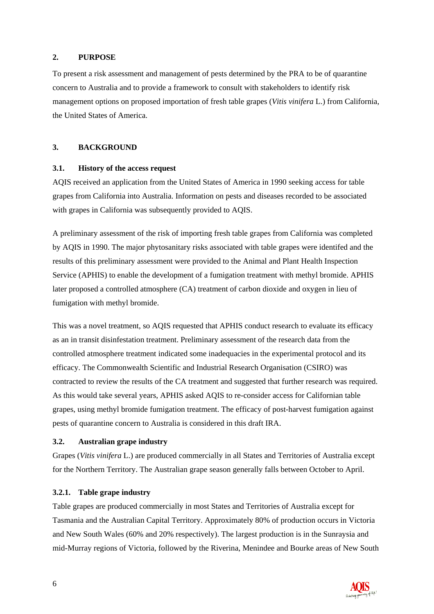#### **2. PURPOSE**

To present a risk assessment and management of pests determined by the PRA to be of quarantine concern to Australia and to provide a framework to consult with stakeholders to identify risk management options on proposed importation of fresh table grapes (*Vitis vinifera* L.) from California, the United States of America.

#### **3. BACKGROUND**

#### **3.1. History of the access request**

AQIS received an application from the United States of America in 1990 seeking access for table grapes from California into Australia. Information on pests and diseases recorded to be associated with grapes in California was subsequently provided to AQIS.

A preliminary assessment of the risk of importing fresh table grapes from California was completed by AQIS in 1990. The major phytosanitary risks associated with table grapes were identifed and the results of this preliminary assessment were provided to the Animal and Plant Health Inspection Service (APHIS) to enable the development of a fumigation treatment with methyl bromide. APHIS later proposed a controlled atmosphere (CA) treatment of carbon dioxide and oxygen in lieu of fumigation with methyl bromide.

This was a novel treatment, so AQIS requested that APHIS conduct research to evaluate its efficacy as an in transit disinfestation treatment. Preliminary assessment of the research data from the controlled atmosphere treatment indicated some inadequacies in the experimental protocol and its efficacy. The Commonwealth Scientific and Industrial Research Organisation (CSIRO) was contracted to review the results of the CA treatment and suggested that further research was required. As this would take several years, APHIS asked AQIS to re-consider access for Californian table grapes, using methyl bromide fumigation treatment. The efficacy of post-harvest fumigation against pests of quarantine concern to Australia is considered in this draft IRA.

#### **3.2. Australian grape industry**

Grapes (*Vitis vinifera* L.) are produced commercially in all States and Territories of Australia except for the Northern Territory. The Australian grape season generally falls between October to April.

#### **3.2.1. Table grape industry**

Table grapes are produced commercially in most States and Territories of Australia except for Tasmania and the Australian Capital Territory. Approximately 80% of production occurs in Victoria and New South Wales (60% and 20% respectively). The largest production is in the Sunraysia and mid-Murray regions of Victoria, followed by the Riverina, Menindee and Bourke areas of New South

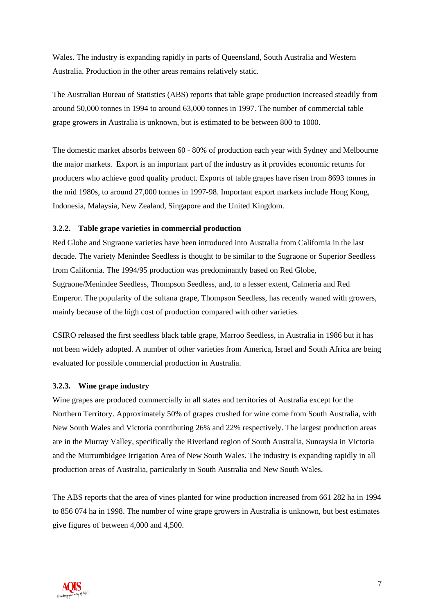Wales. The industry is expanding rapidly in parts of Queensland, South Australia and Western Australia. Production in the other areas remains relatively static.

The Australian Bureau of Statistics (ABS) reports that table grape production increased steadily from around 50,000 tonnes in 1994 to around 63,000 tonnes in 1997. The number of commercial table grape growers in Australia is unknown, but is estimated to be between 800 to 1000.

The domestic market absorbs between 60 - 80% of production each year with Sydney and Melbourne the major markets. Export is an important part of the industry as it provides economic returns for producers who achieve good quality product. Exports of table grapes have risen from 8693 tonnes in the mid 1980s, to around 27,000 tonnes in 1997-98. Important export markets include Hong Kong, Indonesia, Malaysia, New Zealand, Singapore and the United Kingdom.

#### **3.2.2. Table grape varieties in commercial production**

Red Globe and Sugraone varieties have been introduced into Australia from California in the last decade. The variety Menindee Seedless is thought to be similar to the Sugraone or Superior Seedless from California. The 1994/95 production was predominantly based on Red Globe, Sugraone/Menindee Seedless, Thompson Seedless, and, to a lesser extent, Calmeria and Red Emperor. The popularity of the sultana grape, Thompson Seedless, has recently waned with growers, mainly because of the high cost of production compared with other varieties.

CSIRO released the first seedless black table grape, Marroo Seedless, in Australia in 1986 but it has not been widely adopted. A number of other varieties from America, Israel and South Africa are being evaluated for possible commercial production in Australia.

#### **3.2.3. Wine grape industry**

Wine grapes are produced commercially in all states and territories of Australia except for the Northern Territory. Approximately 50% of grapes crushed for wine come from South Australia, with New South Wales and Victoria contributing 26% and 22% respectively. The largest production areas are in the Murray Valley, specifically the Riverland region of South Australia, Sunraysia in Victoria and the Murrumbidgee Irrigation Area of New South Wales. The industry is expanding rapidly in all production areas of Australia, particularly in South Australia and New South Wales.

The ABS reports that the area of vines planted for wine production increased from 661 282 ha in 1994 to 856 074 ha in 1998. The number of wine grape growers in Australia is unknown, but best estimates give figures of between 4,000 and 4,500.

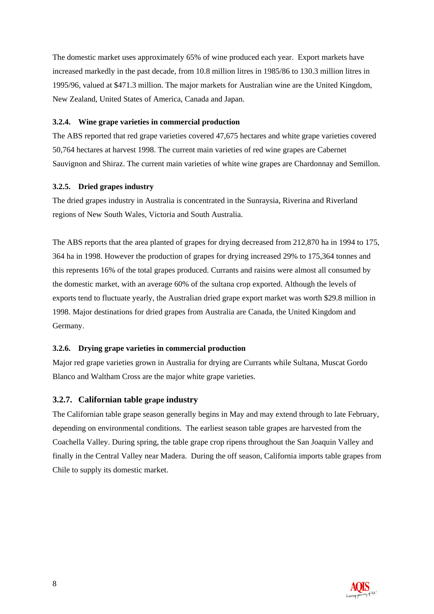The domestic market uses approximately 65% of wine produced each year. Export markets have increased markedly in the past decade, from 10.8 million litres in 1985/86 to 130.3 million litres in 1995/96, valued at \$471.3 million. The major markets for Australian wine are the United Kingdom, New Zealand, United States of America, Canada and Japan.

#### **3.2.4. Wine grape varieties in commercial production**

The ABS reported that red grape varieties covered 47,675 hectares and white grape varieties covered 50,764 hectares at harvest 1998. The current main varieties of red wine grapes are Cabernet Sauvignon and Shiraz. The current main varieties of white wine grapes are Chardonnay and Semillon.

#### **3.2.5. Dried grapes industry**

The dried grapes industry in Australia is concentrated in the Sunraysia, Riverina and Riverland regions of New South Wales, Victoria and South Australia.

The ABS reports that the area planted of grapes for drying decreased from 212,870 ha in 1994 to 175, 364 ha in 1998. However the production of grapes for drying increased 29% to 175,364 tonnes and this represents 16% of the total grapes produced. Currants and raisins were almost all consumed by the domestic market, with an average 60% of the sultana crop exported. Although the levels of exports tend to fluctuate yearly, the Australian dried grape export market was worth \$29.8 million in 1998. Major destinations for dried grapes from Australia are Canada, the United Kingdom and Germany.

#### **3.2.6. Drying grape varieties in commercial production**

Major red grape varieties grown in Australia for drying are Currants while Sultana, Muscat Gordo Blanco and Waltham Cross are the major white grape varieties.

#### **3.2.7. Californian table grape industry**

The Californian table grape season generally begins in May and may extend through to late February, depending on environmental conditions. The earliest season table grapes are harvested from the Coachella Valley. During spring, the table grape crop ripens throughout the San Joaquin Valley and finally in the Central Valley near Madera. During the off season, California imports table grapes from Chile to supply its domestic market.

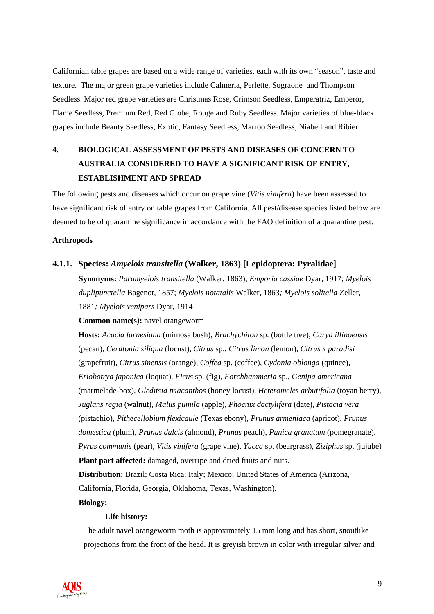Californian table grapes are based on a wide range of varieties, each with its own "season", taste and texture. The major green grape varieties include Calmeria, Perlette, Sugraone and Thompson Seedless. Major red grape varieties are Christmas Rose, Crimson Seedless, Emperatriz, Emperor, Flame Seedless, Premium Red, Red Globe, Rouge and Ruby Seedless. Major varieties of blue-black grapes include Beauty Seedless, Exotic, Fantasy Seedless, Marroo Seedless, Niabell and Ribier.

## **4. BIOLOGICAL ASSESSMENT OF PESTS AND DISEASES OF CONCERN TO AUSTRALIA CONSIDERED TO HAVE A SIGNIFICANT RISK OF ENTRY, ESTABLISHMENT AND SPREAD**

The following pests and diseases which occur on grape vine (*Vitis vinifera*) have been assessed to have significant risk of entry on table grapes from California. All pest/disease species listed below are deemed to be of quarantine significance in accordance with the FAO definition of a quarantine pest.

#### **Arthropods**

#### **4.1.1. Species:** *Amyelois transitella* **(Walker, 1863) [Lepidoptera: Pyralidae]**

**Synonyms:** *Paramyelois transitella* (Walker, 1863); *Emporia cassiae* Dyar, 1917; *Myelois duplipunctella* Bagenot, 1857; *Myelois notatalis* Walker, 1863*; Myelois solitella* Zeller, 1881*; Myelois venipars* Dyar, 1914

**Common name(s):** navel orangeworm

**Hosts:** *Acacia farnesiana* (mimosa bush), *Brachychiton* sp. (bottle tree), *Carya illinoensis* (pecan), *Ceratonia siliqua* (locust), *Citrus* sp., *Citrus limon* (lemon), *Citrus x paradisi* (grapefruit), *Citrus sinensis* (orange), *Coffea* sp. (coffee), *Cydonia oblonga* (quince), *Eriobotrya japonica* (loquat), *Ficus* sp. (fig), *Forchhammeria* sp., *Genipa americana* (marmelade-box), *Gleditsia triacanthos* (honey locust), *Heteromeles arbutifolia* (toyan berry), *Juglans regia* (walnut), *Malus pumila* (apple), *Phoenix dactylifera* (date), *Pistacia vera* (pistachio), *Pithecellobium flexicaule* (Texas ebony), *Prunus armeniaca* (apricot), *Prunus domestica* (plum), *Prunus dulcis* (almond), *Prunus* peach), *Punica granatum* (pomegranate), *Pyrus communis* (pear), *Vitis vinifera* (grape vine), *Yucca* sp. (beargrass), *Ziziphus* sp. (jujube) Plant part affected: damaged, overripe and dried fruits and nuts.

**Distribution:** Brazil; Costa Rica; Italy; Mexico; United States of America (Arizona, California, Florida, Georgia, Oklahoma, Texas, Washington).

 **Biology:** 

#### **Life history:**

 The adult navel orangeworm moth is approximately 15 mm long and has short, snoutlike projections from the front of the head. It is greyish brown in color with irregular silver and

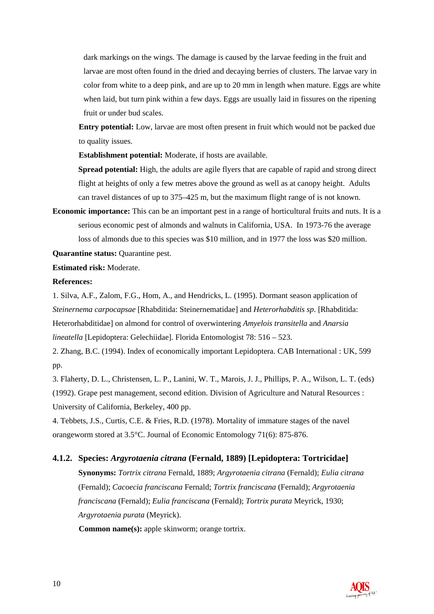dark markings on the wings. The damage is caused by the larvae feeding in the fruit and larvae are most often found in the dried and decaying berries of clusters. The larvae vary in color from white to a deep pink, and are up to 20 mm in length when mature. Eggs are white when laid, but turn pink within a few days. Eggs are usually laid in fissures on the ripening fruit or under bud scales.

 **Entry potential:** Low, larvae are most often present in fruit which would not be packed due to quality issues.

**Establishment potential:** Moderate, if hosts are available.

 **Spread potential:** High, the adults are agile flyers that are capable of rapid and strong direct flight at heights of only a few metres above the ground as well as at canopy height. Adults can travel distances of up to 375–425 m, but the maximum flight range of is not known.

**Economic importance:** This can be an important pest in a range of horticultural fruits and nuts. It is a serious economic pest of almonds and walnuts in California, USA. In 1973-76 the average loss of almonds due to this species was \$10 million, and in 1977 the loss was \$20 million.

**Quarantine status:** Quarantine pest.

#### **Estimated risk:** Moderate.

#### **References:**

1. Silva, A.F., Zalom, F.G., Hom, A., and Hendricks, L. (1995). Dormant season application of *Steinernema carpocapsae* [Rhabditida: Steinernematidae] and *Heterorhabditis sp*. [Rhabditida: Heterorhabditidae] on almond for control of overwintering *Amyelois transitella* and *Anarsia lineatella* [Lepidoptera: Gelechiidae]. Florida Entomologist 78: 516 – 523.

2. Zhang, B.C. (1994). Index of economically important Lepidoptera. CAB International : UK, 599 pp.

3. Flaherty, D. L., Christensen, L. P., Lanini, W. T., Marois, J. J., Phillips, P. A., Wilson, L. T. (eds) (1992). Grape pest management, second edition. Division of Agriculture and Natural Resources : University of California, Berkeley, 400 pp.

4. Tebbets, J.S., Curtis, C.E. & Fries, R.D. (1978). Mortality of immature stages of the navel orangeworm stored at 3.5°C. Journal of Economic Entomology 71(6): 875-876.

#### **4.1.2. Species:** *Argyrotaenia citrana* **(Fernald, 1889) [Lepidoptera: Tortricidae]**

 **Synonyms:** *Tortrix citrana* Fernald, 1889; *Argyrotaenia citrana* (Fernald); *Eulia citrana* (Fernald); *Cacoecia franciscana* Fernald; *Tortrix franciscana* (Fernald); *Argyrotaenia franciscana* (Fernald); *Eulia franciscana* (Fernald); *Tortrix purata* Meyrick, 1930; *Argyrotaenia purata* (Meyrick).

**Common name(s):** apple skinworm; orange tortrix.

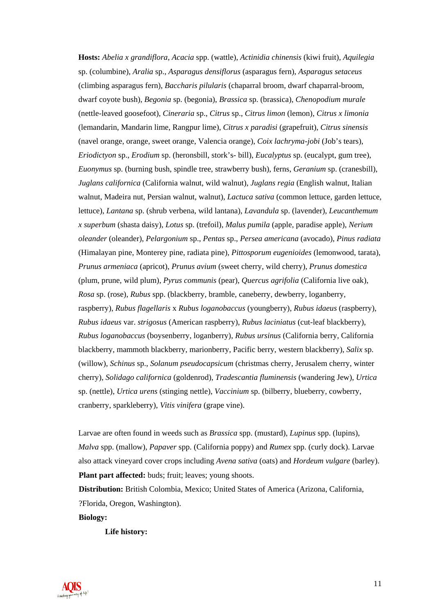**Hosts:** *Abelia x grandiflora*, *Acacia* spp. (wattle), *Actinidia chinensis* (kiwi fruit), *Aquilegia* sp. (columbine), *Aralia* sp., *Asparagus densiflorus* (asparagus fern), *Asparagus setaceus* (climbing asparagus fern), *Baccharis pilularis* (chaparral broom, dwarf chaparral-broom, dwarf coyote bush), *Begonia* sp. (begonia), *Brassica* sp. (brassica), *Chenopodium murale* (nettle-leaved goosefoot), *Cineraria* sp., *Citrus* sp., *Citrus limon* (lemon), *Citrus x limonia* (lemandarin, Mandarin lime, Rangpur lime), *Citrus x paradisi* (grapefruit), *Citrus sinensis* (navel orange, orange, sweet orange, Valencia orange), *Coix lachryma-jobi* (Job's tears), *Eriodictyon* sp., *Erodium* sp. (heronsbill, stork's- bill), *Eucalyptus* sp. (eucalypt, gum tree), *Euonymus* sp. (burning bush, spindle tree, strawberry bush), ferns, *Geranium* sp. (cranesbill), *Juglans californica* (California walnut, wild walnut), *Juglans regia* (English walnut, Italian walnut, Madeira nut, Persian walnut, walnut), *Lactuca sativa* (common lettuce, garden lettuce, lettuce), *Lantana* sp. (shrub verbena, wild lantana), *Lavandula* sp. (lavender), *Leucanthemum x superbum* (shasta daisy), *Lotus* sp. (trefoil), *Malus pumila* (apple, paradise apple), *Nerium oleander* (oleander), *Pelargonium* sp., *Pentas* sp., *Persea americana* (avocado), *Pinus radiata* (Himalayan pine, Monterey pine, radiata pine), *Pittosporum eugenioides* (lemonwood, tarata), *Prunus armeniaca* (apricot), *Prunus avium* (sweet cherry, wild cherry), *Prunus domestica* (plum, prune, wild plum), *Pyrus communis* (pear), *Quercus agrifolia* (California live oak), *Rosa* sp. (rose), *Rubus* spp. (blackberry, bramble, caneberry, dewberry, loganberry, raspberry), *Rubus flagellaris* x *Rubus loganobaccus* (youngberry), *Rubus idaeus* (raspberry), *Rubus idaeus* var. *strigosus* (American raspberry), *Rubus laciniatus* (cut-leaf blackberry), *Rubus loganobaccus* (boysenberry, loganberry), *Rubus ursinus* (California berry, California blackberry, mammoth blackberry, marionberry, Pacific berry, western blackberry), *Salix* sp. (willow), *Schinus* sp., *Solanum pseudocapsicum* (christmas cherry, Jerusalem cherry, winter cherry), *Solidago californica* (goldenrod), *Tradescantia fluminensis* (wandering Jew), *Urtica* sp. (nettle), *Urtica urens* (stinging nettle), *Vaccinium* sp. (bilberry, blueberry, cowberry, cranberry, sparkleberry), *Vitis vinifera* (grape vine).

 Larvae are often found in weeds such as *Brassica* spp. (mustard), *Lupinus* spp. (lupins), *Malva* spp. (mallow), *Papaver* spp. (California poppy) and *Rumex* spp. (curly dock). Larvae also attack vineyard cover crops including *Avena sativa* (oats) and *Hordeum vulgare* (barley). **Plant part affected:** buds; fruit; leaves; young shoots.

**Distribution:** British Colombia, Mexico; United States of America (Arizona, California, ?Florida, Oregon, Washington).

 **Biology:**

 **Life history:** 

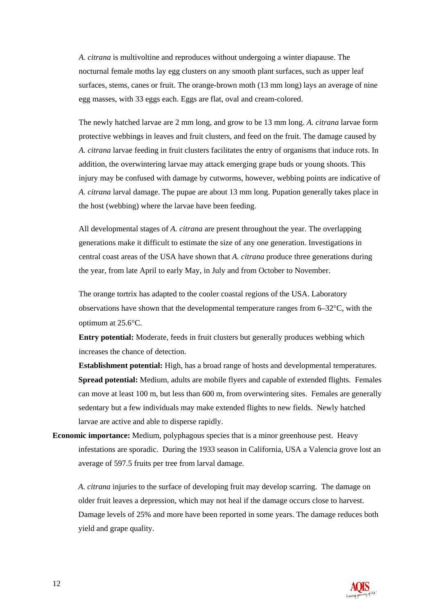*A. citrana* is multivoltine and reproduces without undergoing a winter diapause. The nocturnal female moths lay egg clusters on any smooth plant surfaces, such as upper leaf surfaces, stems, canes or fruit. The orange-brown moth (13 mm long) lays an average of nine egg masses, with 33 eggs each. Eggs are flat, oval and cream-colored.

The newly hatched larvae are 2 mm long, and grow to be 13 mm long. *A. citrana* larvae form protective webbings in leaves and fruit clusters, and feed on the fruit. The damage caused by *A. citrana* larvae feeding in fruit clusters facilitates the entry of organisms that induce rots. In addition, the overwintering larvae may attack emerging grape buds or young shoots. This injury may be confused with damage by cutworms, however, webbing points are indicative of *A. citrana* larval damage. The pupae are about 13 mm long. Pupation generally takes place in the host (webbing) where the larvae have been feeding.

All developmental stages of *A. citrana* are present throughout the year. The overlapping generations make it difficult to estimate the size of any one generation. Investigations in central coast areas of the USA have shown that *A. citrana* produce three generations during the year, from late April to early May, in July and from October to November.

The orange tortrix has adapted to the cooler coastal regions of the USA. Laboratory observations have shown that the developmental temperature ranges from  $6-32^{\circ}$ C, with the optimum at 25.6°C.

**Entry potential:** Moderate, feeds in fruit clusters but generally produces webbing which increases the chance of detection.

**Establishment potential:** High, has a broad range of hosts and developmental temperatures. **Spread potential:** Medium, adults are mobile flyers and capable of extended flights. Females can move at least 100 m, but less than 600 m, from overwintering sites. Females are generally sedentary but a few individuals may make extended flights to new fields. Newly hatched larvae are active and able to disperse rapidly.

**Economic importance:** Medium, polyphagous species that is a minor greenhouse pest. Heavy infestations are sporadic. During the 1933 season in California, USA a Valencia grove lost an average of 597.5 fruits per tree from larval damage.

*A. citrana* injuries to the surface of developing fruit may develop scarring. The damage on older fruit leaves a depression, which may not heal if the damage occurs close to harvest. Damage levels of 25% and more have been reported in some years. The damage reduces both yield and grape quality.

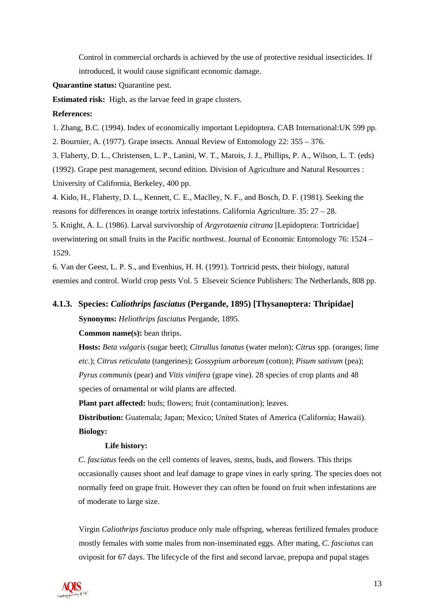Control in commercial orchards is achieved by the use of protective residual insecticides. If introduced, it would cause significant economic damage.

**Quarantine status:** Quarantine pest.

**Estimated risk:** High, as the larvae feed in grape clusters.

#### **References:**

1. Zhang, B.C. (1994). Index of economically important Lepidoptera. CAB International:UK 599 pp.

2. Bournier, A. (1977). Grape insects. Annual Review of Entomology 22: 355 – 376.

3. Flaherty, D. L., Christensen, L. P., Lanini, W. T., Marois, J. J., Phillips, P. A., Wilson, L. T. (eds) (1992). Grape pest management, second edition. Division of Agriculture and Natural Resources : University of California, Berkeley, 400 pp.

4. Kido, H., Flaherty, D. L., Kennett, C. E., Maclley, N. F., and Bosch, D. F. (1981). Seeking the reasons for differences in orange tortrix infestations. California Agriculture*.* 35: 27 – 28.

5. Knight, A. L. (1986). Larval survivorship of *Argyrotaenia citrana* [Lepidoptera: Tortricidae] overwintering on small fruits in the Pacific northwest. Journal of Economic Entomology 76: 1524 – 1529.

6. Van der Geest, L. P. S., and Evenhius, H. H. (1991). Tortricid pests, their biology, natural enemies and control. World crop pests Vol. 5 Elseveir Science Publishers: The Netherlands, 808 pp.

#### **4.1.3. Species:** *Caliothrips fasciatus* **(Pergande, 1895) [Thysanoptera: Thripidae]**

**Synonyms:** *Heliothrips fasciatus* Pergande, 1895.

**Common name(s):** bean thrips.

**Hosts:** *Beta vulgaris* (sugar beet); *Citrullus lanatus* (water melon); *Citrus* spp. (oranges; lime *etc*.); *Citrus reticulata* (tangerines); *Gossypium arboreum* (cotton); *Pisum sativum* (pea); *Pyrus communis* (pear) and *Vitis vinifera* (grape vine). 28 species of crop plants and 48 species of ornamental or wild plants are affected.

**Plant part affected:** buds; flowers; fruit (contamination); leaves.

 **Distribution:** Guatemala; Japan; Mexico; United States of America (California; Hawaii).  **Biology:**

#### **Life history:**

*C*. *fasciatus* feeds on the cell contents of leaves, stems, buds, and flowers. This thrips occasionally causes shoot and leaf damage to grape vines in early spring. The species does not normally feed on grape fruit. However they can often be found on fruit when infestations are of moderate to large size.

 Virgin *Caliothrips fasciatus* produce only male offspring, whereas fertilized females produce mostly females with some males from non-inseminated eggs. After mating, *C. fasciatus* can oviposit for 67 days. The lifecycle of the first and second larvae, prepupa and pupal stages

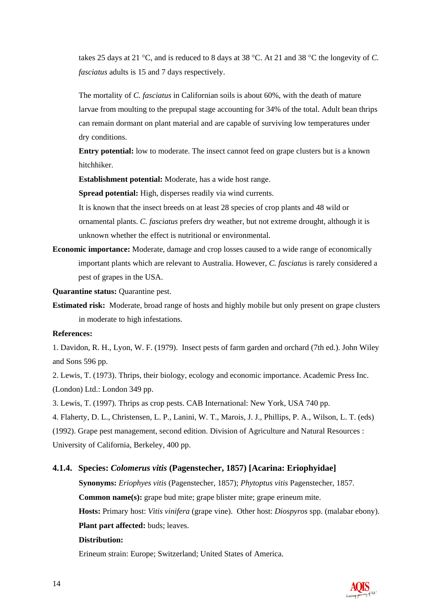takes 25 days at 21 °C, and is reduced to 8 days at 38 °C. At 21 and 38 °C the longevity of *C. fasciatus* adults is 15 and 7 days respectively.

The mortality of *C. fasciatus* in Californian soils is about 60%, with the death of mature larvae from moulting to the prepupal stage accounting for 34% of the total. Adult bean thrips can remain dormant on plant material and are capable of surviving low temperatures under dry conditions.

 **Entry potential:** low to moderate. The insect cannot feed on grape clusters but is a known hitchhiker.

 **Establishment potential:** Moderate, has a wide host range.

 **Spread potential:** High, disperses readily via wind currents.

It is known that the insect breeds on at least 28 species of crop plants and 48 wild or ornamental plants. *C. fasciatus* prefers dry weather, but not extreme drought, although it is unknown whether the effect is nutritional or environmental.

**Economic importance:** Moderate, damage and crop losses caused to a wide range of economically important plants which are relevant to Australia. However, *C. fasciatus* is rarely considered a pest of grapes in the USA.

**Quarantine status:** Quarantine pest.

**Estimated risk:** Moderate, broad range of hosts and highly mobile but only present on grape clusters in moderate to high infestations.

#### **References:**

1. Davidon, R. H., Lyon, W. F. (1979). Insect pests of farm garden and orchard (7th ed.). John Wiley and Sons 596 pp.

2. Lewis, T. (1973). Thrips, their biology, ecology and economic importance. Academic Press Inc. (London) Ltd.: London 349 pp.

3. Lewis, T. (1997). Thrips as crop pests. CAB International: New York, USA 740 pp.

4. Flaherty, D. L., Christensen, L. P., Lanini, W. T., Marois, J. J., Phillips, P. A., Wilson, L. T. (eds) (1992). Grape pest management, second edition. Division of Agriculture and Natural Resources : University of California, Berkeley, 400 pp.

#### **4.1.4. Species:** *Colomerus vitis* **(Pagenstecher, 1857) [Acarina: Eriophyidae]**

**Synonyms:** *Eriophyes vitis* (Pagenstecher, 1857); *Phytoptus vitis* Pagenstecher, 1857. **Common name(s):** grape bud mite; grape blister mite; grape erineum mite. **Hosts:** Primary host: *Vitis vinifera* (grape vine). Other host: *Diospyros* spp. (malabar ebony). **Plant part affected:** buds; leaves.

#### **Distribution:**

Erineum strain: Europe; Switzerland; United States of America.

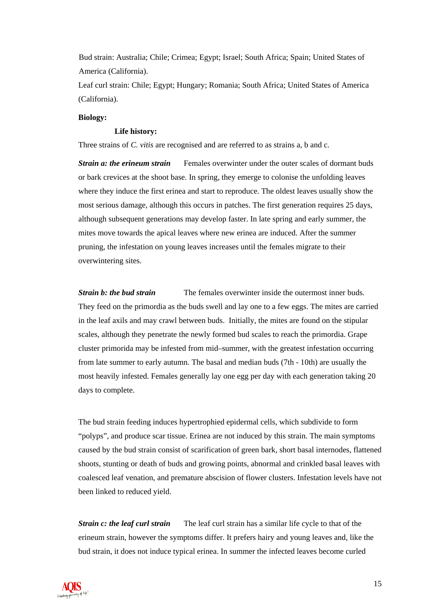Bud strain: Australia; Chile; Crimea; Egypt; Israel; South Africa; Spain; United States of America (California).

Leaf curl strain: Chile; Egypt; Hungary; Romania; South Africa; United States of America (California).

#### **Biology:**

#### **Life history:**

Three strains of *C. vitis* are recognised and are referred to as strains a, b and c.

*Strain a: the erineum strain* Females overwinter under the outer scales of dormant buds or bark crevices at the shoot base. In spring, they emerge to colonise the unfolding leaves where they induce the first erinea and start to reproduce. The oldest leaves usually show the most serious damage, although this occurs in patches. The first generation requires 25 days, although subsequent generations may develop faster. In late spring and early summer, the mites move towards the apical leaves where new erinea are induced. After the summer pruning, the infestation on young leaves increases until the females migrate to their overwintering sites.

*Strain b: the bud strain* The females overwinter inside the outermost inner buds. They feed on the primordia as the buds swell and lay one to a few eggs. The mites are carried in the leaf axils and may crawl between buds. Initially, the mites are found on the stipular scales, although they penetrate the newly formed bud scales to reach the primordia. Grape cluster primorida may be infested from mid–summer, with the greatest infestation occurring from late summer to early autumn. The basal and median buds (7th - 10th) are usually the most heavily infested. Females generally lay one egg per day with each generation taking 20 days to complete.

The bud strain feeding induces hypertrophied epidermal cells, which subdivide to form "polyps", and produce scar tissue. Erinea are not induced by this strain. The main symptoms caused by the bud strain consist of scarification of green bark, short basal internodes, flattened shoots, stunting or death of buds and growing points, abnormal and crinkled basal leaves with coalesced leaf venation, and premature abscision of flower clusters. Infestation levels have not been linked to reduced yield.

**Strain c: the leaf curl strain** The leaf curl strain has a similar life cycle to that of the erineum strain, however the symptoms differ. It prefers hairy and young leaves and, like the bud strain, it does not induce typical erinea. In summer the infected leaves become curled

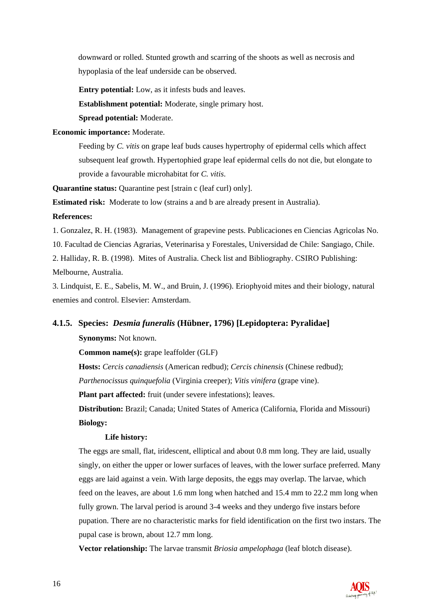downward or rolled. Stunted growth and scarring of the shoots as well as necrosis and hypoplasia of the leaf underside can be observed.

 **Entry potential:** Low, as it infests buds and leaves.

 **Establishment potential:** Moderate, single primary host.

**Spread potential:** Moderate.

**Economic importance:** Moderate.

Feeding by *C. vitis* on grape leaf buds causes hypertrophy of epidermal cells which affect subsequent leaf growth. Hypertophied grape leaf epidermal cells do not die, but elongate to provide a favourable microhabitat for *C. vitis*.

**Quarantine status:** Quarantine pest [strain c (leaf curl) only].

**Estimated risk:** Moderate to low (strains a and b are already present in Australia).

#### **References:**

1. Gonzalez, R. H. (1983). Management of grapevine pests. Publicaciones en Ciencias Agricolas No.

10. Facultad de Ciencias Agrarias, Veterinarisa y Forestales, Universidad de Chile: Sangiago, Chile.

2. Halliday, R. B. (1998). Mites of Australia. Check list and Bibliography. CSIRO Publishing: Melbourne, Australia.

3. Lindquist, E. E., Sabelis, M. W., and Bruin, J. (1996). Eriophyoid mites and their biology, natural enemies and control. Elsevier: Amsterdam.

#### **4.1.5. Species:** *Desmia funeralis* **(Hübner, 1796) [Lepidoptera: Pyralidae]**

**Synonyms:** Not known.

**Common name(s):** grape leaffolder (GLF)

**Hosts:** *Cercis canadiensis* (American redbud); *Cercis chinensis* (Chinese redbud);

*Parthenocissus quinquefolia* (Virginia creeper); *Vitis vinifera* (grape vine).

**Plant part affected:** fruit (under severe infestations); leaves.

 **Distribution:** Brazil; Canada; United States of America (California, Florida and Missouri)  **Biology:**

#### **Life history:**

The eggs are small, flat, iridescent, elliptical and about 0.8 mm long. They are laid, usually singly, on either the upper or lower surfaces of leaves, with the lower surface preferred. Many eggs are laid against a vein. With large deposits, the eggs may overlap. The larvae, which feed on the leaves, are about 1.6 mm long when hatched and 15.4 mm to 22.2 mm long when fully grown. The larval period is around 3-4 weeks and they undergo five instars before pupation. There are no characteristic marks for field identification on the first two instars. The pupal case is brown, about 12.7 mm long.

**Vector relationship:** The larvae transmit *Briosia ampelophaga* (leaf blotch disease).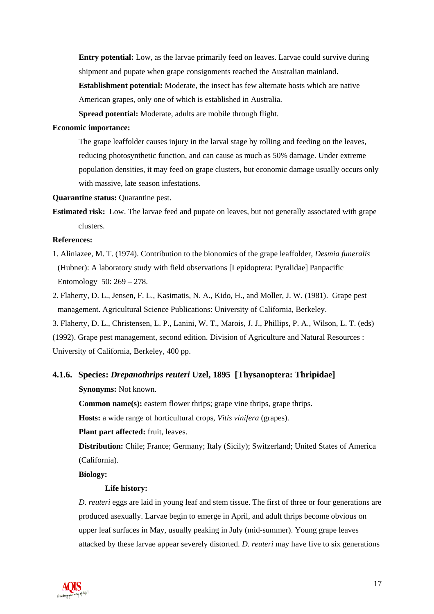**Entry potential:** Low, as the larvae primarily feed on leaves. Larvae could survive during shipment and pupate when grape consignments reached the Australian mainland. **Establishment potential:** Moderate, the insect has few alternate hosts which are native

American grapes, only one of which is established in Australia.

**Spread potential:** Moderate, adults are mobile through flight.

#### **Economic importance:**

The grape leaffolder causes injury in the larval stage by rolling and feeding on the leaves, reducing photosynthetic function, and can cause as much as 50% damage. Under extreme population densities, it may feed on grape clusters, but economic damage usually occurs only with massive, late season infestations.

**Quarantine status:** Quarantine pest.

**Estimated risk:** Low. The larvae feed and pupate on leaves, but not generally associated with grape clusters.

#### **References:**

- 1. Aliniazee, M. T. (1974). Contribution to the bionomics of the grape leaffolder, *Desmia funeralis*  (Hubner): A laboratory study with field observations [Lepidoptera: Pyralidae] Panpacific Entomology 50: 269 – 278.
- 2. Flaherty, D. L., Jensen, F. L., Kasimatis, N. A., Kido, H., and Moller, J. W. (1981). Grape pest management. Agricultural Science Publications: University of California, Berkeley.

3. Flaherty, D. L., Christensen, L. P., Lanini, W. T., Marois, J. J., Phillips, P. A., Wilson, L. T. (eds) (1992). Grape pest management, second edition. Division of Agriculture and Natural Resources : University of California, Berkeley, 400 pp.

#### **4.1.6. Species:** *Drepanothrips reuteri* **Uzel, 1895 [Thysanoptera: Thripidae]**

**Synonyms:** Not known.

**Common name(s):** eastern flower thrips; grape vine thrips, grape thrips.

**Hosts:** a wide range of horticultural crops, *Vitis vinifera* (grapes).

**Plant part affected:** fruit, leaves.

**Distribution:** Chile; France; Germany; Italy (Sicily); Switzerland; United States of America (California).

 **Biology:**

#### **Life history:**

*D. reuteri* eggs are laid in young leaf and stem tissue. The first of three or four generations are produced asexually. Larvae begin to emerge in April, and adult thrips become obvious on upper leaf surfaces in May, usually peaking in July (mid-summer). Young grape leaves attacked by these larvae appear severely distorted. *D. reuteri* may have five to six generations

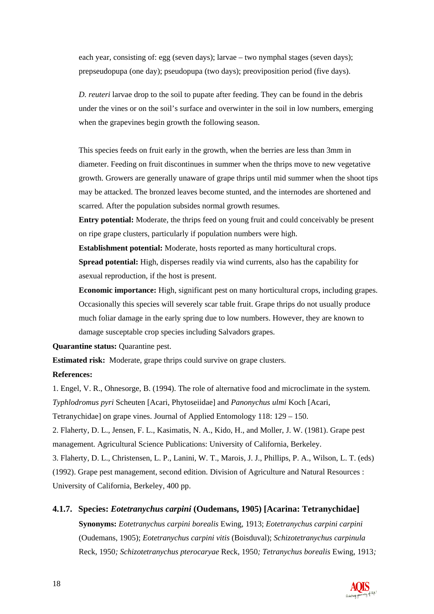each year, consisting of: egg (seven days); larvae – two nymphal stages (seven days); prepseudopupa (one day); pseudopupa (two days); preoviposition period (five days).

*D. reuteri* larvae drop to the soil to pupate after feeding. They can be found in the debris under the vines or on the soil's surface and overwinter in the soil in low numbers, emerging when the grapevines begin growth the following season.

This species feeds on fruit early in the growth, when the berries are less than 3mm in diameter. Feeding on fruit discontinues in summer when the thrips move to new vegetative growth. Growers are generally unaware of grape thrips until mid summer when the shoot tips may be attacked. The bronzed leaves become stunted, and the internodes are shortened and scarred. After the population subsides normal growth resumes.

**Entry potential:** Moderate, the thrips feed on young fruit and could conceivably be present on ripe grape clusters, particularly if population numbers were high.

**Establishment potential:** Moderate, hosts reported as many horticultural crops.

**Spread potential:** High, disperses readily via wind currents, also has the capability for asexual reproduction, if the host is present.

**Economic importance:** High, significant pest on many horticultural crops, including grapes. Occasionally this species will severely scar table fruit. Grape thrips do not usually produce much foliar damage in the early spring due to low numbers. However, they are known to damage susceptable crop species including Salvadors grapes.

**Quarantine status:** Quarantine pest.

**Estimated risk:** Moderate, grape thrips could survive on grape clusters.

#### **References:**

1. Engel, V. R., Ohnesorge, B. (1994). The role of alternative food and microclimate in the system*. Typhlodromus pyri* Scheuten [Acari, Phytoseiidae] and *Panonychus ulmi* Koch [Acari, Tetranychidae] on grape vines. Journal of Applied Entomology 118: 129 – 150.

2. Flaherty, D. L., Jensen, F. L., Kasimatis, N. A., Kido, H., and Moller, J. W. (1981). Grape pest management. Agricultural Science Publications: University of California, Berkeley.

3. Flaherty, D. L., Christensen, L. P., Lanini, W. T., Marois, J. J., Phillips, P. A., Wilson, L. T. (eds) (1992). Grape pest management, second edition. Division of Agriculture and Natural Resources : University of California, Berkeley, 400 pp.

#### **4.1.7. Species:** *Eotetranychus carpini* **(Oudemans, 1905) [Acarina: Tetranychidae]**

**Synonyms:** *Eotetranychus carpini borealis* Ewing, 1913; *Eotetranychus carpini carpini*  (Oudemans, 1905); *Eotetranychus carpini vitis* (Boisduval); *Schizotetranychus carpinula*  Reck, 1950*; Schizotetranychus pterocaryae* Reck, 1950*; Tetranychus borealis* Ewing, 1913*;* 

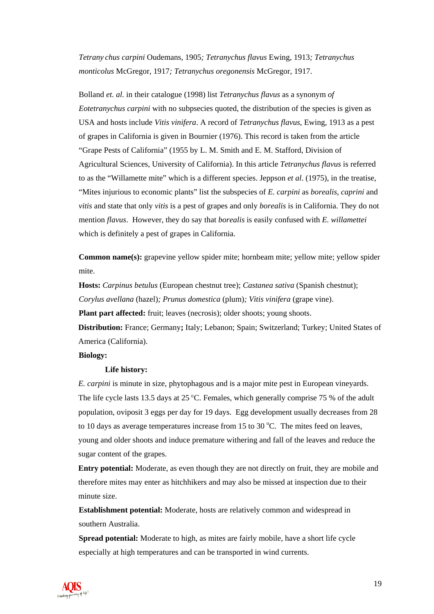*Tetrany chus carpini* Oudemans, 1905*; Tetranychus flavus* Ewing, 1913*; Tetranychus monticolus* McGregor, 1917*; Tetranychus oregonensis* McGregor, 1917.

Bolland *et. al.* in their catalogue (1998) list *Tetranychus flavus* as a synonym *of Eotetranychus carpini* with no subpsecies quoted, the distribution of the species is given as USA and hosts include *Vitis vinifera*. A record of *Tetranychus flavus*, Ewing, 1913 as a pest of grapes in California is given in Bournier (1976). This record is taken from the article "Grape Pests of California" (1955 by L. M. Smith and E. M. Stafford, Division of Agricultural Sciences, University of California). In this article *Tetranychus flavus* is referred to as the "Willamette mite" which is a different species. Jeppson *et al*. (1975), in the treatise, "Mites injurious to economic plants" list the subspecies of *E. carpini* as *borealis*, *caprini* and *vitis* and state that only *vitis* is a pest of grapes and only *borealis* is in California. They do not mention *flavus*. However, they do say that *borealis* is easily confused with *E. willamettei* which is definitely a pest of grapes in California.

**Common name(s):** grapevine yellow spider mite; hornbeam mite; yellow mite; yellow spider mite.

**Hosts:** *Carpinus betulus* (European chestnut tree); *Castanea sativa* (Spanish chestnut); *Corylus avellana* (hazel)*; Prunus domestica* (plum)*; Vitis vinifera* (grape vine).

Plant part affected: fruit; leaves (necrosis); older shoots; young shoots.

**Distribution:** France; Germany**;** Italy; Lebanon; Spain; Switzerland; Turkey; United States of America (California).

#### **Biology:**

#### **Life history:**

 *E. carpini* is minute in size, phytophagous and is a major mite pest in European vineyards. The life cycle lasts 13.5 days at 25 °C. Females, which generally comprise 75 % of the adult population, oviposit 3 eggs per day for 19 days. Egg development usually decreases from 28 to 10 days as average temperatures increase from 15 to 30  $^{\circ}$ C. The mites feed on leaves, young and older shoots and induce premature withering and fall of the leaves and reduce the sugar content of the grapes.

**Entry potential:** Moderate, as even though they are not directly on fruit, they are mobile and therefore mites may enter as hitchhikers and may also be missed at inspection due to their minute size.

 **Establishment potential:** Moderate, hosts are relatively common and widespread in southern Australia.

**Spread potential:** Moderate to high, as mites are fairly mobile, have a short life cycle especially at high temperatures and can be transported in wind currents.

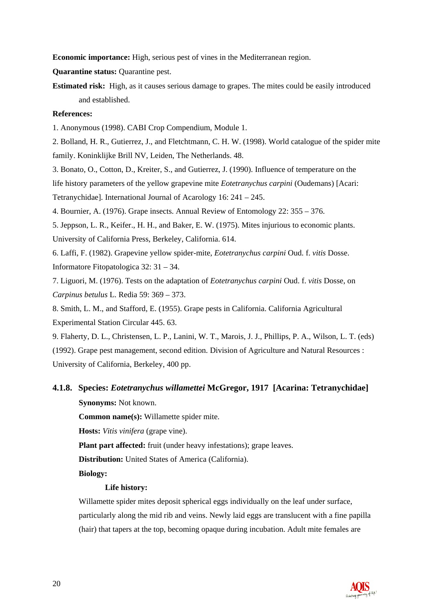**Economic importance:** High, serious pest of vines in the Mediterranean region.

**Quarantine status:** Quarantine pest.

**Estimated risk:** High, as it causes serious damage to grapes. The mites could be easily introduced and established.

#### **References:**

1. Anonymous (1998). CABI Crop Compendium, Module 1.

2. Bolland, H. R., Gutierrez, J., and Fletchtmann, C. H. W. (1998). World catalogue of the spider mite family. Koninklijke Brill NV, Leiden, The Netherlands. 48.

3. Bonato, O., Cotton, D., Kreiter, S., and Gutierrez, J. (1990). Influence of temperature on the

life history parameters of the yellow grapevine mite *Eotetranychus carpini* (Oudemans) [Acari:

Tetranychidae]. International Journal of Acarology 16: 241 – 245.

4. Bournier, A. (1976). Grape insects. Annual Review of Entomology 22: 355 – 376.

5. Jeppson, L. R., Keifer., H. H., and Baker, E. W. (1975). Mites injurious to economic plants. University of California Press, Berkeley, California. 614.

6. Laffi, F. (1982). Grapevine yellow spider-mite, *Eotetranychus carpini* Oud. f. *vitis* Dosse. Informatore Fitopatologica 32: 31 – 34.

7. Liguori, M. (1976). Tests on the adaptation of *Eotetranychus carpini* Oud. f. *vitis* Dosse, on *Carpinus betulus* L. Redia 59: 369 – 373.

8. Smith, L. M., and Stafford, E. (1955). Grape pests in California. California Agricultural Experimental Station Circular 445. 63.

9. Flaherty, D. L., Christensen, L. P., Lanini, W. T., Marois, J. J., Phillips, P. A., Wilson, L. T. (eds) (1992). Grape pest management, second edition. Division of Agriculture and Natural Resources : University of California, Berkeley, 400 pp.

### **4.1.8. Species:** *Eotetranychus willamettei* **McGregor, 1917 [Acarina: Tetranychidae] Synonyms:** Not known.

 **Common name(s):** Willamette spider mite.

 **Hosts:** *Vitis vinifera* (grape vine).

**Plant part affected:** fruit (under heavy infestations); grape leaves.

**Distribution:** United States of America (California).

 **Biology:** 

#### **Life history:**

Willamette spider mites deposit spherical eggs individually on the leaf under surface. particularly along the mid rib and veins. Newly laid eggs are translucent with a fine papilla (hair) that tapers at the top, becoming opaque during incubation. Adult mite females are

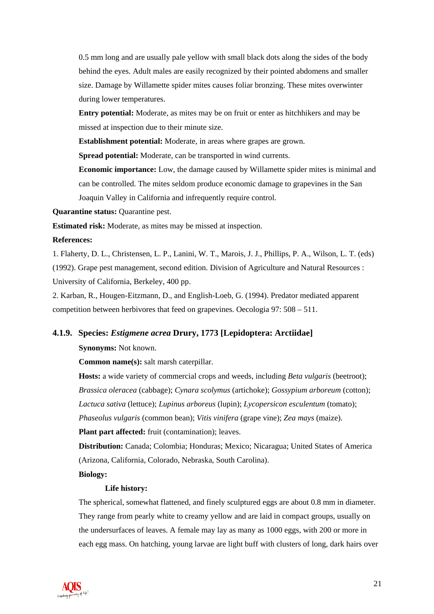0.5 mm long and are usually pale yellow with small black dots along the sides of the body behind the eyes. Adult males are easily recognized by their pointed abdomens and smaller size. Damage by Willamette spider mites causes foliar bronzing. These mites overwinter during lower temperatures.

**Entry potential:** Moderate, as mites may be on fruit or enter as hitchhikers and may be missed at inspection due to their minute size.

**Establishment potential:** Moderate, in areas where grapes are grown.

**Spread potential:** Moderate, can be transported in wind currents.

**Economic importance:** Low, the damage caused by Willamette spider mites is minimal and can be controlled. The mites seldom produce economic damage to grapevines in the San Joaquin Valley in California and infrequently require control.

**Quarantine status:** Quarantine pest.

**Estimated risk:** Moderate, as mites may be missed at inspection.

#### **References:**

1. Flaherty, D. L., Christensen, L. P., Lanini, W. T., Marois, J. J., Phillips, P. A., Wilson, L. T. (eds) (1992). Grape pest management, second edition. Division of Agriculture and Natural Resources : University of California, Berkeley, 400 pp.

2. Karban, R., Hougen-Eitzmann, D., and English-Loeb, G. (1994). Predator mediated apparent competition between herbivores that feed on grapevines. Oecologia 97: 508 – 511.

#### **4.1.9. Species:** *Estigmene acrea* **Drury, 1773 [Lepidoptera: Arctiidae]**

**Synonyms:** Not known.

**Common name(s):** salt marsh caterpillar.

**Hosts:** a wide variety of commercial crops and weeds, including *Beta vulgaris* (beetroot); *Brassica oleracea* (cabbage); *Cynara scolymus* (artichoke); *Gossypium arboreum* (cotton); *Lactuca sativa* (lettuce); *Lupinus arboreus* (lupin); *Lycopersicon esculentum* (tomato); *Phaseolus vulgaris* (common bean); *Vitis vinifera* (grape vine); *Zea mays* (maize).

Plant part affected: fruit (contamination); leaves.

 **Distribution:** Canada; Colombia; Honduras; Mexico; Nicaragua; United States of America (Arizona, California, Colorado, Nebraska, South Carolina).

 **Biology:**

#### **Life history:**

The spherical, somewhat flattened, and finely sculptured eggs are about 0.8 mm in diameter. They range from pearly white to creamy yellow and are laid in compact groups, usually on the undersurfaces of leaves. A female may lay as many as 1000 eggs, with 200 or more in each egg mass. On hatching, young larvae are light buff with clusters of long, dark hairs over

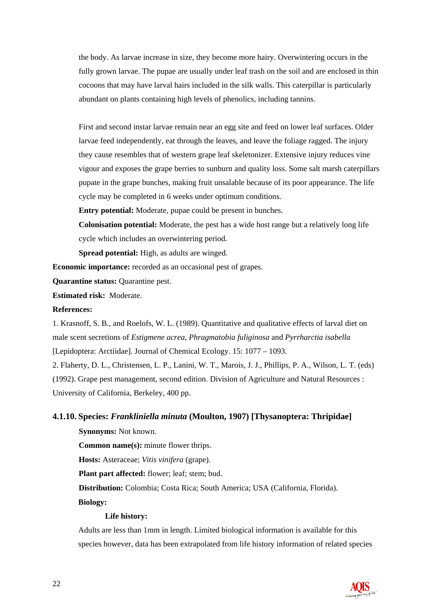the body. As larvae increase in size, they become more hairy. Overwintering occurs in the fully grown larvae. The pupae are usually under leaf trash on the soil and are enclosed in thin cocoons that may have larval hairs included in the silk walls. This caterpillar is particularly abundant on plants containing high levels of phenolics, including tannins.

First and second instar larvae remain near an egg site and feed on lower leaf surfaces. Older larvae feed independently, eat through the leaves, and leave the foliage ragged. The injury they cause resembles that of western grape leaf skeletonizer. Extensive injury reduces vine vigour and exposes the grape berries to sunburn and quality loss. Some salt marsh caterpillars pupate in the grape bunches, making fruit unsalable because of its poor appearance. The life cycle may be completed in 6 weeks under optimum conditions.

**Entry potential:** Moderate, pupae could be present in bunches.

 **Colonisation potential:** Moderate, the pest has a wide host range but a relatively long life cycle which includes an overwintering period.

 **Spread potential:** High, as adults are winged.

**Economic importance:** recorded as an occasional pest of grapes.

**Quarantine status:** Quarantine pest.

**Estimated risk:** Moderate.

#### **References:**

1. Krasnoff, S. B., and Roelofs, W. L. (1989). Quantitative and qualitative effects of larval diet on male scent secretions of *Estigmene acrea*, *Phragmatobia fuliginosa* and *Pyrrharctia isabella* [Lepidoptera: Arctiidae]. Journal of Chemical Ecology. 15: 1077 – 1093.

2. Flaherty, D. L., Christensen, L. P., Lanini, W. T., Marois, J. J., Phillips, P. A., Wilson, L. T. (eds) (1992). Grape pest management, second edition. Division of Agriculture and Natural Resources : University of California, Berkeley, 400 pp.

#### **4.1.10. Species:** *Frankliniella minuta* **(Moulton, 1907) [Thysanoptera: Thripidae]**

**Synonyms:** Not known.

**Common name(s):** minute flower thrips.

 **Hosts:** Asteraceae; *Vitis vinifera* (grape).

**Plant part affected:** flower; leaf; stem; bud.

**Distribution:** Colombia; Costa Rica; South America; USA (California, Florida).

 **Biology:** 

#### **Life history:**

 Adults are less than 1mm in length. Limited biological information is available for this species however, data has been extrapolated from life history information of related species

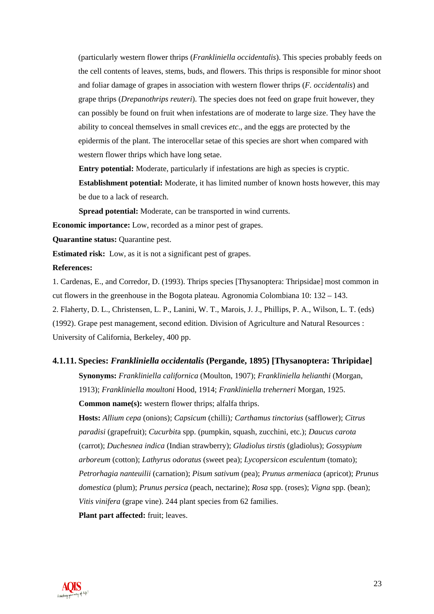(particularly western flower thrips (*Frankliniella occidentalis*). This species probably feeds on the cell contents of leaves, stems, buds, and flowers. This thrips is responsible for minor shoot and foliar damage of grapes in association with western flower thrips (*F. occidentalis*) and grape thrips (*Drepanothrips reuteri*). The species does not feed on grape fruit however, they can possibly be found on fruit when infestations are of moderate to large size. They have the ability to conceal themselves in small crevices *etc*., and the eggs are protected by the epidermis of the plant. The interocellar setae of this species are short when compared with western flower thrips which have long setae.

 **Entry potential:** Moderate, particularly if infestations are high as species is cryptic.

**Establishment potential:** Moderate, it has limited number of known hosts however, this may be due to a lack of research.

**Spread potential:** Moderate, can be transported in wind currents.

**Economic importance:** Low, recorded as a minor pest of grapes.

**Quarantine status:** Quarantine pest.

**Estimated risk:** Low, as it is not a significant pest of grapes.

#### **References:**

1. Cardenas, E., and Corredor, D. (1993). Thrips species [Thysanoptera: Thripsidae] most common in cut flowers in the greenhouse in the Bogota plateau. Agronomia Colombiana 10: 132 – 143. 2. Flaherty, D. L., Christensen, L. P., Lanini, W. T., Marois, J. J., Phillips, P. A., Wilson, L. T. (eds) (1992). Grape pest management, second edition. Division of Agriculture and Natural Resources : University of California, Berkeley, 400 pp.

#### **4.1.11. Species:** *Frankliniella occidentalis* **(Pergande, 1895) [Thysanoptera: Thripidae]**

 **Synonyms:** *Frankliniella californica* (Moulton, 1907); *Frankliniella helianthi* (Morgan, 1913); *Frankliniella moultoni* Hood, 1914; *Frankliniella treherneri* Morgan, 1925. **Common name(s):** western flower thrips; alfalfa thrips.

**Hosts:** *Allium cepa* (onions); *Capsicum* (chilli)*; Carthamus tinctorius* (safflower); *Citrus paradisi* (grapefruit); *Cucurbit*a spp. (pumpkin, squash, zucchini, etc.); *Daucus carota*  (carrot); *Duchesnea indica* (Indian strawberry); *Gladiolus tirstis* (gladiolus); *Gossypium arboreum* (cotton); *Lathyrus odoratus* (sweet pea); *Lycopersicon esculentum* (tomato); *Petrorhagia nanteuilii* (carnation); *Pisum sativum* (pea); *Prunus armeniaca* (apricot); *Prunus domestica* (plum); *Prunus persica* (peach, nectarine); *Rosa* spp. (roses); *Vigna* spp. (bean); *Vitis vinifera* (grape vine). 244 plant species from 62 families.

**Plant part affected:** fruit; leaves.

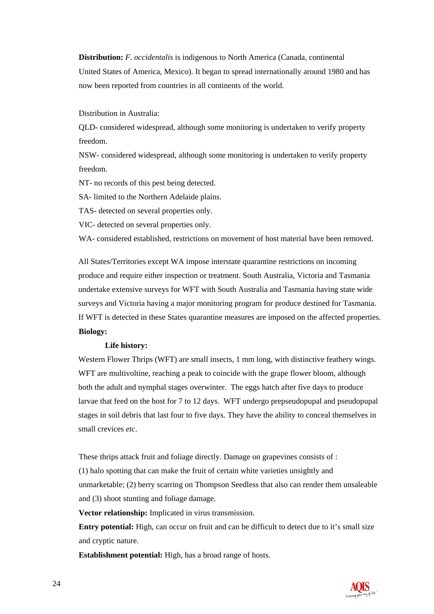### **Distribution:** *F. occidentalis* is indigenous to North America (Canada, continental United States of America, Mexico). It began to spread internationally around 1980 and has now been reported from countries in all continents of the world.

Distribution in Australia:

QLD- considered widespread, although some monitoring is undertaken to verify property freedom.

NSW- considered widespread, although some monitoring is undertaken to verify property freedom.

NT- no records of this pest being detected.

SA- limited to the Northern Adelaide plains.

TAS- detected on several properties only.

VIC- detected on several properties only.

WA- considered established, restrictions on movement of host material have been removed.

 All States/Territories except WA impose interstate quarantine restrictions on incoming produce and require either inspection or treatment. South Australia, Victoria and Tasmania undertake extensive surveys for WFT with South Australia and Tasmania having state wide surveys and Victoria having a major monitoring program for produce destined for Tasmania. If WFT is detected in these States quarantine measures are imposed on the affected properties.  **Biology:**

#### **Life history:**

Western Flower Thrips (WFT) are small insects, 1 mm long, with distinctive feathery wings. WFT are multivoltine, reaching a peak to coincide with the grape flower bloom, although both the adult and nymphal stages overwinter. The eggs hatch after five days to produce larvae that feed on the host for 7 to 12 days. WFT undergo prepseudopupal and pseudopupal stages in soil debris that last four to five days. They have the ability to conceal themselves in small crevices *etc*.

These thrips attack fruit and foliage directly. Damage on grapevines consists of :

(1) halo spotting that can make the fruit of certain white varieties unsightly and

 unmarketable; (2) berry scarring on Thompson Seedless that also can render them unsaleable and (3) shoot stunting and foliage damage.

**Vector relationship:** Implicated in virus transmission.

**Entry potential:** High, can occur on fruit and can be difficult to detect due to it's small size and cryptic nature.

 **Establishment potential:** High, has a broad range of hosts.

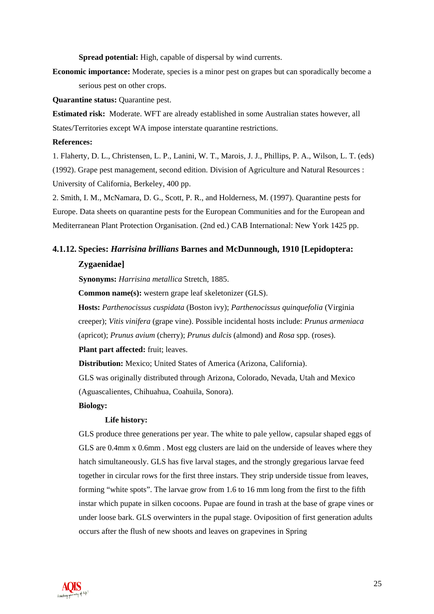**Spread potential:** High, capable of dispersal by wind currents.

**Economic importance:** Moderate, species is a minor pest on grapes but can sporadically become a serious pest on other crops.

**Quarantine status:** Quarantine pest.

**Estimated risk:** Moderate. WFT are already established in some Australian states however, all States/Territories except WA impose interstate quarantine restrictions.

#### **References:**

1. Flaherty, D. L., Christensen, L. P., Lanini, W. T., Marois, J. J., Phillips, P. A., Wilson, L. T. (eds) (1992). Grape pest management, second edition. Division of Agriculture and Natural Resources : University of California, Berkeley, 400 pp.

2. Smith, I. M., McNamara, D. G., Scott, P. R., and Holderness, M. (1997). Quarantine pests for Europe. Data sheets on quarantine pests for the European Communities and for the European and Mediterranean Plant Protection Organisation. (2nd ed.) CAB International: New York 1425 pp.

#### **4.1.12. Species:** *Harrisina brillians* **Barnes and McDunnough, 1910 [Lepidoptera:**

#### **Zygaenidae]**

**Synonyms:** *Harrisina metallica* Stretch, 1885.

**Common name(s):** western grape leaf skeletonizer (GLS).

**Hosts:** *Parthenocissus cuspidata* (Boston ivy); *Parthenocissus quinquefolia* (Virginia creeper); *Vitis vinifera* (grape vine). Possible incidental hosts include: *Prunus armeniaca* (apricot); *Prunus avium* (cherry); *Prunus dulcis* (almond) and *Rosa* spp. (roses).

**Plant part affected:** fruit; leaves.

**Distribution:** Mexico; United States of America (Arizona, California).

GLS was originally distributed through Arizona, Colorado, Nevada, Utah and Mexico (Aguascalientes, Chihuahua, Coahuila, Sonora).

#### **Biology:**

#### **Life history:**

GLS produce three generations per year. The white to pale yellow, capsular shaped eggs of GLS are 0.4mm x 0.6mm . Most egg clusters are laid on the underside of leaves where they hatch simultaneously. GLS has five larval stages, and the strongly gregarious larvae feed together in circular rows for the first three instars. They strip underside tissue from leaves, forming "white spots". The larvae grow from 1.6 to 16 mm long from the first to the fifth instar which pupate in silken cocoons. Pupae are found in trash at the base of grape vines or under loose bark. GLS overwinters in the pupal stage. Oviposition of first generation adults occurs after the flush of new shoots and leaves on grapevines in Spring

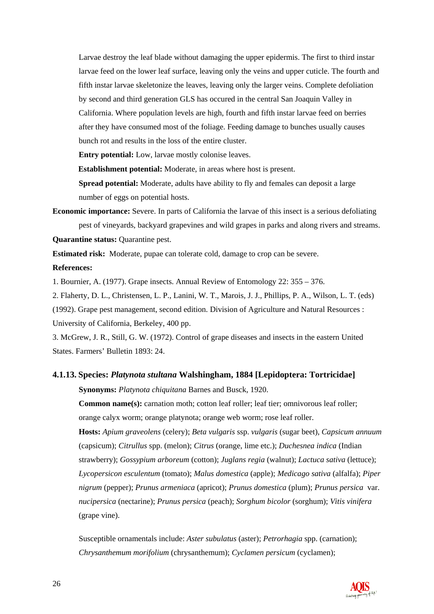Larvae destroy the leaf blade without damaging the upper epidermis. The first to third instar larvae feed on the lower leaf surface, leaving only the veins and upper cuticle. The fourth and fifth instar larvae skeletonize the leaves, leaving only the larger veins. Complete defoliation by second and third generation GLS has occured in the central San Joaquin Valley in California. Where population levels are high, fourth and fifth instar larvae feed on berries after they have consumed most of the foliage. Feeding damage to bunches usually causes bunch rot and results in the loss of the entire cluster.

**Entry potential:** Low, larvae mostly colonise leaves.

 **Establishment potential:** Moderate, in areas where host is present.

**Spread potential:** Moderate, adults have ability to fly and females can deposit a large number of eggs on potential hosts.

**Economic importance:** Severe. In parts of California the larvae of this insect is a serious defoliating pest of vineyards, backyard grapevines and wild grapes in parks and along rivers and streams.

**Quarantine status:** Quarantine pest.

**Estimated risk:** Moderate, pupae can tolerate cold, damage to crop can be severe.

#### **References:**

1. Bournier, A. (1977). Grape insects. Annual Review of Entomology 22: 355 – 376.

2. Flaherty, D. L., Christensen, L. P., Lanini, W. T., Marois, J. J., Phillips, P. A., Wilson, L. T. (eds) (1992). Grape pest management, second edition. Division of Agriculture and Natural Resources : University of California, Berkeley, 400 pp.

3. McGrew, J. R., Still, G. W. (1972). Control of grape diseases and insects in the eastern United States. Farmers' Bulletin 1893: 24.

#### **4.1.13. Species:** *Platynota stultana* **Walshingham, 1884 [Lepidoptera: Tortricidae]**

**Synonyms:** *Platynota chiquitana* Barnes and Busck, 1920.

**Common name(s):** carnation moth; cotton leaf roller; leaf tier; omnivorous leaf roller; orange calyx worm; orange platynota; orange web worm; rose leaf roller.

**Hosts:** *Apium graveolens* (celery); *Beta vulgaris* ssp. *vulgaris* (sugar beet)*, Capsicum annuum* (capsicum); *Citrullus* spp. (melon); *Citrus* (orange, lime etc.); *Duchesnea indica* (Indian strawberry); *Gossypium arboreum* (cotton); *Juglans regia* (walnut); *Lactuca sativa* (lettuce); *Lycopersicon esculentum* (tomato); *Malus domestica* (apple); *Medicago sativa* (alfalfa); *Piper nigrum* (pepper); *Prunus armeniaca* (apricot); *Prunus domestica* (plum); *Prunus persica* var. *nucipersica* (nectarine); *Prunus persica* (peach); *Sorghum bicolor* (sorghum); *Vitis vinifera* (grape vine).

 Susceptible ornamentals include: *Aster subulatus* (aster); *Petrorhagia* spp. (carnation); *Chrysanthemum morifolium* (chrysanthemum); *Cyclamen persicum* (cyclamen);

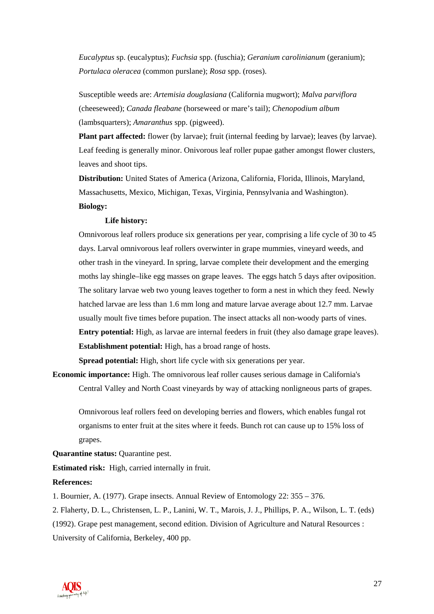*Eucalyptus* sp. (eucalyptus); *Fuchsia* spp. (fuschia); *Geranium carolinianum* (geranium); *Portulaca oleracea* (common purslane); *Rosa* spp. (roses).

 Susceptible weeds are: *Artemisia douglasiana* (California mugwort); *Malva parviflora* (cheeseweed); *Canada fleabane* (horseweed or mare's tail); *Chenopodium album* (lambsquarters); *Amaranthus* spp. (pigweed).

**Plant part affected:** flower (by larvae); fruit (internal feeding by larvae); leaves (by larvae). Leaf feeding is generally minor. Onivorous leaf roller pupae gather amongst flower clusters, leaves and shoot tips.

**Distribution:** United States of America (Arizona, California, Florida, Illinois, Maryland, Massachusetts, Mexico, Michigan, Texas, Virginia, Pennsylvania and Washington).  **Biology:**

#### **Life history:**

Omnivorous leaf rollers produce six generations per year, comprising a life cycle of 30 to 45 days. Larval omnivorous leaf rollers overwinter in grape mummies, vineyard weeds, and other trash in the vineyard. In spring, larvae complete their development and the emerging moths lay shingle–like egg masses on grape leaves. The eggs hatch 5 days after oviposition. The solitary larvae web two young leaves together to form a nest in which they feed. Newly hatched larvae are less than 1.6 mm long and mature larvae average about 12.7 mm. Larvae usually moult five times before pupation. The insect attacks all non-woody parts of vines.  **Entry potential:** High, as larvae are internal feeders in fruit (they also damage grape leaves). **Establishment potential:** High, has a broad range of hosts.

**Spread potential:** High, short life cycle with six generations per year.

**Economic importance:** High. The omnivorous leaf roller causes serious damage in California's Central Valley and North Coast vineyards by way of attacking nonligneous parts of grapes.

Omnivorous leaf rollers feed on developing berries and flowers, which enables fungal rot organisms to enter fruit at the sites where it feeds. Bunch rot can cause up to 15% loss of grapes.

**Quarantine status:** Quarantine pest.

**Estimated risk:** High, carried internally in fruit.

#### **References:**

1. Bournier, A. (1977). Grape insects. Annual Review of Entomology 22: 355 – 376.

2. Flaherty, D. L., Christensen, L. P., Lanini, W. T., Marois, J. J., Phillips, P. A., Wilson, L. T. (eds) (1992). Grape pest management, second edition. Division of Agriculture and Natural Resources : University of California, Berkeley, 400 pp.

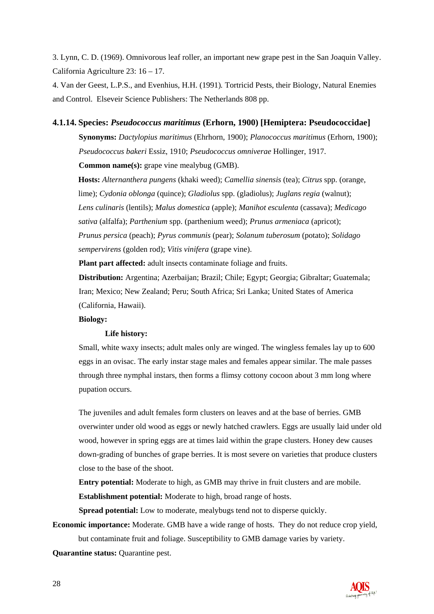3. Lynn, C. D. (1969). Omnivorous leaf roller, an important new grape pest in the San Joaquin Valley. California Agriculture 23: 16 – 17.

4. Van der Geest, L.P.S., and Evenhius, H.H. (1991)*.* Tortricid Pests, their Biology, Natural Enemies and Control. Elseveir Science Publishers: The Netherlands 808 pp.

#### **4.1.14. Species:** *Pseudococcus maritimus* **(Erhorn, 1900) [Hemiptera: Pseudococcidae]**

 **Synonyms:** *Dactylopius maritimus* (Ehrhorn, 1900); *Planococcus maritimus* (Erhorn, 1900); *Pseudococcus bakeri* Essiz, 1910; *Pseudococcus omniverae* Hollinger, 1917.  **Common name(s):** grape vine mealybug (GMB).

 **Hosts:** *Alternanthera pungens* (khaki weed); *Camellia sinensis* (tea); *Citrus* spp. (orange, lime); *Cydonia oblonga* (quince); *Gladiolus* spp. (gladiolus); *Juglans regia* (walnut); *Lens culinaris* (lentils); *Malus domestica* (apple); *Manihot esculenta* (cassava); *Medicago sativa* (alfalfa); *Parthenium* spp. (parthenium weed); *Prunus armeniaca* (apricot); *Prunus persica* (peach); *Pyrus communis* (pear); *Solanum tuberosum* (potato); *Solidago sempervirens* (golden rod); *Vitis vinifera* (grape vine).

**Plant part affected:** adult insects contaminate foliage and fruits.

**Distribution:** Argentina; Azerbaijan; Brazil; Chile; Egypt; Georgia; Gibraltar; Guatemala; Iran; Mexico; New Zealand; Peru; South Africa; Sri Lanka; United States of America (California, Hawaii).

#### **Biology:**

#### **Life history:**

Small, white waxy insects; adult males only are winged. The wingless females lay up to 600 eggs in an ovisac. The early instar stage males and females appear similar. The male passes through three nymphal instars, then forms a flimsy cottony cocoon about 3 mm long where pupation occurs.

The juveniles and adult females form clusters on leaves and at the base of berries. GMB overwinter under old wood as eggs or newly hatched crawlers. Eggs are usually laid under old wood, however in spring eggs are at times laid within the grape clusters. Honey dew causes down-grading of bunches of grape berries. It is most severe on varieties that produce clusters close to the base of the shoot.

**Entry potential:** Moderate to high, as GMB may thrive in fruit clusters and are mobile. **Establishment potential:** Moderate to high, broad range of hosts.

**Spread potential:** Low to moderate, mealybugs tend not to disperse quickly.

**Economic importance:** Moderate. GMB have a wide range of hosts. They do not reduce crop yield, but contaminate fruit and foliage. Susceptibility to GMB damage varies by variety.

**Quarantine status:** Quarantine pest.

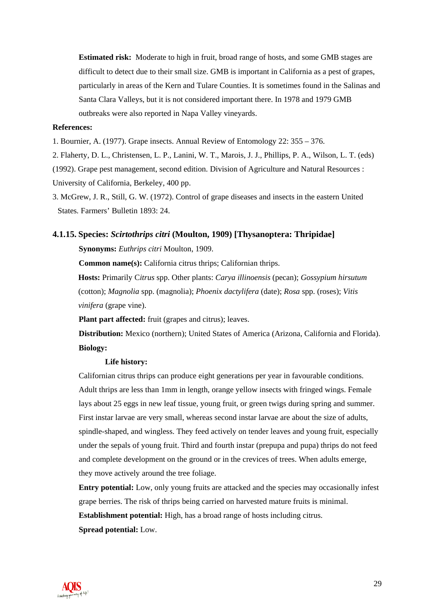**Estimated risk:** Moderate to high in fruit, broad range of hosts, and some GMB stages are difficult to detect due to their small size. GMB is important in California as a pest of grapes, particularly in areas of the Kern and Tulare Counties. It is sometimes found in the Salinas and Santa Clara Valleys, but it is not considered important there. In 1978 and 1979 GMB outbreaks were also reported in Napa Valley vineyards.

#### **References:**

1. Bournier, A. (1977). Grape insects. Annual Review of Entomology 22: 355 – 376.

2. Flaherty, D. L., Christensen, L. P., Lanini, W. T., Marois, J. J., Phillips, P. A., Wilson, L. T. (eds) (1992). Grape pest management, second edition. Division of Agriculture and Natural Resources : University of California, Berkeley, 400 pp.

3. McGrew, J. R., Still, G. W. (1972). Control of grape diseases and insects in the eastern United States*.* Farmers' Bulletin 1893: 24.

#### **4.1.15. Species:** *Scirtothrips citri* **(Moulton, 1909) [Thysanoptera: Thripidae]**

**Synonyms:** *Euthrips citri* Moulton, 1909.

**Common name(s):** California citrus thrips; Californian thrips.

**Hosts:** Primarily C*itrus* spp. Other plants: *Carya illinoensis* (pecan); *Gossypium hirsutum* (cotton); *Magnolia* spp. (magnolia); *Phoenix dactylifera* (date); *Rosa* spp. (roses); *Vitis vinifera* (grape vine).

**Plant part affected:** fruit (grapes and citrus); leaves.

**Distribution:** Mexico (northern); United States of America (Arizona, California and Florida).  **Biology:**

#### **Life history:**

Californian citrus thrips can produce eight generations per year in favourable conditions. Adult thrips are less than 1mm in length, orange yellow insects with fringed wings. Female lays about 25 eggs in new leaf tissue, young fruit, or green twigs during spring and summer. First instar larvae are very small, whereas second instar larvae are about the size of adults, spindle-shaped, and wingless. They feed actively on tender leaves and young fruit, especially under the sepals of young fruit. Third and fourth instar (prepupa and pupa) thrips do not feed and complete development on the ground or in the crevices of trees. When adults emerge, they move actively around the tree foliage.

**Entry potential:** Low, only young fruits are attacked and the species may occasionally infest grape berries. The risk of thrips being carried on harvested mature fruits is minimal. **Establishment potential:** High, has a broad range of hosts including citrus. **Spread potential:** Low.

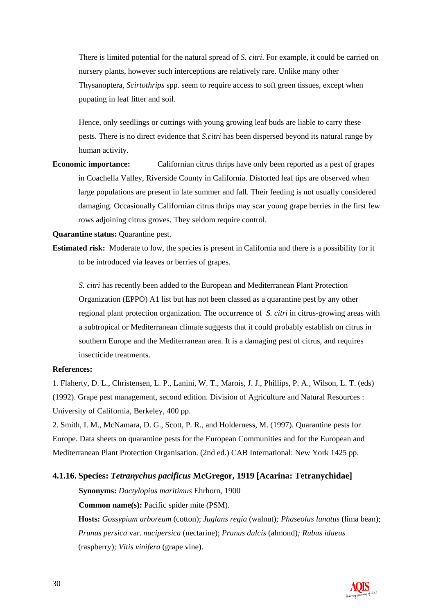There is limited potential for the natural spread of *S. citri*. For example, it could be carried on nursery plants, however such interceptions are relatively rare. Unlike many other Thysanoptera, *Scirtothrips* spp. seem to require access to soft green tissues, except when pupating in leaf litter and soil.

 Hence, only seedlings or cuttings with young growing leaf buds are liable to carry these pests. There is no direct evidence that *S.citri* has been dispersed beyond its natural range by human activity.

**Economic importance:** Californian citrus thrips have only been reported as a pest of grapes in Coachella Valley, Riverside County in California. Distorted leaf tips are observed when large populations are present in late summer and fall. Their feeding is not usually considered damaging. Occasionally Californian citrus thrips may scar young grape berries in the first few rows adjoining citrus groves. They seldom require control.

**Quarantine status:** Quarantine pest.

**Estimated risk:** Moderate to low, the species is present in California and there is a possibility for it to be introduced via leaves or berries of grapes.

*S. citri* has recently been added to the European and Mediterranean Plant Protection Organization (EPPO) A1 list but has not been classed as a quarantine pest by any other regional plant protection organization. The occurrence of *S. citri* in citrus-growing areas with a subtropical or Mediterranean climate suggests that it could probably establish on citrus in southern Europe and the Mediterranean area. It is a damaging pest of citrus, and requires insecticide treatments.

#### **References:**

1. Flaherty, D. L., Christensen, L. P., Lanini, W. T., Marois, J. J., Phillips, P. A., Wilson, L. T. (eds) (1992). Grape pest management, second edition. Division of Agriculture and Natural Resources : University of California, Berkeley, 400 pp.

2. Smith, I. M., McNamara, D. G., Scott, P. R., and Holderness, M. (1997). Quarantine pests for Europe. Data sheets on quarantine pests for the European Communities and for the European and Mediterranean Plant Protection Organisation. (2nd ed.) CAB International: New York 1425 pp.

#### **4.1.16. Species:** *Tetranychus pacificus* **McGregor, 1919 [Acarina: Tetranychidae]**

**Synonyms:** *Dactylopius maritimus* Ehrhorn, 1900

**Common name(s):** Pacific spider mite (PSM).

**Hosts:** *Gossypium arboreum* (cotton); *Juglans regia* (walnut)*; Phaseolus lunatus* (lima bean); *Prunus persica* var. *nucipersica* (nectarine); *Prunus dulcis* (almond)*; Rubus idaeus* (raspberry)*; Vitis vinifera* (grape vine).

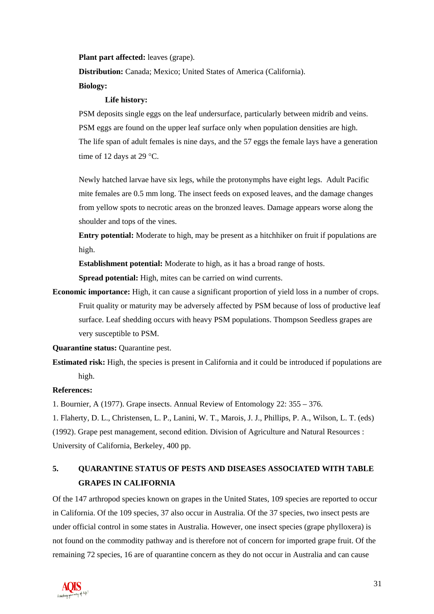**Plant part affected:** leaves (grape).

**Distribution:** Canada; Mexico; United States of America (California).  **Biology:** 

#### **Life history:**

PSM deposits single eggs on the leaf undersurface, particularly between midrib and veins. PSM eggs are found on the upper leaf surface only when population densities are high. The life span of adult females is nine days, and the 57 eggs the female lays have a generation time of 12 days at 29 °C.

Newly hatched larvae have six legs, while the protonymphs have eight legs. Adult Pacific mite females are 0.5 mm long. The insect feeds on exposed leaves, and the damage changes from yellow spots to necrotic areas on the bronzed leaves. Damage appears worse along the shoulder and tops of the vines.

**Entry potential:** Moderate to high, may be present as a hitchhiker on fruit if populations are high.

**Establishment potential:** Moderate to high, as it has a broad range of hosts.

**Spread potential:** High, mites can be carried on wind currents.

**Economic importance:** High, it can cause a significant proportion of yield loss in a number of crops. Fruit quality or maturity may be adversely affected by PSM because of loss of productive leaf surface. Leaf shedding occurs with heavy PSM populations. Thompson Seedless grapes are very susceptible to PSM.

**Quarantine status:** Quarantine pest.

**Estimated risk:** High, the species is present in California and it could be introduced if populations are high.

#### **References:**

1. Bournier, A (1977). Grape insects. Annual Review of Entomology 22: 355 – 376.

1. Flaherty, D. L., Christensen, L. P., Lanini, W. T., Marois, J. J., Phillips, P. A., Wilson, L. T. (eds) (1992). Grape pest management, second edition. Division of Agriculture and Natural Resources : University of California, Berkeley, 400 pp.

### **5. QUARANTINE STATUS OF PESTS AND DISEASES ASSOCIATED WITH TABLE GRAPES IN CALIFORNIA**

Of the 147 arthropod species known on grapes in the United States, 109 species are reported to occur in California. Of the 109 species, 37 also occur in Australia. Of the 37 species, two insect pests are under official control in some states in Australia. However, one insect species (grape phylloxera) is not found on the commodity pathway and is therefore not of concern for imported grape fruit. Of the remaining 72 species, 16 are of quarantine concern as they do not occur in Australia and can cause

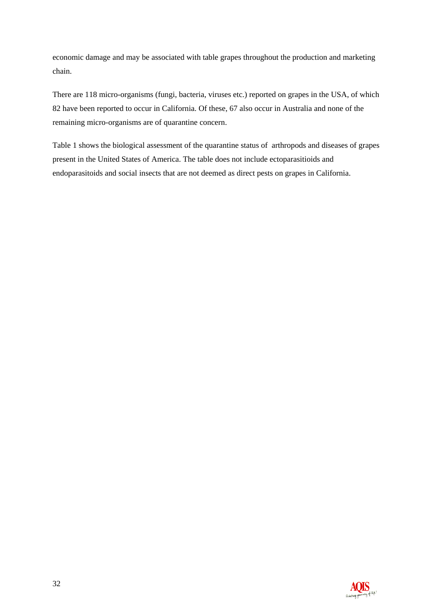economic damage and may be associated with table grapes throughout the production and marketing chain.

There are 118 micro-organisms (fungi, bacteria, viruses etc.) reported on grapes in the USA, of which 82 have been reported to occur in California. Of these, 67 also occur in Australia and none of the remaining micro-organisms are of quarantine concern.

Table 1 shows the biological assessment of the quarantine status of arthropods and diseases of grapes present in the United States of America. The table does not include ectoparasitioids and endoparasitoids and social insects that are not deemed as direct pests on grapes in California.

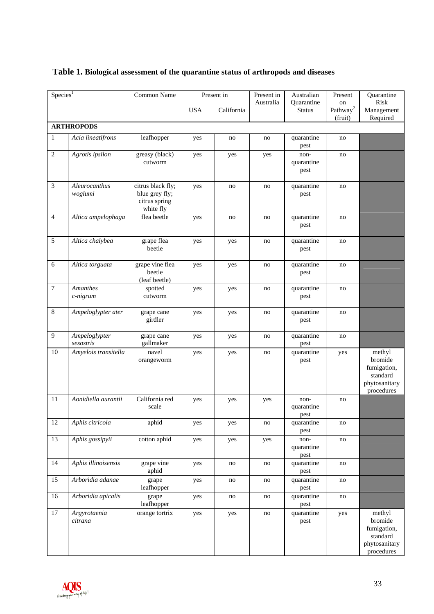| Species <sup>1</sup> |                            | Common Name                                                       |            | Present in | Present in | Australian                  | Present                               | Quarantine                                                                  |
|----------------------|----------------------------|-------------------------------------------------------------------|------------|------------|------------|-----------------------------|---------------------------------------|-----------------------------------------------------------------------------|
|                      |                            |                                                                   | <b>USA</b> | California | Australia  | Quarantine<br><b>Status</b> | on<br>Pathway <sup>2</sup><br>(fruit) | Risk<br>Management<br>Required                                              |
|                      | <b>ARTHROPODS</b>          |                                                                   |            |            |            |                             |                                       |                                                                             |
| $\mathbf{1}$         | Acia lineatifrons          | leafhopper                                                        | yes        | no         | no         | quarantine<br>pest          | no                                    |                                                                             |
| $\sqrt{2}$           | Agrotis ipsilon            | greasy (black)<br>cutworm                                         | yes        | yes        | yes        | non-<br>quarantine<br>pest  | no                                    |                                                                             |
| $\mathfrak{Z}$       | Aleurocanthus<br>woglumi   | citrus black fly;<br>blue grey fly;<br>citrus spring<br>white fly | yes        | no         | no         | quarantine<br>pest          | no                                    |                                                                             |
| $\overline{4}$       | Altica ampelophaga         | flea beetle                                                       | yes        | no         | no         | quarantine<br>pest          | no                                    |                                                                             |
| $\overline{5}$       | Altica chalybea            | grape flea<br>beetle                                              | yes        | yes        | no         | quarantine<br>pest          | no                                    |                                                                             |
| $6\,$                | Altica torguata            | grape vine flea<br>beetle<br>(leaf beetle)                        | yes        | yes        | no         | quarantine<br>pest          | no                                    |                                                                             |
| $\boldsymbol{7}$     | Amanthes<br>$c$ -nigrum    | spotted<br>cutworm                                                | yes        | yes        | no         | quarantine<br>pest          | no                                    |                                                                             |
| $8\,$                | Ampeloglypter ater         | grape cane<br>girdler                                             | yes        | yes        | no         | quarantine<br>pest          | no                                    |                                                                             |
| 9                    | Ampeloglypter<br>sesostris | grape cane<br>gallmaker                                           | yes        | yes        | no         | quarantine<br>pest          | no                                    |                                                                             |
| 10                   | Amyelois transitella       | navel<br>orangeworm                                               | yes        | yes        | no         | quarantine<br>pest          | yes                                   | methyl<br>bromide<br>fumigation,<br>standard<br>phytosanitary<br>procedures |
| 11                   | Aonidiella aurantii        | California red<br>scale                                           | yes        | yes        | yes        | non-<br>quarantine<br>pest  | no                                    |                                                                             |
| 12                   | Aphis citricola            | aphid                                                             | yes        | yes        | no         | quarantine<br>pest          | no                                    |                                                                             |
| 13                   | Aphis gossipyii            | cotton aphid                                                      | yes        | yes        | yes        | non-<br>quarantine<br>pest  | no                                    |                                                                             |
| 14                   | Aphis illinoisensis        | grape vine<br>aphid                                               | yes        | no         | no         | quarantine<br>pest          | no                                    |                                                                             |
| 15                   | Arboridia adanae           | grape<br>leafhopper                                               | yes        | no         | no         | quarantine<br>pest          | no                                    |                                                                             |
| $16\,$               | Arboridia apicalis         | grape<br>leafhopper                                               | yes        | no         | no         | quarantine<br>pest          | no                                    |                                                                             |
| 17                   | Argyrotaenia<br>citrana    | orange tortrix                                                    | yes        | yes        | no         | quarantine<br>pest          | yes                                   | methyl<br>bromide<br>fumigation,<br>standard<br>phytosanitary<br>procedures |

### **Table 1. Biological assessment of the quarantine status of arthropods and diseases**

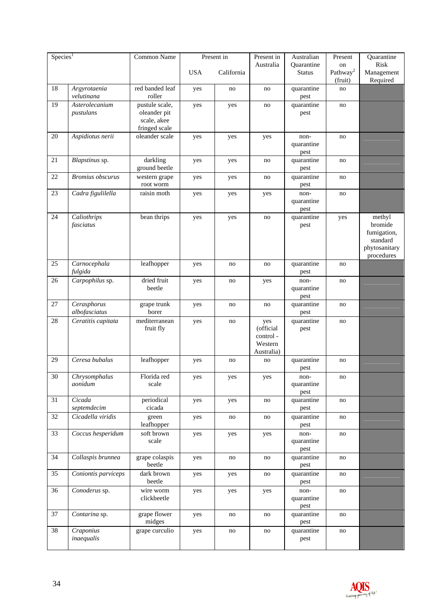| Species <sup>1</sup> |                            | Common Name                     |            | Present in | Present in            | Australian         | Present                         | Quarantine             |
|----------------------|----------------------------|---------------------------------|------------|------------|-----------------------|--------------------|---------------------------------|------------------------|
|                      |                            |                                 |            |            | Australia             | Quarantine         | on                              | Risk                   |
|                      |                            |                                 | <b>USA</b> | California |                       | <b>Status</b>      | Pathway <sup>2</sup><br>(fruit) | Management<br>Required |
| 18                   | Argyrotaenia<br>velutinana | red banded leaf<br>roller       | yes        | no         | no                    | quarantine<br>pest | no                              |                        |
| 19                   | Asterolecanium             | pustule scale,                  | yes        | yes        | no                    | quarantine         | no                              |                        |
|                      | pustulans                  | oleander pit                    |            |            |                       | pest               |                                 |                        |
|                      |                            | scale, akee                     |            |            |                       |                    |                                 |                        |
| $20\,$               | Aspidiotus nerii           | fringed scale<br>oleander scale | yes        | yes        | yes                   | non-               | no                              |                        |
|                      |                            |                                 |            |            |                       | quarantine         |                                 |                        |
|                      |                            |                                 |            |            |                       | pest               |                                 |                        |
| 21                   | Blapstinus sp.             | darkling                        | yes        | yes        | no                    | quarantine         | no                              |                        |
| 22                   |                            | ground beetle<br>western grape  |            |            |                       | pest               |                                 |                        |
|                      | <b>Bromius</b> obscurus    | root worm                       | yes        | yes        | no                    | quarantine<br>pest | no                              |                        |
| 23                   | Cadra figulilella          | raisin moth                     | yes        | yes        | yes                   | non-               | no                              |                        |
|                      |                            |                                 |            |            |                       | quarantine         |                                 |                        |
|                      |                            |                                 |            |            |                       | pest               |                                 |                        |
| 24                   | Caliothrips                | bean thrips                     | yes        | yes        | no                    | quarantine         | yes                             | methyl                 |
|                      | fasciatus                  |                                 |            |            |                       | pest               |                                 | bromide<br>fumigation, |
|                      |                            |                                 |            |            |                       |                    |                                 | standard               |
|                      |                            |                                 |            |            |                       |                    |                                 | phytosanitary          |
|                      |                            |                                 |            |            |                       |                    |                                 | procedures             |
| 25                   | Carnocephala<br>fulgida    | leafhopper                      | yes        | no         | no                    | quarantine<br>pest | no                              |                        |
| 26                   | Carpophilus sp.            | dried fruit                     | yes        | no         | yes                   | non-               | no                              |                        |
|                      |                            | beetle                          |            |            |                       | quarantine<br>pest |                                 |                        |
| 27                   | Cerasphorus                | grape trunk                     | yes        | no         | no                    | quarantine         | no                              |                        |
|                      | albofasciatus              | borer                           |            |            |                       | pest               |                                 |                        |
| 28                   | Ceratitis capitata         | mediterranean                   | yes        | no         | yes                   | quarantine         | no                              |                        |
|                      |                            | fruit fly                       |            |            | (official<br>control- | pest               |                                 |                        |
|                      |                            |                                 |            |            | Western               |                    |                                 |                        |
|                      |                            |                                 |            |            | Australia)            |                    |                                 |                        |
| 29                   | Ceresa bubalus             | leafhopper                      | yes        | no         | no                    | quarantine<br>pest | no                              |                        |
| 30                   | Chrysomphalus              | Florida red                     | yes        | yes        | yes                   | non-               | no                              |                        |
|                      | aonidum                    | scale                           |            |            |                       | quarantine         |                                 |                        |
| 31                   | Cicada                     | periodical                      | yes        | yes        | no                    | pest<br>quarantine | no                              |                        |
|                      | septemdecim                | cicada                          |            |            |                       | pest               |                                 |                        |
| 32                   | Cicadella viridis          | green                           | yes        | no         | no                    | quarantine         | no                              |                        |
|                      |                            | leafhopper                      |            |            |                       | pest               |                                 |                        |
| 33                   | Coccus hesperidum          | soft brown<br>scale             | yes        | yes        | yes                   | non-               | no                              |                        |
|                      |                            |                                 |            |            |                       | quarantine<br>pest |                                 |                        |
| 34                   | Collaspis brunnea          | grape colaspis                  | yes        | no         | no                    | quarantine         | no                              |                        |
|                      |                            | beetle                          |            |            |                       | pest               |                                 |                        |
| 35                   | Coniontis parviceps        | dark brown<br>beetle            | yes        | yes        | no                    | quarantine<br>pest | no                              |                        |
| 36                   | Conoderus sp.              | wire worm                       | yes        | yes        | yes                   | non-               | no                              |                        |
|                      |                            | clickbeetle                     |            |            |                       | quarantine         |                                 |                        |
| 37                   | Contarina sp.              | grape flower                    |            |            |                       | pest               |                                 |                        |
|                      |                            | midges                          | yes        | no         | no                    | quarantine<br>pest | no                              |                        |
| 38                   | Craponius<br>inaequalis    | grape curculio                  | yes        | no         | no                    | quarantine<br>pest | no                              |                        |
|                      |                            |                                 |            |            |                       |                    |                                 |                        |

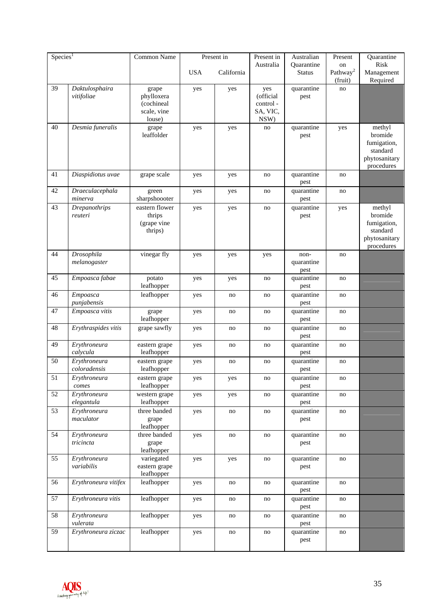| Species <sup>1</sup> |                                 | Common Name                 |            | Present in | Present in | Australian         | Present                         | Quarantine             |
|----------------------|---------------------------------|-----------------------------|------------|------------|------------|--------------------|---------------------------------|------------------------|
|                      |                                 |                             |            |            | Australia  | Quarantine         | on                              | Risk                   |
|                      |                                 |                             | <b>USA</b> | California |            | <b>Status</b>      | Pathway <sup>2</sup><br>(fruit) | Management             |
| 39                   | Daktulosphaira                  | grape                       | yes        | yes        | yes        | quarantine         | no                              | Required               |
|                      | vitifoliae                      | phylloxera                  |            |            | (official  | pest               |                                 |                        |
|                      |                                 | (cochineal                  |            |            | control-   |                    |                                 |                        |
|                      |                                 | scale, vine                 |            |            | SA, VIC,   |                    |                                 |                        |
|                      |                                 | louse)                      |            |            | NSW)       |                    |                                 |                        |
| 40                   | Desmia funeralis                | grape                       | yes        | yes        | no         | quarantine         | yes                             | methyl                 |
|                      |                                 | leaffolder                  |            |            |            | pest               |                                 | bromide<br>fumigation, |
|                      |                                 |                             |            |            |            |                    |                                 | standard               |
|                      |                                 |                             |            |            |            |                    |                                 | phytosanitary          |
|                      |                                 |                             |            |            |            |                    |                                 | procedures             |
| 41                   | Diaspidiotus uvae               | grape scale                 | yes        | yes        | no         | quarantine         | no                              |                        |
|                      |                                 |                             |            |            |            | pest               |                                 |                        |
| 42                   | Draeculacephala<br>minerva      | green<br>sharpshoooter      | yes        | yes        | no         | quarantine<br>pest | no                              |                        |
| 43                   | <b>Drepanothrips</b>            | eastern flower              | yes        | yes        | no         | quarantine         | yes                             | methyl                 |
|                      | reuteri                         | thrips                      |            |            |            | pest               |                                 | bromide                |
|                      |                                 | (grape vine                 |            |            |            |                    |                                 | fumigation,            |
|                      |                                 | thrips)                     |            |            |            |                    |                                 | standard               |
|                      |                                 |                             |            |            |            |                    |                                 | phytosanitary          |
| 44                   | Drosophila                      | vinegar fly                 |            |            |            | non-               | no                              | procedures             |
|                      | melanogaster                    |                             | yes        | yes        | yes        | quarantine         |                                 |                        |
|                      |                                 |                             |            |            |            | pest               |                                 |                        |
| 45                   | Empoasca fabae                  | potato                      | yes        | yes        | no         | quarantine         | no                              |                        |
|                      |                                 | leafhopper                  |            |            |            | pest               |                                 |                        |
| 46                   | Empoasca                        | leafhopper                  | yes        | no         | no         | quarantine         | no                              |                        |
| 47                   | punjabensis                     |                             |            |            |            | pest               |                                 |                        |
|                      | Empoasca vitis                  | grape<br>leafhopper         | yes        | no         | no         | quarantine<br>pest | no                              |                        |
| 48                   | Erythraspides vitis             | grape sawfly                | yes        | no         | no         | quarantine         | no                              |                        |
|                      |                                 |                             |            |            |            | pest               |                                 |                        |
| 49                   | Erythroneura                    | eastern grape               | yes        | no         | no         | quarantine         | no                              |                        |
|                      | calycula                        | leafhopper                  |            |            |            | pest               |                                 |                        |
| 50                   | Erythroneura<br>coloradensis    | eastern grape<br>leafhopper | yes        | no         | no         | quarantine<br>pest | no                              |                        |
| 51                   | Erythroneura                    | eastern grape               | yes        | yes        | no         | quarantine         | no                              |                        |
|                      | comes                           | leafhopper                  |            |            |            | pest               |                                 |                        |
| 52                   | Erythroneura                    | western grape               | yes        | yes        | no         | quarantine         | no                              |                        |
|                      | elegantula                      | leafhopper                  |            |            |            | pest               |                                 |                        |
| 53                   | Erythroneura                    | three banded                | yes        | no         | no         | quarantine         | no                              |                        |
|                      | maculator                       | grape<br>leafhopper         |            |            |            | pest               |                                 |                        |
| 54                   | Erythroneura                    | three banded                | yes        | no         | no         | quarantine         | no                              |                        |
|                      | tricincta                       | grape                       |            |            |            | pest               |                                 |                        |
|                      |                                 | leafhopper                  |            |            |            |                    |                                 |                        |
| 55                   | Erythroneura                    | variegated                  | yes        | yes        | no         | quarantine         | no                              |                        |
|                      | variabilis                      | eastern grape               |            |            |            | pest               |                                 |                        |
| 56                   | Erythroneura vitifex            | leafhopper<br>leafhopper    | yes        | no         | no         | quarantine         | no                              |                        |
|                      |                                 |                             |            |            |            | pest               |                                 |                        |
| 57                   | Erythroneura vitis              | leafhopper                  | yes        | no         | no         | quarantine         | no                              |                        |
|                      |                                 |                             |            |            |            | pest               |                                 |                        |
| 58                   | Erythroneura                    | leafhopper                  | yes        | no         | no         | quarantine         | no                              |                        |
| 59                   | vulerata<br>Erythroneura ziczac |                             |            |            |            | pest               |                                 |                        |
|                      |                                 | leafhopper                  | yes        | no         | no         | quarantine<br>pest | no                              |                        |
|                      |                                 |                             |            |            |            |                    |                                 |                        |

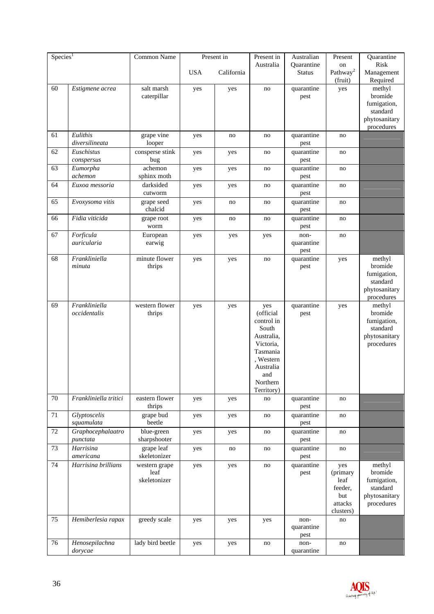| $\text{Species}^{\overline{1}}$ |                       | Common Name               |            | Present in | Present in          | Australian         | Present              | Quarantine              |
|---------------------------------|-----------------------|---------------------------|------------|------------|---------------------|--------------------|----------------------|-------------------------|
|                                 |                       |                           |            |            | Australia           | Quarantine         | on                   | Risk                    |
|                                 |                       |                           | <b>USA</b> | California |                     | <b>Status</b>      | Pathway <sup>2</sup> | Management              |
|                                 |                       |                           |            |            |                     |                    | (fruit)              | Required                |
| 60                              | Estigmene acrea       | salt marsh<br>caterpillar | yes        | yes        | no                  | quarantine         | yes                  | methyl<br>bromide       |
|                                 |                       |                           |            |            |                     | pest               |                      | fumigation,             |
|                                 |                       |                           |            |            |                     |                    |                      | standard                |
|                                 |                       |                           |            |            |                     |                    |                      | phytosanitary           |
|                                 |                       |                           |            |            |                     |                    |                      | procedures              |
| 61                              | Eulithis              | grape vine                | yes        | no         | no                  | quarantine         | no                   |                         |
|                                 | diversilineata        | looper                    |            |            |                     | pest               |                      |                         |
| 62                              | Euschistus            | consperse stink           | yes        | yes        | no                  | quarantine         | no                   |                         |
|                                 | conspersus            | bug                       |            |            |                     | pest               |                      |                         |
| 63                              | Eumorpha              | achemon                   | yes        | yes        | no                  | quarantine         | no                   |                         |
|                                 | achemon               | sphinx moth               |            |            |                     | pest               |                      |                         |
| 64                              | Euxoa messoria        | darksided                 | yes        | yes        | no                  | quarantine         | no                   |                         |
|                                 |                       | cutworm                   |            |            |                     | pest               |                      |                         |
| 65                              | Evoxysoma vitis       | grape seed                | yes        | no         | no                  | quarantine         | no                   |                         |
|                                 |                       | chalcid                   |            |            |                     | pest               |                      |                         |
| 66                              | Fidia viticida        | grape root                | yes        | no         | no                  | quarantine         | no                   |                         |
|                                 |                       | worm                      |            |            |                     | pest               |                      |                         |
| 67                              | Forficula             | European                  | yes        | yes        | yes                 | non-               | no                   |                         |
|                                 | auricularia           | earwig                    |            |            |                     | quarantine<br>pest |                      |                         |
| 68                              | Frankliniella         | minute flower             | yes        | yes        | no                  | quarantine         | yes                  | methyl                  |
|                                 | minuta                | thrips                    |            |            |                     | pest               |                      | bromide                 |
|                                 |                       |                           |            |            |                     |                    |                      | fumigation,             |
|                                 |                       |                           |            |            |                     |                    |                      | standard                |
|                                 |                       |                           |            |            |                     |                    |                      | phytosanitary           |
|                                 |                       |                           |            |            |                     |                    |                      | procedures              |
| 69                              | Frankliniella         | western flower            | yes        | yes        | yes                 | quarantine         | yes                  | methyl                  |
|                                 | occidentalis          | thrips                    |            |            | (official           | pest               |                      | bromide                 |
|                                 |                       |                           |            |            | control in<br>South |                    |                      | fumigation,<br>standard |
|                                 |                       |                           |            |            | Australia,          |                    |                      | phytosanitary           |
|                                 |                       |                           |            |            | Victoria.           |                    |                      | procedures              |
|                                 |                       |                           |            |            | Tasmania            |                    |                      |                         |
|                                 |                       |                           |            |            | , Western           |                    |                      |                         |
|                                 |                       |                           |            |            | Australia           |                    |                      |                         |
|                                 |                       |                           |            |            | and                 |                    |                      |                         |
|                                 |                       |                           |            |            | Northern            |                    |                      |                         |
|                                 |                       |                           |            |            | Territory)          |                    |                      |                         |
| 70                              | Frankliniella tritici | eastern flower<br>thrips  | yes        | yes        | no                  | quarantine         | no                   |                         |
| 71                              | Glyptoscelis          | grape bud                 |            |            |                     | pest<br>quarantine |                      |                         |
|                                 | squamulata            | beetle                    | yes        | yes        | no                  | pest               | no                   |                         |
| 72                              | Graphocephalaatro     | blue-green                | yes        | yes        | no                  | quarantine         | no                   |                         |
|                                 | punctata              | sharpshooter              |            |            |                     | pest               |                      |                         |
| 73                              | Harrisina             | grape leaf                | yes        | no         | no                  | quarantine         | no                   |                         |
|                                 | americana             | skeletonizer              |            |            |                     | pest               |                      |                         |
| 74                              | Harrisina brillians   | western grape             | yes        | yes        | no                  | quarantine         | yes                  | methyl                  |
|                                 |                       | leaf                      |            |            |                     | pest               | (primary             | bromide                 |
|                                 |                       | skeletonizer              |            |            |                     |                    | leaf                 | fumigation,             |
|                                 |                       |                           |            |            |                     |                    | feeder,              | standard                |
|                                 |                       |                           |            |            |                     |                    | but                  | phytosanitary           |
|                                 |                       |                           |            |            |                     |                    | attacks              | procedures              |
| 75                              |                       |                           |            |            |                     |                    | clusters)            |                         |
|                                 | Hemiberlesia rapax    | greedy scale              | yes        | yes        | yes                 | non-<br>quarantine | no                   |                         |
|                                 |                       |                           |            |            |                     | pest               |                      |                         |
| 76                              | Henosepilachna        | lady bird beetle          | yes        | yes        | no                  | non-               | no                   |                         |
|                                 | dorycae               |                           |            |            |                     | quarantine         |                      |                         |
|                                 |                       |                           |            |            |                     |                    |                      |                         |

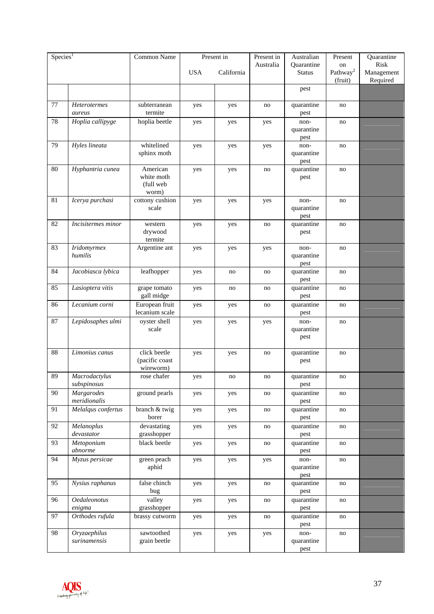| Species <sup>1</sup> |                               | Common Name                  | Present in |            | Present in | Australian         | Present              | Quarantine |
|----------------------|-------------------------------|------------------------------|------------|------------|------------|--------------------|----------------------|------------|
|                      |                               |                              |            |            | Australia  | Quarantine         | on                   | Risk       |
|                      |                               |                              | <b>USA</b> | California |            | <b>Status</b>      | Pathway <sup>2</sup> | Management |
|                      |                               |                              |            |            |            | pest               | (fruit)              | Required   |
|                      |                               |                              |            |            |            |                    |                      |            |
| 77                   | <b>Heterotermes</b><br>aureus | subterranean<br>termite      | yes        | yes        | no         | quarantine<br>pest | no                   |            |
| $78\,$               | Hoplia callipyge              | hoplia beetle                | yes        | yes        | yes        | non-               | no                   |            |
|                      |                               |                              |            |            |            | quarantine         |                      |            |
|                      |                               |                              |            |            |            | pest               |                      |            |
| 79                   | Hyles lineata                 | whitelined                   | yes        | yes        | yes        | non-               | no                   |            |
|                      |                               | sphinx moth                  |            |            |            | quarantine<br>pest |                      |            |
| 80                   | Hyphantria cunea              | American                     | yes        | yes        | no         | quarantine         | no                   |            |
|                      |                               | white moth                   |            |            |            | pest               |                      |            |
|                      |                               | (full web                    |            |            |            |                    |                      |            |
|                      |                               | worm)                        |            |            |            |                    |                      |            |
| 81                   | Icerya purchasi               | cottony cushion<br>scale     | yes        | yes        | yes        | non-<br>quarantine | no                   |            |
|                      |                               |                              |            |            |            | pest               |                      |            |
| 82                   | Incisitermes minor            | western                      | yes        | yes        | no         | quarantine         | no                   |            |
|                      |                               | drywood                      |            |            |            | pest               |                      |            |
| 83                   | <b>Iridomyrmex</b>            | termite<br>Argentine ant     |            |            |            | non-               |                      |            |
|                      | humilis                       |                              | yes        | yes        | yes        | quarantine         | no                   |            |
|                      |                               |                              |            |            |            | pest               |                      |            |
| 84                   | Jacobiasca lybica             | leafhopper                   | yes        | no         | no         | quarantine         | no                   |            |
|                      |                               |                              |            |            |            | pest               |                      |            |
| 85                   | Lasioptera vitis              | grape tomato                 | yes        | no         | no         | quarantine         | no                   |            |
| 86                   | Lecanium corni                | gall midge<br>European fruit | yes        | yes        | no         | pest<br>quarantine | no                   |            |
|                      |                               | lecanium scale               |            |            |            | pest               |                      |            |
| $87\,$               | Lepidosaphes ulmi             | oyster shell                 | yes        | yes        | yes        | non-               | no                   |            |
|                      |                               | scale                        |            |            |            | quarantine         |                      |            |
|                      |                               |                              |            |            |            | pest               |                      |            |
| 88                   | Limonius canus                | click beetle                 | yes        | yes        | no         | quarantine         | no                   |            |
|                      |                               | (pacific coast               |            |            |            | pest               |                      |            |
|                      |                               | wireworm)                    |            |            |            |                    |                      |            |
| 89                   | Macrodactylus                 | rose chafer                  | yes        | no         | no         | quarantine         | no                   |            |
| 90                   | subspinosus<br>Margarodes     | ground pearls                | yes        | yes        | no         | pest<br>quarantine | no                   |            |
|                      | meridionalis                  |                              |            |            |            | pest               |                      |            |
| 91                   | Melalqus confertus            | branch & twig                | yes        | yes        | no         | quarantine         | no                   |            |
|                      |                               | borer                        |            |            |            | pest               |                      |            |
| 92                   | Melanoplus                    | devastating                  | yes        | yes        | no         | quarantine         | no                   |            |
| 93                   | devastator<br>Metoponium      | grasshopper<br>black beetle  |            |            |            | pest<br>quarantine |                      |            |
|                      | abnorme                       |                              | yes        | yes        | no         | pest               | no                   |            |
| 94                   | Myzus persicae                | green peach                  | yes        | yes        | yes        | non-               | no                   |            |
|                      |                               | aphid                        |            |            |            | quarantine         |                      |            |
|                      |                               |                              |            |            |            | pest               |                      |            |
| 95                   | Nysius raphanus               | false chinch<br>bug          | yes        | yes        | no         | quarantine<br>pest | no                   |            |
| 96                   | $\overline{O}$ edaleonotus    | valley                       | yes        | yes        | no         | quarantine         | no                   |            |
|                      | enigma                        | grasshopper                  |            |            |            | pest               |                      |            |
| 97                   | Orthodes rufula               | brassy cutworm               | yes        | yes        | no         | quarantine         | no                   |            |
|                      |                               |                              |            |            |            | pest               |                      |            |
| 98                   | Oryzaephilus<br>surinamensis  | sawtoothed<br>grain beetle   | yes        | yes        | yes        | non-<br>quarantine | no                   |            |
|                      |                               |                              |            |            |            | pest               |                      |            |

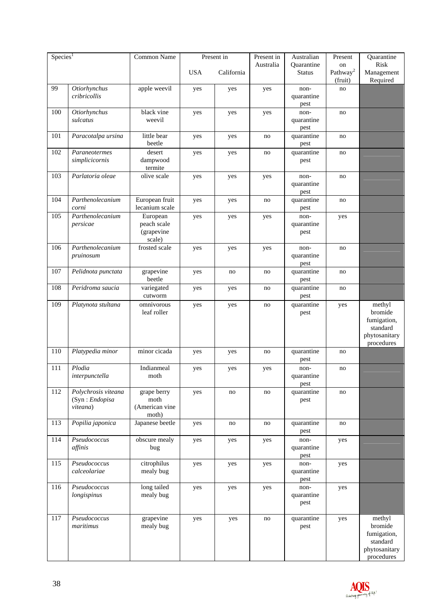| Species <sup>1</sup> |                     | Common Name          |            | Present in | Present in | Australian         | Present              | Quarantine                  |
|----------------------|---------------------|----------------------|------------|------------|------------|--------------------|----------------------|-----------------------------|
|                      |                     |                      |            |            | Australia  | Quarantine         | on                   | Risk                        |
|                      |                     |                      | <b>USA</b> | California |            | <b>Status</b>      | $\mathbf{Pathway}^2$ | Management                  |
|                      |                     |                      |            |            |            |                    | (fruit)              | Required                    |
| 99                   | <b>Otiorhynchus</b> | apple weevil         | yes        | yes        | yes        | non-               | no                   |                             |
|                      | cribricollis        |                      |            |            |            | quarantine         |                      |                             |
| 100                  | Otiorhynchus        | black vine           |            |            |            | pest               |                      |                             |
|                      | sulcatus            | weevil               | yes        | yes        | yes        | non-<br>quarantine | no                   |                             |
|                      |                     |                      |            |            |            | pest               |                      |                             |
| 101                  | Paracotalpa ursina  | little bear          | yes        | yes        | no         | quarantine         | no                   |                             |
|                      |                     | beetle               |            |            |            | pest               |                      |                             |
| 102                  | Paraneotermes       | desert               | yes        | yes        | no         | quarantine         | no                   |                             |
|                      | simplicicornis      | dampwood             |            |            |            | pest               |                      |                             |
|                      |                     | termite              |            |            |            |                    |                      |                             |
| 103                  | Parlatoria oleae    | olive scale          | yes        | yes        | yes        | non-               | no                   |                             |
|                      |                     |                      |            |            |            | quarantine         |                      |                             |
|                      |                     |                      |            |            |            | pest               |                      |                             |
| 104                  | Parthenolecanium    | European fruit       | yes        | yes        | no         | quarantine         | no                   |                             |
|                      | corni               | lecanium scale       |            |            |            | pest               |                      |                             |
| 105                  | Parthenolecanium    | European             | yes        | yes        | yes        | non-               | yes                  |                             |
|                      | persicae            | peach scale          |            |            |            | quarantine         |                      |                             |
|                      |                     | (grapevine<br>scale) |            |            |            | pest               |                      |                             |
| 106                  | Parthenolecanium    | frosted scale        | yes        | yes        | yes        | non-               | no                   |                             |
|                      | pruinosum           |                      |            |            |            | quarantine         |                      |                             |
|                      |                     |                      |            |            |            | pest               |                      |                             |
| 107                  | Pelidnota punctata  | grapevine            | yes        | no         | no         | quarantine         | no                   |                             |
|                      |                     | beetle               |            |            |            | pest               |                      |                             |
| 108                  | Peridroma saucia    | variegated           | yes        | yes        | no         | quarantine         | no                   |                             |
|                      |                     | cutworm              |            |            |            | pest               |                      |                             |
| 109                  | Platynota stultana  | omnivorous           | yes        | yes        | no         | quarantine         | yes                  | methyl                      |
|                      |                     | leaf roller          |            |            |            | pest               |                      | bromide                     |
|                      |                     |                      |            |            |            |                    |                      | fumigation,                 |
|                      |                     |                      |            |            |            |                    |                      | standard                    |
|                      |                     |                      |            |            |            |                    |                      | phytosanitary<br>procedures |
| 110                  | Platypedia minor    | minor cicada         | yes        | yes        | no         | quarantine         | no                   |                             |
|                      |                     |                      |            |            |            | pest               |                      |                             |
| 111                  | Plodia              | Indianmeal           | yes        | yes        | yes        | non-               | no                   |                             |
|                      | interpunctella      | moth                 |            |            |            | quarantine         |                      |                             |
|                      |                     |                      |            |            |            | pest               |                      |                             |
| 112                  | Polychrosis viteana | grape berry          | yes        | no         | no         | quarantine         | no                   |                             |
|                      | (Syn: Endopisa      | moth                 |            |            |            | pest               |                      |                             |
|                      | viteana)            | (American vine       |            |            |            |                    |                      |                             |
|                      |                     | moth)                |            |            |            |                    |                      |                             |
| 113                  | Popilia japonica    | Japanese beetle      | yes        | no         | no         | quarantine         | no                   |                             |
|                      |                     |                      |            |            |            | pest               |                      |                             |
| 114                  | Pseudococcus        | obscure mealy        | yes        | yes        | yes        | non-               | yes                  |                             |
|                      | affinis             | bug                  |            |            |            | quarantine<br>pest |                      |                             |
| 115                  | Pseudococcus        | citrophilus          | yes        | yes        | yes        | non-               | yes                  |                             |
|                      | calceolariae        | mealy bug            |            |            |            | quarantine         |                      |                             |
|                      |                     |                      |            |            |            | pest               |                      |                             |
| 116                  | Pseudococcus        | long tailed          | yes        | yes        | yes        | non-               | yes                  |                             |
|                      | longispinus         | mealy bug            |            |            |            | quarantine         |                      |                             |
|                      |                     |                      |            |            |            | pest               |                      |                             |
|                      |                     |                      |            |            |            |                    |                      |                             |
| 117                  | Pseudococcus        | grapevine            | yes        | yes        | no         | quarantine         | yes                  | methyl                      |
|                      | maritimus           | mealy bug            |            |            |            | pest               |                      | bromide                     |
|                      |                     |                      |            |            |            |                    |                      | fumigation,<br>standard     |
|                      |                     |                      |            |            |            |                    |                      | phytosanitary               |
|                      |                     |                      |            |            |            |                    |                      | procedures                  |
|                      |                     |                      |            |            |            |                    |                      |                             |

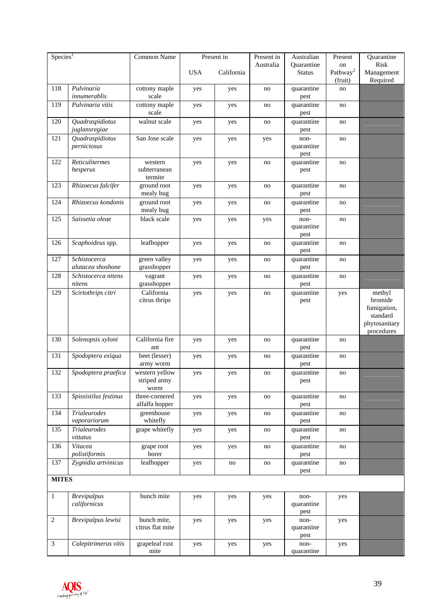| $\text{Species}^1$          |                                     | Common Name                            |            | Present in | Present in | Australian                 | Present              | Quarantine                                                                  |
|-----------------------------|-------------------------------------|----------------------------------------|------------|------------|------------|----------------------------|----------------------|-----------------------------------------------------------------------------|
|                             |                                     |                                        |            |            | Australia  | Quarantine                 | on                   | Risk                                                                        |
|                             |                                     |                                        | <b>USA</b> | California |            | <b>Status</b>              | Pathway <sup>2</sup> | Management                                                                  |
|                             |                                     |                                        |            |            |            |                            | (fruit)              | Required                                                                    |
| 118                         | Pulvinaria<br>innumerablis          | cottony maple<br>scale                 | yes        | yes        | no         | quarantine<br>pest         | no                   |                                                                             |
| 119                         | Pulvinaria vitis                    | cottony maple<br>scale                 | yes        | yes        | no         | quarantine<br>pest         | no                   |                                                                             |
| 120                         | Quadraspidiotus<br>juglansregiae    | walnut scale                           | yes        | yes        | no         | quarantine<br>pest         | no                   |                                                                             |
| 121                         | Quadraspidiotus<br>perniciosus      | San Jose scale                         | yes        | yes        | yes        | non-<br>quarantine<br>pest | no                   |                                                                             |
| 122                         | Reticulitermes<br>hesperus          | western<br>subterranean<br>termite     | yes        | yes        | no         | quarantine<br>pest         | no                   |                                                                             |
| 123                         | Rhizoecus falcifer                  | ground root<br>mealy bug               | yes        | yes        | no         | quarantine<br>pest         | no                   |                                                                             |
| 124                         | Rhizoecus kondonis                  | ground root<br>mealy bug               | yes        | yes        | no         | quarantine<br>pest         | no                   |                                                                             |
| 125                         | Saissetia oleae                     | black scale                            | yes        | yes        | yes        | non-<br>quarantine<br>pest | no                   |                                                                             |
| 126                         | Scaphoideus spp.                    | leafhopper                             | yes        | yes        | no         | quarantine<br>pest         | no                   |                                                                             |
| 127                         | Schistocerca<br>alutacea shoshone   | green valley<br>grasshopper            | yes        | yes        | no         | quarantine<br>pest         | no                   |                                                                             |
| 128                         | Schistocerca nitens<br>nitens       | vagrant<br>grasshopper                 | yes        | yes        | no         | quarantine<br>pest         | no                   |                                                                             |
| 129                         | Scirtothrips citri                  | California<br>citrus thrips            | yes        | yes        | no         | quarantine<br>pest         | yes                  | methyl<br>bromide<br>fumigation,<br>standard<br>phytosanitary<br>procedures |
| 130                         | Solenopsis xyloni                   | California fire<br>ant                 | yes        | yes        | no         | quarantine<br>pest         | no                   |                                                                             |
| 131                         | Spodoptera exiqua                   | beet (lesser)<br>army worm             | yes        | yes        | no         | quarantine<br>pest         | no                   |                                                                             |
| 132                         | Spodoptera praefica                 | western yellow<br>striped army<br>worm | yes        | yes        | no         | quarantine<br>pest         | no                   |                                                                             |
| 133                         | Spissistilus festinus               | three-cornered<br>alfalfa hopper       | yes        | yes        | no         | quarantine<br>pest         | no                   |                                                                             |
| 134                         | <b>Trialeurodes</b><br>vaporariorum | greenhouse<br>whitefly                 | yes        | yes        | no         | quarantine<br>pest         | no                   |                                                                             |
| 135                         | <b>Trialeurodes</b><br>vittatus     | grape whitefly                         | yes        | yes        | no         | quarantine<br>pest         | no                   |                                                                             |
| 136                         | Vitacea<br>polistiformis            | grape root<br>borer                    | yes        | yes        | no         | quarantine<br>pest         | no                   |                                                                             |
| 137                         | Zygnidia artvinicus                 | leafhopper                             | yes        | no         | no         | quarantine<br>pest         | no                   |                                                                             |
| <b>MITES</b>                |                                     |                                        |            |            |            |                            |                      |                                                                             |
| $\mathbf{1}$                | <b>Brevipalpus</b><br>californicus  | bunch mite                             | yes        | yes        | yes        | non-<br>quarantine<br>pest | yes                  |                                                                             |
| $\mathbf{2}$                | Brevipalpus lewisi                  | bunch mite,<br>citrus flat mite        | yes        | yes        | yes        | non-<br>quarantine<br>pest | yes                  |                                                                             |
| $\boldsymbol{\mathfrak{Z}}$ | Calepitrimerus vitis                | grapeleaf rust<br>mite                 | yes        | yes        | yes        | non-<br>quarantine         | yes                  |                                                                             |

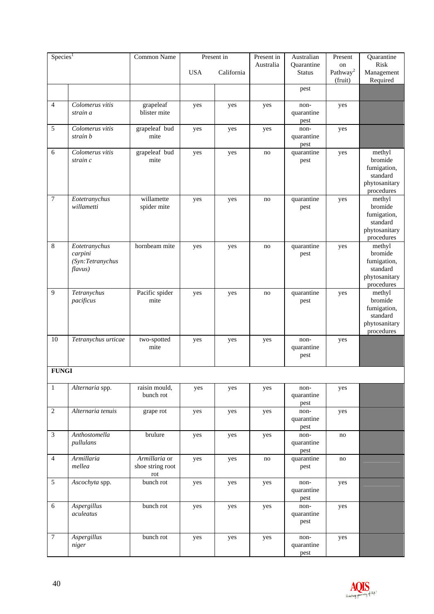| Species <sup>1</sup> |                                                         | Common Name                              |            | Present in | Present in | Australian                  | Present                               | Quarantine                                                                  |
|----------------------|---------------------------------------------------------|------------------------------------------|------------|------------|------------|-----------------------------|---------------------------------------|-----------------------------------------------------------------------------|
|                      |                                                         |                                          | <b>USA</b> | California | Australia  | Quarantine<br><b>Status</b> | on<br>Pathway <sup>2</sup><br>(fruit) | Risk<br>Management<br>Required                                              |
|                      |                                                         |                                          |            |            |            | pest                        |                                       |                                                                             |
| $\overline{4}$       | Colomerus vitis<br>strain a                             | grapeleaf<br>blister mite                | yes        | yes        | yes        | non-<br>quarantine<br>pest  | yes                                   |                                                                             |
| 5                    | Colomerus vitis<br>strain b                             | grapeleaf bud<br>mite                    | yes        | yes        | yes        | non-<br>quarantine<br>pest  | yes                                   |                                                                             |
| 6                    | Colomerus vitis<br>strain c                             | grapeleaf bud<br>mite                    | yes        | yes        | no         | quarantine<br>pest          | yes                                   | methyl<br>bromide<br>fumigation,<br>standard<br>phytosanitary<br>procedures |
| $\boldsymbol{7}$     | Eotetranychus<br>willametti                             | willamette<br>spider mite                | yes        | yes        | no         | quarantine<br>pest          | yes                                   | methyl<br>bromide<br>fumigation,<br>standard<br>phytosanitary<br>procedures |
| $\,8\,$              | Eotetranychus<br>carpini<br>(Syn:Tetranychus<br>flavus) | hornbeam mite                            | yes        | yes        | no         | quarantine<br>pest          | yes                                   | methyl<br>bromide<br>fumigation,<br>standard<br>phytosanitary<br>procedures |
| $\overline{9}$       | Tetranychus<br>pacificus                                | Pacific spider<br>mite                   | yes        | yes        | no         | quarantine<br>pest          | yes                                   | methyl<br>bromide<br>fumigation,<br>standard<br>phytosanitary<br>procedures |
| 10                   | Tetranychus urticae                                     | two-spotted<br>mite                      | yes        | yes        | yes        | non-<br>quarantine<br>pest  | yes                                   |                                                                             |
| <b>FUNGI</b>         |                                                         |                                          |            |            |            |                             |                                       |                                                                             |
| $\mathbf{1}$         | Alternaria spp.                                         | raisin mould,<br>bunch rot               | yes        | yes        | yes        | non-<br>quarantine<br>pest  | yes                                   |                                                                             |
| $\sqrt{2}$           | Alternaria tenuis                                       | grape rot                                | yes        | yes        | yes        | non-<br>quarantine<br>pest  | yes                                   |                                                                             |
| 3                    | Anthostomella<br>pullulans                              | brulure                                  | yes        | yes        | yes        | non-<br>quarantine<br>pest  | no                                    |                                                                             |
| $\overline{4}$       | Armillaria<br>mellea                                    | Armillaria or<br>shoe string root<br>rot | yes        | yes        | no         | quarantine<br>pest          | no                                    |                                                                             |
| $\sqrt{5}$           | Ascochyta spp.                                          | bunch rot                                | yes        | yes        | yes        | non-<br>quarantine<br>pest  | yes                                   |                                                                             |
| $\sqrt{6}$           | Aspergillus<br>aculeatus                                | bunch rot                                | yes        | yes        | yes        | non-<br>quarantine<br>pest  | yes                                   |                                                                             |
| $\boldsymbol{7}$     | Aspergillus<br>niger                                    | bunch rot                                | yes        | yes        | yes        | non-<br>quarantine<br>pest  | yes                                   |                                                                             |

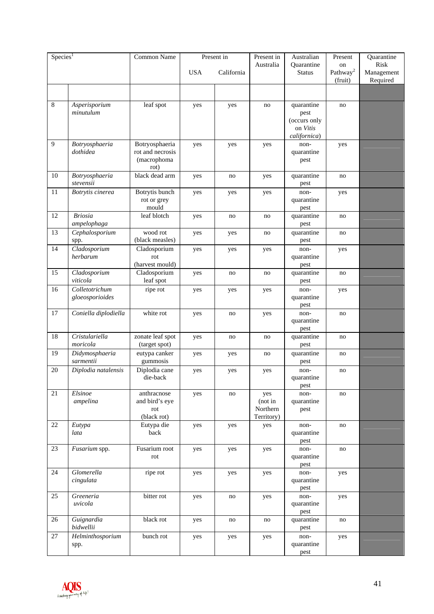| $\text{Species}^{\overline{1}}$ |                               | Common Name                       |            | Present in | Present in          | Australian         | Present              | Quarantine |
|---------------------------------|-------------------------------|-----------------------------------|------------|------------|---------------------|--------------------|----------------------|------------|
|                                 |                               |                                   |            |            | Australia           | Quarantine         | on                   | Risk       |
|                                 |                               |                                   | <b>USA</b> | California |                     | <b>Status</b>      | Pathway <sup>2</sup> | Management |
|                                 |                               |                                   |            |            |                     |                    | (fruit)              | Required   |
|                                 |                               |                                   |            |            |                     |                    |                      |            |
| $\,8\,$                         | Asperisporium<br>minutulum    | leaf spot                         | yes        | yes        | no                  | quarantine<br>pest | no                   |            |
|                                 |                               |                                   |            |            |                     | (occurs only       |                      |            |
|                                 |                               |                                   |            |            |                     | on Vitis           |                      |            |
|                                 |                               |                                   |            |            |                     | californica)       |                      |            |
| $\overline{9}$                  | Botryosphaeria                | Botryosphaeria                    | yes        | yes        | yes                 | non-               | yes                  |            |
|                                 | dothidea                      | rot and necrosis                  |            |            |                     | quarantine         |                      |            |
|                                 |                               | (macrophoma<br>rot)               |            |            |                     | pest               |                      |            |
| 10                              | Botryosphaeria                | black dead arm                    | yes        | no         | yes                 | quarantine         | no                   |            |
|                                 | stevensii                     |                                   |            |            |                     | pest               |                      |            |
| 11                              | Botrytis cinerea              | Botrytis bunch                    | yes        | yes        | yes                 | non-               | yes                  |            |
|                                 |                               | rot or grey                       |            |            |                     | quarantine         |                      |            |
|                                 |                               | mould                             |            |            |                     | pest               |                      |            |
| 12                              | <b>Briosia</b><br>ampelophaga | leaf blotch                       | yes        | no         | no                  | quarantine<br>pest | no                   |            |
| 13                              | Cephalosporium                | wood rot                          | yes        | yes        | no                  | quarantine         | no                   |            |
|                                 | spp.                          | (black measles)                   |            |            |                     | pest               |                      |            |
| 14                              | Cladosporium                  | Cladosporium                      | yes        | yes        | yes                 | non-               | yes                  |            |
|                                 | herbarum                      | rot                               |            |            |                     | quarantine         |                      |            |
|                                 |                               | (harvest mould)                   |            |            |                     | pest               |                      |            |
| 15                              | Cladosporium<br>viticola      | Cladosporium                      | yes        | no         | no                  | quarantine         | no                   |            |
| 16                              | Colletotrichum                | leaf spot<br>ripe rot             |            |            |                     | pest<br>non-       |                      |            |
|                                 | gloeosporioides               |                                   | yes        | yes        | yes                 | quarantine         | yes                  |            |
|                                 |                               |                                   |            |            |                     | pest               |                      |            |
| 17                              | Coniella diplodiella          | white rot                         | yes        | no         | yes                 | non-               | no                   |            |
|                                 |                               |                                   |            |            |                     | quarantine         |                      |            |
|                                 |                               |                                   |            |            |                     | pest               |                      |            |
| 18                              | Cristulariella<br>moricola    | zonate leaf spot<br>(target spot) | yes        | no         | no                  | quarantine<br>pest | no                   |            |
| 19                              | Didymosphaeria                | eutypa canker                     | yes        | yes        | no                  | quarantine         | no                   |            |
|                                 | sarmentii                     | gummosis                          |            |            |                     | pest               |                      |            |
| 20                              | Diplodia natalensis           | Diplodia cane                     | yes        | yes        | yes                 | non-               | no                   |            |
|                                 |                               | die-back                          |            |            |                     | quarantine         |                      |            |
|                                 |                               |                                   |            |            |                     | pest               |                      |            |
| 21                              | Elsinoe                       | anthracnose                       | yes        | no         | yes                 | non-               | no                   |            |
|                                 | ampelina                      | and bird's eye<br>rot             |            |            | (not in<br>Northern | quarantine         |                      |            |
|                                 |                               | (black rot)                       |            |            | Territory)          | pest               |                      |            |
| 22                              | Eutypa                        | Eutypa die                        | yes        | yes        | yes                 | non-               | no                   |            |
|                                 | lata                          | back                              |            |            |                     | quarantine         |                      |            |
|                                 |                               |                                   |            |            |                     | pest               |                      |            |
| 23                              | Fusarium spp.                 | Fusarium root                     | yes        | yes        | yes                 | non-               | no                   |            |
|                                 |                               | rot                               |            |            |                     | quarantine         |                      |            |
| 24                              | Glomerella                    | ripe rot                          | yes        | yes        | yes                 | pest<br>non-       | yes                  |            |
|                                 | cingulata                     |                                   |            |            |                     | quarantine         |                      |            |
|                                 |                               |                                   |            |            |                     | pest               |                      |            |
| 25                              | Greeneria                     | bitter rot                        | yes        | no         | yes                 | non-               | yes                  |            |
|                                 | uvicola                       |                                   |            |            |                     | quarantine         |                      |            |
|                                 |                               |                                   |            |            |                     | pest               |                      |            |
| 26                              | Guignardia<br>bidwellii       | black rot                         | yes        | no         | no                  | quarantine<br>pest | no                   |            |
| 27                              | Helminthosporium              | bunch rot                         | yes        | yes        | yes                 | non-               | yes                  |            |
|                                 | spp.                          |                                   |            |            |                     | quarantine         |                      |            |
|                                 |                               |                                   |            |            |                     | pest               |                      |            |

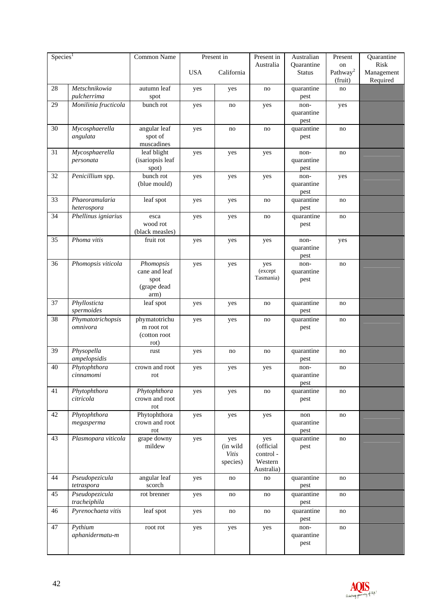| Species <sup>1</sup> |                                | Common Name                                               |            | Present in                           | Present in                                            | Australian                  | Present                    | Quarantine             |
|----------------------|--------------------------------|-----------------------------------------------------------|------------|--------------------------------------|-------------------------------------------------------|-----------------------------|----------------------------|------------------------|
|                      |                                |                                                           | <b>USA</b> | California                           | Australia                                             | Quarantine<br><b>Status</b> | on<br>Pathway <sup>2</sup> | Risk                   |
|                      |                                |                                                           |            |                                      |                                                       |                             | (fruit)                    | Management<br>Required |
| $28\,$               | Metschnikowia<br>pulcherrima   | autumn leaf<br>spot                                       | yes        | yes                                  | no                                                    | quarantine<br>pest          | no                         |                        |
| 29                   | Monilinia fructicola           | bunch rot                                                 | yes        | no                                   | yes                                                   | non-<br>quarantine          | yes                        |                        |
| 30                   | Mycosphaerella<br>angulata     | angular leaf<br>spot of<br>muscadines                     | yes        | no                                   | no                                                    | pest<br>quarantine<br>pest  | no                         |                        |
| 31                   | Mycosphaerella<br>personata    | leaf blight<br>(isariopsis leaf<br>spot)                  | yes        | yes                                  | yes                                                   | non-<br>quarantine<br>pest  | no                         |                        |
| 32                   | Penicillium spp.               | bunch rot<br>(blue mould)                                 | yes        | yes                                  | yes                                                   | non-<br>quarantine<br>pest  | yes                        |                        |
| 33                   | Phaeoramularia<br>heterospora  | leaf spot                                                 | yes        | yes                                  | no                                                    | quarantine<br>pest          | no                         |                        |
| 34                   | Phellinus igniarius            | esca<br>wood rot<br>(black measles)                       | yes        | yes                                  | no                                                    | quarantine<br>pest          | no                         |                        |
| 35                   | Phoma vitis                    | fruit rot                                                 | yes        | yes                                  | yes                                                   | non-<br>quarantine<br>pest  | yes                        |                        |
| 36                   | Phomopsis viticola             | Phomopsis<br>cane and leaf<br>spot<br>(grape dead<br>arm) | yes        | yes                                  | yes<br>(except<br>Tasmania)                           | non-<br>quarantine<br>pest  | no                         |                        |
| 37                   | Phyllosticta<br>spermoides     | leaf spot                                                 | yes        | yes                                  | no                                                    | quarantine<br>pest          | no                         |                        |
| 38                   | Phymatotrichopsis<br>omnivora  | phymatotrichu<br>m root rot<br>(cotton root<br>rot)       | yes        | yes                                  | no                                                    | quarantine<br>pest          | no                         |                        |
| 39                   | Physopella<br>ampelopsidis     | rust                                                      | yes        | no                                   | no                                                    | quarantine<br>pest          | no                         |                        |
| 40                   | Phytophthora<br>cinnamomi      | crown and root<br>rot                                     | yes        | yes                                  | yes                                                   | non-<br>quarantine<br>pest  | no                         |                        |
| 41                   | Phytophthora<br>citricola      | Phytophthora<br>crown and root<br>rot                     | yes        | yes                                  | no                                                    | quarantine<br>pest          | no                         |                        |
| 42                   | Phytophthora<br>megasperma     | Phytophthora<br>crown and root<br>rot                     | yes        | yes                                  | yes                                                   | non<br>quarantine<br>pest   | no                         |                        |
| 43                   | Plasmopara viticola            | grape downy<br>mildew                                     | yes        | yes<br>(in wild<br>Vitis<br>species) | yes<br>(official<br>control-<br>Western<br>Australia) | quarantine<br>pest          | no                         |                        |
| 44                   | Pseudopezicula<br>tetraspora   | angular leaf<br>scorch                                    | yes        | no                                   | $\rm no$                                              | quarantine<br>pest          | no                         |                        |
| 45                   | Pseudopezicula<br>tracheiphila | rot brenner                                               | yes        | no                                   | no                                                    | quarantine<br>pest          | no                         |                        |
| 46                   | Pyrenochaeta vitis             | leaf spot                                                 | yes        | no                                   | no                                                    | quarantine<br>pest          | no                         |                        |
| 47                   | Pythium<br>aphanidermatu-m     | root rot                                                  | yes        | yes                                  | yes                                                   | non-<br>quarantine<br>pest  | no                         |                        |

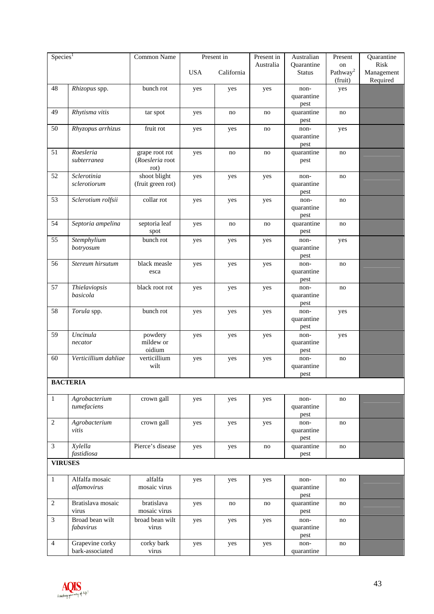| $\text{Specie}^1$ |                                    | Common Name                               |            | Present in | Present in | Australian                  | Present                    | Quarantine         |
|-------------------|------------------------------------|-------------------------------------------|------------|------------|------------|-----------------------------|----------------------------|--------------------|
|                   |                                    |                                           | <b>USA</b> | California | Australia  | Quarantine<br><b>Status</b> | on<br>Pathway <sup>2</sup> | Risk<br>Management |
|                   |                                    |                                           |            |            |            |                             | (fruit)                    | Required           |
| 48                | Rhizopus spp.                      | bunch rot                                 | yes        | yes        | yes        | non-<br>quarantine<br>pest  | yes                        |                    |
| 49                | Rhytisma vitis                     | tar spot                                  | yes        | no         | no         | quarantine<br>pest          | no                         |                    |
| 50                | Rhyzopus arrhizus                  | fruit rot                                 | yes        | yes        | no         | non-<br>quarantine<br>pest  | yes                        |                    |
| 51                | Roesleria<br>subterranea           | grape root rot<br>(Roesleria root<br>rot) | yes        | no         | no         | quarantine<br>pest          | no                         |                    |
| 52                | Sclerotinia<br>sclerotiorum        | shoot blight<br>(fruit green rot)         | yes        | yes        | yes        | non-<br>quarantine<br>pest  | no                         |                    |
| 53                | Sclerotium rolfsii                 | collar rot                                | yes        | yes        | yes        | non-<br>quarantine<br>pest  | no                         |                    |
| 54                | Septoria ampelina                  | septoria leaf<br>spot                     | yes        | no         | no         | quarantine<br>pest          | no                         |                    |
| 55                | Stemphylium<br>botryosum           | bunch rot                                 | yes        | yes        | yes        | non-<br>quarantine<br>pest  | yes                        |                    |
| 56                | Stereum hirsutum                   | black measle<br>esca                      | yes        | yes        | yes        | non-<br>quarantine<br>pest  | no                         |                    |
| 57                | Thielaviopsis<br>basicola          | black root rot                            | yes        | yes        | yes        | non-<br>quarantine<br>pest  | no                         |                    |
| 58                | Torula spp.                        | bunch rot                                 | yes        | yes        | yes        | non-<br>quarantine<br>pest  | yes                        |                    |
| 59                | Uncinula<br>necator                | powdery<br>mildew or<br>oidium            | yes        | yes        | yes        | non-<br>quarantine<br>pest  | yes                        |                    |
| 60                | Verticillium dahliae               | verticillium<br>wilt                      | yes        | yes        | yes        | non-<br>quarantine<br>pest  | no                         |                    |
|                   | <b>BACTERIA</b>                    |                                           |            |            |            |                             |                            |                    |
| $\mathbf{1}$      | Agrobacterium<br>tumefaciens       | crown gall                                | yes        | yes        | yes        | non-<br>quarantine<br>pest  | no                         |                    |
| $\mathbf{2}$      | A grobacterium<br>vitis            | crown gall                                | yes        | yes        | yes        | non-<br>quarantine<br>pest  | no                         |                    |
| $\mathfrak{Z}$    | Xylella<br>fastidiosa              | Pierce's disease                          | yes        | yes        | no         | quarantine<br>pest          | no                         |                    |
| <b>VIRUSES</b>    |                                    |                                           |            |            |            |                             |                            |                    |
| $\mathbf{1}$      | Alfalfa mosaic<br>alfamovirus      | alfalfa<br>mosaic virus                   | yes        | yes        | yes        | non-<br>quarantine<br>pest  | no                         |                    |
| $\sqrt{2}$        | Bratislava mosaic<br>virus         | bratislava<br>mosaic virus                | yes        | no         | no         | quarantine<br>pest          | no                         |                    |
| $\mathfrak{Z}$    | Broad bean wilt<br>fabavirus       | broad bean wilt<br>virus                  | yes        | yes        | yes        | non-<br>quarantine<br>pest  | no                         |                    |
| $\overline{4}$    | Grapevine corky<br>bark-associated | corky bark<br>virus                       | yes        | yes        | yes        | non-<br>quarantine          | no                         |                    |

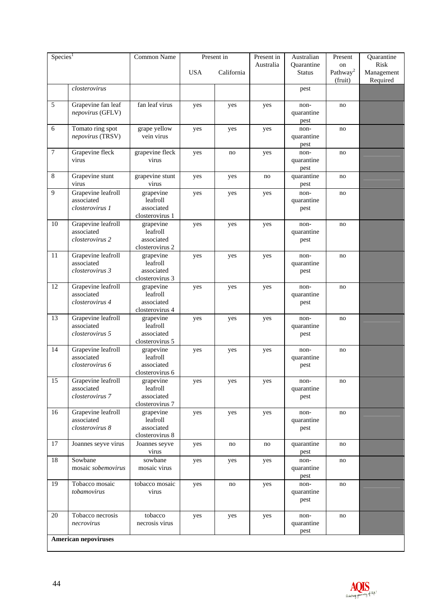| $\text{Species}^{\overline{1}}$ |                                      | Common Name                   | Present in |            | Australian<br>Present in |                    | Present              | Quarantine |
|---------------------------------|--------------------------------------|-------------------------------|------------|------------|--------------------------|--------------------|----------------------|------------|
|                                 |                                      |                               |            |            | Australia                | Quarantine         | on                   | Risk       |
|                                 |                                      |                               | <b>USA</b> | California |                          | <b>Status</b>      | Pathway <sup>2</sup> | Management |
|                                 |                                      |                               |            |            |                          |                    | (fruit)              | Required   |
|                                 | closterovirus                        |                               |            |            |                          | pest               |                      |            |
| 5                               | Grapevine fan leaf                   | fan leaf virus                | yes        | yes        | yes                      | non-               | no                   |            |
|                                 | nepovirus (GFLV)                     |                               |            |            |                          | quarantine         |                      |            |
|                                 |                                      |                               |            |            |                          | pest               |                      |            |
| 6                               | Tomato ring spot<br>nepovirus (TRSV) | grape yellow<br>vein virus    | yes        | yes        | yes                      | non-               | no                   |            |
|                                 |                                      |                               |            |            |                          | quarantine<br>pest |                      |            |
| $\boldsymbol{7}$                | Grapevine fleck                      | grapevine fleck               | yes        | no         | yes                      | non-               | no                   |            |
|                                 | virus                                | virus                         |            |            |                          | quarantine         |                      |            |
|                                 |                                      |                               |            |            |                          | pest               |                      |            |
| $\,8\,$                         | Grapevine stunt                      | grapevine stunt               | yes        | yes        | no                       | quarantine         | no                   |            |
|                                 | virus                                | virus                         |            |            |                          | pest               |                      |            |
| 9                               | Grapevine leafroll<br>associated     | grapevine<br>leafroll         | yes        | yes        | yes                      | non-<br>quarantine | no                   |            |
|                                 | closterovirus 1                      | associated                    |            |            |                          | pest               |                      |            |
|                                 |                                      | closterovirus 1               |            |            |                          |                    |                      |            |
| 10                              | Grapevine leafroll                   | grapevine                     | yes        | yes        | yes                      | non-               | no                   |            |
|                                 | associated                           | leafroll                      |            |            |                          | quarantine         |                      |            |
|                                 | closterovirus 2                      | associated                    |            |            |                          | pest               |                      |            |
| 11                              | Grapevine leafroll                   | closterovirus 2<br>grapevine  |            |            |                          | non-               | no                   |            |
|                                 | associated                           | leafroll                      | yes        | yes        | yes                      | quarantine         |                      |            |
|                                 | closterovirus 3                      | associated                    |            |            |                          | pest               |                      |            |
|                                 |                                      | closterovirus 3               |            |            |                          |                    |                      |            |
| 12                              | Grapevine leafroll                   | grapevine                     | yes        | yes        | yes                      | non-               | no                   |            |
|                                 | associated                           | leafroll                      |            |            |                          | quarantine         |                      |            |
|                                 | closterovirus 4                      | associated<br>closterovirus 4 |            |            |                          | pest               |                      |            |
| 13                              | Grapevine leafroll                   | grapevine                     | yes        | yes        | yes                      | non-               | no                   |            |
|                                 | associated                           | leafroll                      |            |            |                          | quarantine         |                      |            |
|                                 | <i>closterovirus</i> 5               | associated                    |            |            |                          | pest               |                      |            |
|                                 |                                      | closterovirus 5               |            |            |                          |                    |                      |            |
| 14                              | Grapevine leafroll<br>associated     | grapevine<br>leafroll         | yes        | yes        | yes                      | non-               | no                   |            |
|                                 | closterovirus 6                      | associated                    |            |            |                          | quarantine<br>pest |                      |            |
|                                 |                                      | closterovirus 6               |            |            |                          |                    |                      |            |
| 15                              | Grapevine leafroll                   | grapevine                     | yes        | yes        | yes                      | non-               | no                   |            |
|                                 | associated                           | leafroll                      |            |            |                          | quarantine         |                      |            |
|                                 | closterovirus 7                      | associated                    |            |            |                          | pest               |                      |            |
| 16                              | Grapevine leafroll                   | closterovirus 7<br>grapevine  | yes        | yes        | yes                      | non-               | no                   |            |
|                                 | associated                           | leafroll                      |            |            |                          | quarantine         |                      |            |
|                                 | closterovirus 8                      | associated                    |            |            |                          | pest               |                      |            |
|                                 |                                      | closterovirus 8               |            |            |                          |                    |                      |            |
| 17                              | Joannes seyve virus                  | Joannes seyve<br>virus        | yes        | no         | no                       | quarantine<br>pest | no                   |            |
| 18                              | Sowbane                              | sowbane                       | yes        | yes        | yes                      | non-               | no                   |            |
|                                 | mosaic sobemovirus                   | mosaic virus                  |            |            |                          | quarantine         |                      |            |
|                                 |                                      |                               |            |            |                          | pest               |                      |            |
| 19                              | Tobacco mosaic                       | tobacco mosaic                | yes        | no         | yes                      | non-               | no                   |            |
|                                 | tobamovirus                          | virus                         |            |            |                          | quarantine         |                      |            |
|                                 |                                      |                               |            |            |                          | pest               |                      |            |
| 20                              | Tobacco necrosis                     | tobacco                       | yes        | yes        | yes                      | non-               | no                   |            |
|                                 | necrovirus                           | necrosis virus                |            |            |                          | quarantine         |                      |            |
|                                 |                                      |                               |            |            |                          | pest               |                      |            |
|                                 | <b>American nepoviruses</b>          |                               |            |            |                          |                    |                      |            |
|                                 |                                      |                               |            |            |                          |                    |                      |            |

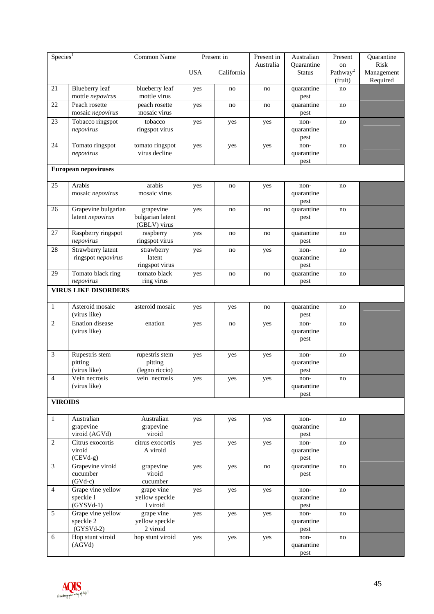| $Sp$ ecies <sup>1</sup> |                                   | Common Name                 |            | Present in | Present in | Australian         | Present              | Quarantine |
|-------------------------|-----------------------------------|-----------------------------|------------|------------|------------|--------------------|----------------------|------------|
|                         |                                   |                             |            |            | Australia  | Quarantine         | on                   | Risk       |
|                         |                                   |                             | <b>USA</b> | California |            | <b>Status</b>      | Pathway <sup>2</sup> | Management |
| 21                      | Blueberry leaf                    | blueberry leaf              | yes        | no         | no         | quarantine         | (fruit)<br>no        | Required   |
|                         | mottle nepovirus                  | mottle virus                |            |            |            | pest               |                      |            |
| 22                      | Peach rosette                     | peach rosette               | yes        | no         | no         | quarantine         | no                   |            |
|                         | mosaic nepovirus                  | mosaic virus                |            |            |            | pest               |                      |            |
| 23                      | Tobacco ringspot                  | tobacco                     | yes        | yes        | yes        | non-               | no                   |            |
|                         | nepovirus                         | ringspot virus              |            |            |            | quarantine         |                      |            |
| 24                      | Tomato ringspot                   | tomato ringspot             |            |            |            | pest<br>non-       | no                   |            |
|                         | nepovirus                         | virus decline               | yes        | yes        | yes        | quarantine         |                      |            |
|                         |                                   |                             |            |            |            | pest               |                      |            |
|                         | <b>European nepoviruses</b>       |                             |            |            |            |                    |                      |            |
|                         |                                   |                             |            |            |            |                    |                      |            |
| 25                      | Arabis<br>mosaic nepovirus        | arabis<br>mosaic virus      | yes        | no         | yes        | non-<br>quarantine | no                   |            |
|                         |                                   |                             |            |            |            | pest               |                      |            |
| 26                      | Grapevine bulgarian               | grapevine                   | yes        | no         | no         | quarantine         | no                   |            |
|                         | latent nepovirus                  | bulgarian latent            |            |            |            | pest               |                      |            |
|                         |                                   | (GBLV) virus                |            |            |            |                    |                      |            |
| 27                      | Raspberry ringspot<br>nepovirus   | raspberry<br>ringspot virus | yes        | no         | no         | quarantine<br>pest | no                   |            |
| 28                      | Strawberry latent                 | strawberry                  | yes        | no         | yes        | non-               | no                   |            |
|                         | ringspot nepovirus                | latent                      |            |            |            | quarantine         |                      |            |
|                         |                                   | ringspot virus              |            |            |            | pest               |                      |            |
| 29                      | Tomato black ring                 | tomato black                | yes        | no         | no         | quarantine         | no                   |            |
|                         | nepovirus                         | ring virus                  |            |            |            | pest               |                      |            |
|                         | <b>VIRUS LIKE DISORDERS</b>       |                             |            |            |            |                    |                      |            |
| $\mathbf{1}$            | Asteroid mosaic                   | asteroid mosaic             | yes        | yes        | no         | quarantine         | no                   |            |
|                         | (virus like)                      |                             |            |            |            | pest               |                      |            |
| $\mathbf{2}$            | Enation disease                   | enation                     | yes        | no         | yes        | non-               | no                   |            |
|                         | (virus like)                      |                             |            |            |            | quarantine         |                      |            |
|                         |                                   |                             |            |            |            | pest               |                      |            |
| $\mathfrak{Z}$          | Rupestris stem                    | rupestris stem              | yes        | yes        | yes        | non-               | no                   |            |
|                         | pitting                           | pitting                     |            |            |            | quarantine         |                      |            |
|                         | (virus like)                      | (legno riccio)              |            |            |            | pest               |                      |            |
| $\overline{4}$          | Vein necrosis                     | vein necrosis               | yes        | yes        | yes        | non-               | no                   |            |
|                         | (virus like)                      |                             |            |            |            | quarantine<br>pest |                      |            |
| <b>VIROIDS</b>          |                                   |                             |            |            |            |                    |                      |            |
|                         |                                   |                             |            |            |            |                    |                      |            |
| $\mathbf{1}$            | Australian                        | Australian                  | yes        | yes        | yes        | non-               | no                   |            |
|                         | grapevine                         | grapevine                   |            |            |            | quarantine         |                      |            |
| $\mathbf{2}$            | viroid (AGVd)<br>Citrus exocortis | viroid<br>citrus exocortis  |            |            |            | pest<br>non-       | no                   |            |
|                         | viroid                            | A viroid                    | yes        | yes        | yes        | quarantine         |                      |            |
|                         | $(CEVd-g)$                        |                             |            |            |            | pest               |                      |            |
| $\mathfrak{Z}$          | Grapevine viroid                  | grapevine                   | yes        | yes        | no         | quarantine         | no                   |            |
|                         | cucumber                          | viroid                      |            |            |            | pest               |                      |            |
| $\overline{4}$          | $(GVd-c)$<br>Grape vine yellow    | cucumber<br>grape vine      |            |            |            | non-               |                      |            |
|                         | speckle I                         | yellow speckle              | yes        | yes        | yes        | quarantine         | no                   |            |
|                         | $(GYSVd-1)$                       | I viroid                    |            |            |            | pest               |                      |            |
| 5                       | Grape vine yellow                 | grape vine                  | yes        | yes        | yes        | non-               | no                   |            |
|                         | speckle 2                         | yellow speckle              |            |            |            | quarantine         |                      |            |
| 6                       | $(GYSVd-2)$<br>Hop stunt viroid   | 2 viroid                    |            |            |            | pest<br>non-       |                      |            |
|                         | (AGVd)                            | hop stunt viroid            | yes        | yes        | yes        | quarantine         | no                   |            |
|                         |                                   |                             |            |            |            | pest               |                      |            |

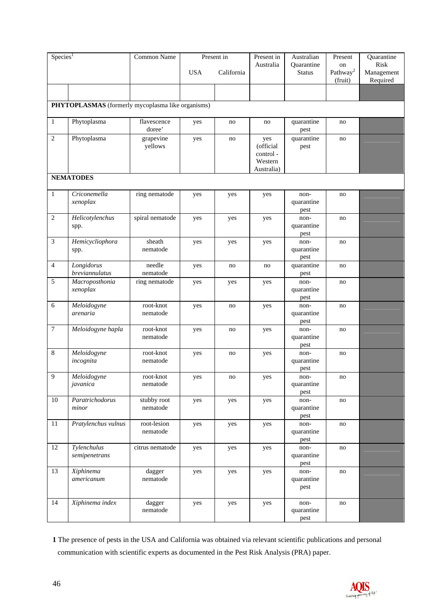| Species <sup>1</sup> |                                                   | Common Name             |            | Present in    |                                                       | Australian                  | Present                               | Quarantine                     |
|----------------------|---------------------------------------------------|-------------------------|------------|---------------|-------------------------------------------------------|-----------------------------|---------------------------------------|--------------------------------|
|                      |                                                   |                         | <b>USA</b> | California    | Australia                                             | Quarantine<br><b>Status</b> | on<br>Pathway <sup>2</sup><br>(fruit) | Risk<br>Management<br>Required |
|                      |                                                   |                         |            |               |                                                       |                             |                                       |                                |
|                      | PHYTOPLASMAS (formerly mycoplasma like organisms) |                         |            |               |                                                       |                             |                                       |                                |
| $\mathbf{1}$         | Phytoplasma                                       | flavescence<br>doree'   | yes        | no            | no                                                    | quarantine<br>pest          | no                                    |                                |
| $\overline{2}$       | Phytoplasma                                       | grapevine<br>yellows    | yes        | no            | yes<br>(official<br>control-<br>Western<br>Australia) | quarantine<br>pest          | no                                    |                                |
|                      | <b>NEMATODES</b>                                  |                         |            |               |                                                       |                             |                                       |                                |
| $\mathbf{1}$         | Criconemella<br>xenoplax                          | ring nematode           | yes        | yes           | yes                                                   | non-<br>quarantine<br>pest  | no                                    |                                |
| $\overline{2}$       | Helicotylenchus<br>spp.                           | spiral nematode         | yes        | yes           | yes                                                   | non-<br>quarantine<br>pest  | no                                    |                                |
| $\mathfrak{Z}$       | Hemicycliophora<br>spp.                           | sheath<br>nematode      | yes        | yes           | yes                                                   | non-<br>quarantine<br>pest  | no                                    |                                |
| $\overline{4}$       | Longidorus<br>breviannulatus                      | needle<br>nematode      | yes        | no            | no                                                    | quarantine<br>pest          | no                                    |                                |
| 5                    | Macroposthonia<br>xenoplax                        | ring nematode           | yes        | yes           | yes                                                   | non-<br>quarantine<br>pest  | no                                    |                                |
| 6                    | Meloidogyne<br>arenaria                           | root-knot<br>nematode   | yes        | no            | yes                                                   | non-<br>quarantine<br>pest  | no                                    |                                |
| $\overline{7}$       | Meloidogyne hapla                                 | root-knot<br>nematode   | yes        | no            | yes                                                   | non-<br>quarantine<br>pest  | no                                    |                                |
| $\,8\,$              | Meloidogyne<br>incognita                          | root-knot<br>nematode   | yes        | no            | yes                                                   | non-<br>quarantine<br>pest  | no                                    |                                |
| $\overline{9}$       | Meloidogyne<br>javanica                           | root-knot<br>nematode   | yes        | $\mathbf{no}$ | yes                                                   | non-<br>quarantine<br>pest  | no                                    |                                |
| $10\,$               | Paratrichodorus<br>minor                          | stubby root<br>nematode | yes        | yes           | yes                                                   | non-<br>quarantine<br>pest  | no                                    |                                |
| 11                   | Pratylenchus vulnus                               | root-lesion<br>nematode | yes        | yes           | yes                                                   | non-<br>quarantine<br>pest  | no                                    |                                |
| 12                   | Tylenchulus<br>semipenetrans                      | citrus nematode         | yes        | yes           | yes                                                   | non-<br>quarantine<br>pest  | no                                    |                                |
| 13                   | Xiphinema<br>americanum                           | dagger<br>nematode      | yes        | yes           | yes                                                   | non-<br>quarantine<br>pest  | no                                    |                                |
| 14                   | Xiphinema index                                   | dagger<br>nematode      | yes        | yes           | yes                                                   | non-<br>quarantine<br>pest  | no                                    |                                |

**1** The presence of pests in the USA and California was obtained via relevant scientific publications and personal communication with scientific experts as documented in the Pest Risk Analysis (PRA) paper.

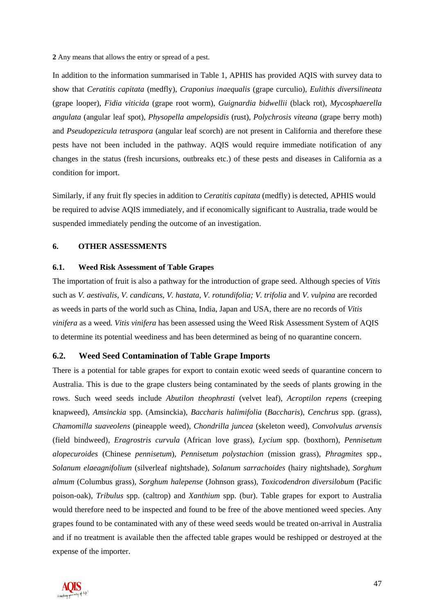**2** Any means that allows the entry or spread of a pest.

In addition to the information summarised in Table 1, APHIS has provided AQIS with survey data to show that *Ceratitis capitata* (medfly), *Craponius inaequalis* (grape curculio), *Eulithis diversilineata* (grape looper), *Fidia viticida* (grape root worm), *Guignardia bidwellii* (black rot), *Mycosphaerella angulata* (angular leaf spot), *Physopella ampelopsidis* (rust), *Polychrosis viteana* (grape berry moth) and *Pseudopezicula tetraspora* (angular leaf scorch) are not present in California and therefore these pests have not been included in the pathway. AQIS would require immediate notification of any changes in the status (fresh incursions, outbreaks etc.) of these pests and diseases in California as a condition for import.

Similarly, if any fruit fly species in addition to *Ceratitis capitata* (medfly) is detected, APHIS would be required to advise AQIS immediately, and if economically significant to Australia, trade would be suspended immediately pending the outcome of an investigation.

#### **6. OTHER ASSESSMENTS**

#### **6.1. Weed Risk Assessment of Table Grapes**

The importation of fruit is also a pathway for the introduction of grape seed. Although species of *Vitis* such as *V. aestivalis*, *V. candicans*, *V. hastata*, *V. rotundifolia; V. trifolia* and *V. vulpina* are recorded as weeds in parts of the world such as China, India, Japan and USA, there are no records of *Vitis vinifera* as a weed*. Vitis vinifera* has been assessed using the Weed Risk Assessment System of AQIS to determine its potential weediness and has been determined as being of no quarantine concern.

#### **6.2. Weed Seed Contamination of Table Grape Imports**

There is a potential for table grapes for export to contain exotic weed seeds of quarantine concern to Australia. This is due to the grape clusters being contaminated by the seeds of plants growing in the rows. Such weed seeds include *Abutilon theophrasti* (velvet leaf), *Acroptilon repens* (creeping knapweed), *Amsinckia* spp. (Amsinckia), *Baccharis halimifolia* (*Baccharis*), *Cenchrus* spp. (grass), *Chamomilla suaveolens* (pineapple weed), *Chondrilla juncea* (skeleton weed), *Convolvulus arvensis* (field bindweed), *Eragrostris curvula* (African love grass), *Lycium* spp. (boxthorn), *Pennisetum alopecuroides* (Chinese *pennisetum*), *Pennisetum polystachion* (mission grass), *Phragmites* spp., *Solanum elaeagnifolium* (silverleaf nightshade)*, Solanum sarrachoides* (hairy nightshade), *Sorghum almum* (Columbus grass), *Sorghum halepense* (Johnson grass), *Toxicodendron diversilobum* (Pacific poison-oak), *Tribulus* spp. (caltrop) and *Xanthium* spp. (bur). Table grapes for export to Australia would therefore need to be inspected and found to be free of the above mentioned weed species. Any grapes found to be contaminated with any of these weed seeds would be treated on-arrival in Australia and if no treatment is available then the affected table grapes would be reshipped or destroyed at the expense of the importer.

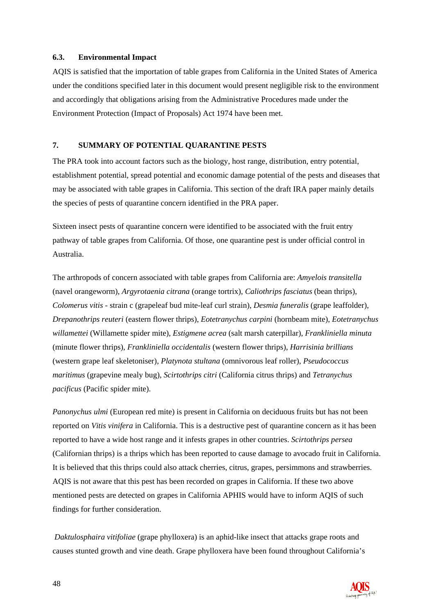#### **6.3. Environmental Impact**

AQIS is satisfied that the importation of table grapes from California in the United States of America under the conditions specified later in this document would present negligible risk to the environment and accordingly that obligations arising from the Administrative Procedures made under the Environment Protection (Impact of Proposals) Act 1974 have been met.

#### **7. SUMMARY OF POTENTIAL QUARANTINE PESTS**

The PRA took into account factors such as the biology, host range, distribution, entry potential, establishment potential, spread potential and economic damage potential of the pests and diseases that may be associated with table grapes in California. This section of the draft IRA paper mainly details the species of pests of quarantine concern identified in the PRA paper.

Sixteen insect pests of quarantine concern were identified to be associated with the fruit entry pathway of table grapes from California. Of those, one quarantine pest is under official control in Australia.

The arthropods of concern associated with table grapes from California are: *Amyelois transitella* (navel orangeworm), *Argyrotaenia citrana* (orange tortrix), *Caliothrips fasciatus* (bean thrips), *Colomerus vitis -* strain c (grapeleaf bud mite-leaf curl strain), *Desmia funeralis* (grape leaffolder), *Drepanothrips reuteri* (eastern flower thrips), *Eotetranychus carpini* (hornbeam mite), *Eotetranychus willamettei* (Willamette spider mite), *Estigmene acrea* (salt marsh caterpillar), *Frankliniella minuta* (minute flower thrips), *Frankliniella occidentalis* (western flower thrips), *Harrisinia brillians* (western grape leaf skeletoniser), *Platynota stultana* (omnivorous leaf roller), *Pseudococcus maritimus* (grapevine mealy bug), *Scirtothrips citri* (California citrus thrips) and *Tetranychus pacificus* (Pacific spider mite).

*Panonychus ulmi* (European red mite) is present in California on deciduous fruits but has not been reported on *Vitis vinifera* in California. This is a destructive pest of quarantine concern as it has been reported to have a wide host range and it infests grapes in other countries. *Scirtothrips persea* (Californian thrips) is a thrips which has been reported to cause damage to avocado fruit in California. It is believed that this thrips could also attack cherries, citrus, grapes, persimmons and strawberries. AQIS is not aware that this pest has been recorded on grapes in California. If these two above mentioned pests are detected on grapes in California APHIS would have to inform AQIS of such findings for further consideration.

*Daktulosphaira vitifoliae* (grape phylloxera) is an aphid-like insect that attacks grape roots and causes stunted growth and vine death. Grape phylloxera have been found throughout California's

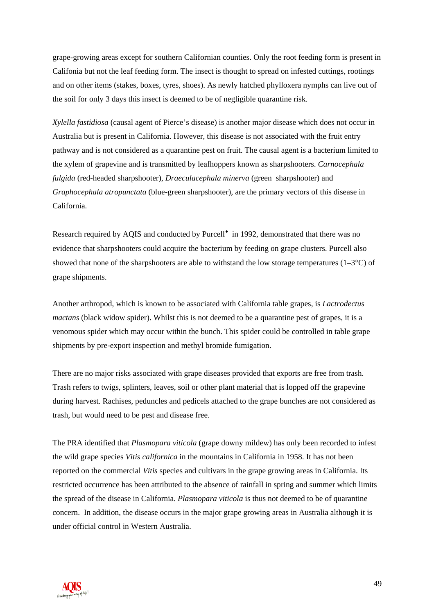grape-growing areas except for southern Californian counties. Only the root feeding form is present in Califonia but not the leaf feeding form. The insect is thought to spread on infested cuttings, rootings and on other items (stakes, boxes, tyres, shoes). As newly hatched phylloxera nymphs can live out of the soil for only 3 days this insect is deemed to be of negligible quarantine risk.

*Xylella fastidiosa* (causal agent of Pierce's disease) is another major disease which does not occur in Australia but is present in California. However, this disease is not associated with the fruit entry pathway and is not considered as a quarantine pest on fruit. The causal agent is a bacterium limited to the xylem of grapevine and is transmitted by leafhoppers known as sharpshooters. *Carnocephala fulgida* (red-headed sharpshooter), *Draeculacephala minerva* (green sharpshooter) and *Graphocephala atropunctata* (blue-green sharpshooter), are the primary vectors of this disease in California.

Research required by AQIS and conducted by Purcell<sup>\*</sup> in 1992, demonstrated that there was no evidence that sharpshooters could acquire the bacterium by feeding on grape clusters. Purcell also showed that none of the sharpshooters are able to withstand the low storage temperatures  $(1-3\degree C)$  of grape shipments.

Another arthropod, which is known to be associated with California table grapes, is *Lactrodectus mactans* (black widow spider). Whilst this is not deemed to be a quarantine pest of grapes, it is a venomous spider which may occur within the bunch. This spider could be controlled in table grape shipments by pre-export inspection and methyl bromide fumigation.

There are no major risks associated with grape diseases provided that exports are free from trash. Trash refers to twigs, splinters, leaves, soil or other plant material that is lopped off the grapevine during harvest. Rachises, peduncles and pedicels attached to the grape bunches are not considered as trash, but would need to be pest and disease free.

The PRA identified that *Plasmopara viticola* (grape downy mildew) has only been recorded to infest the wild grape species *Vitis californica* in the mountains in California in 1958. It has not been reported on the commercial *Vitis* species and cultivars in the grape growing areas in California. Its restricted occurrence has been attributed to the absence of rainfall in spring and summer which limits the spread of the disease in California. *Plasmopara viticola* is thus not deemed to be of quarantine concern. In addition, the disease occurs in the major grape growing areas in Australia although it is under official control in Western Australia.

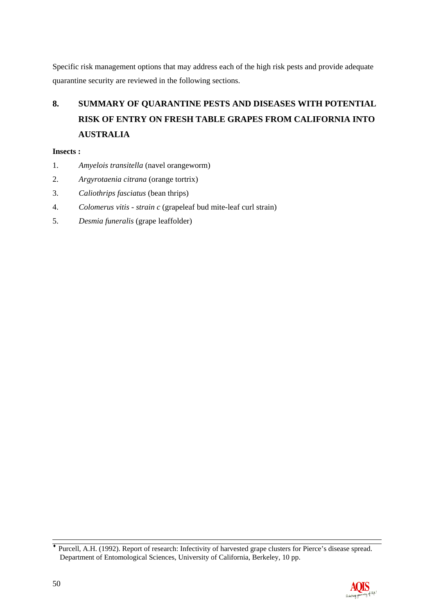Specific risk management options that may address each of the high risk pests and provide adequate quarantine security are reviewed in the following sections.

# **8. SUMMARY OF QUARANTINE PESTS AND DISEASES WITH POTENTIAL RISK OF ENTRY ON FRESH TABLE GRAPES FROM CALIFORNIA INTO AUSTRALIA**

#### **Insects :**

- 1. *Amyelois transitella* (navel orangeworm)
- 2. *Argyrotaenia citrana* (orange tortrix)
- 3. *Caliothrips fasciatus* (bean thrips)
- 4. *Colomerus vitis strain c* (grapeleaf bud mite-leaf curl strain)
- 5. *Desmia funeralis* (grape leaffolder)

♦ Purcell, A.H. (1992). Report of research: Infectivity of harvested grape clusters for Pierce's disease spread. Department of Entomological Sciences, University of California, Berkeley, 10 pp.

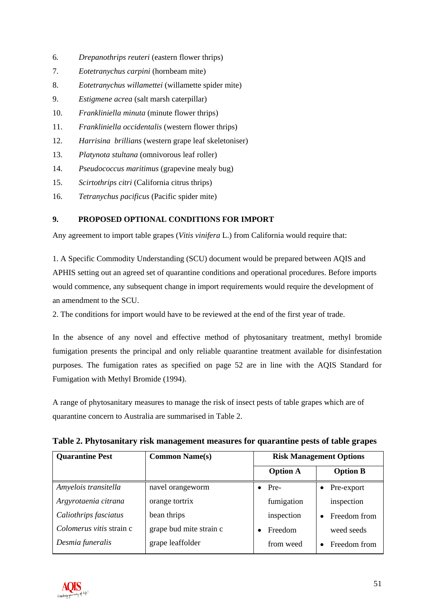- 6*. Drepanothrips reuteri* (eastern flower thrips)
- 7. *Eotetranychus carpini* (hornbeam mite)
- 8. *Eotetranychus willamettei* (willamette spider mite)
- 9. *Estigmene acrea* (salt marsh caterpillar)
- 10. *Frankliniella minuta* (minute flower thrips)
- 11. *Frankliniella occidentalis* (western flower thrips)
- 12. *Harrisina brillians* (western grape leaf skeletoniser)
- 13. *Platynota stultana* (omnivorous leaf roller)
- 14. *Pseudococcus maritimus* (grapevine mealy bug)
- 15. *Scirtothrips citri* (California citrus thrips)
- 16. *Tetranychus pacificus* (Pacific spider mite)

### **9. PROPOSED OPTIONAL CONDITIONS FOR IMPORT**

Any agreement to import table grapes (*Vitis vinifera* L.) from California would require that:

1. A Specific Commodity Understanding (SCU) document would be prepared between AQIS and APHIS setting out an agreed set of quarantine conditions and operational procedures. Before imports would commence, any subsequent change in import requirements would require the development of an amendment to the SCU.

2. The conditions for import would have to be reviewed at the end of the first year of trade.

In the absence of any novel and effective method of phytosanitary treatment, methyl bromide fumigation presents the principal and only reliable quarantine treatment available for disinfestation purposes. The fumigation rates as specified on page 52 are in line with the AQIS Standard for Fumigation with Methyl Bromide (1994).

A range of phytosanitary measures to manage the risk of insect pests of table grapes which are of quarantine concern to Australia are summarised in Table 2.

| <b>Quarantine Pest</b>   | <b>Common Name(s)</b>   |  | <b>Risk Management Options</b> |           |                 |  |
|--------------------------|-------------------------|--|--------------------------------|-----------|-----------------|--|
|                          |                         |  | <b>Option A</b>                |           | <b>Option B</b> |  |
| Amyelois transitella     | navel orangeworm        |  | Pre-                           |           | Pre-export      |  |
| Argyrotaenia citrana     | orange tortrix          |  | fumigation                     |           | inspection      |  |
| Caliothrips fasciatus    | bean thrips             |  | inspection                     | $\bullet$ | Freedom from    |  |
| Colomerus vitis strain c | grape bud mite strain c |  | Freedom                        |           | weed seeds      |  |
| Desmia funeralis         | grape leaffolder        |  | from weed                      |           | Freedom from    |  |

**Table 2. Phytosanitary risk management measures for quarantine pests of table grapes** 

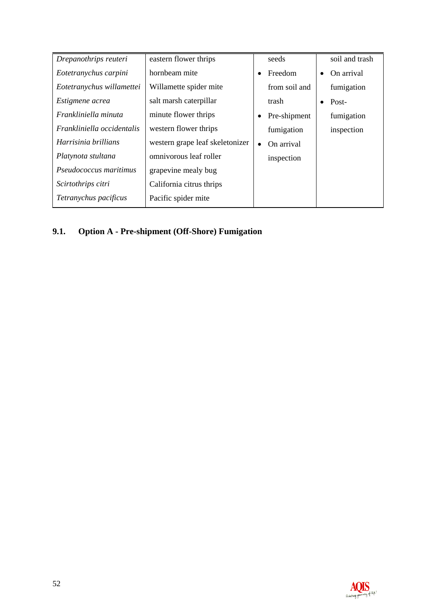| Drepanothrips reuteri                  | eastern flower thrips           | seeds         | soil and trash |
|----------------------------------------|---------------------------------|---------------|----------------|
| hornbeam mite<br>Eotetranychus carpini |                                 | Freedom       | On arrival     |
| Eotetranychus willamettei              | Willamette spider mite          | from soil and | fumigation     |
| <i>Estigmene acrea</i>                 | salt marsh caterpillar          | trash         | Post-          |
| Frankliniella minuta                   | minute flower thrips            | Pre-shipment  | fumigation     |
| Frankliniella occidentalis             | western flower thrips           | fumigation    | inspection     |
| Harrisinia brillians                   | western grape leaf skeletonizer | On arrival    |                |
| Platynota stultana                     | omnivorous leaf roller          | inspection    |                |
| Pseudococcus maritimus                 | grapevine mealy bug             |               |                |
| Scirtothrips citri                     | California citrus thrips        |               |                |
| Tetranychus pacificus                  | Pacific spider mite             |               |                |

# **9.1. Option A - Pre-shipment (Off-Shore) Fumigation**

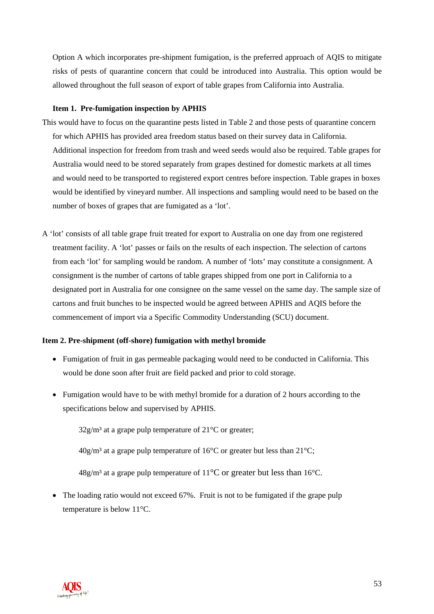Option A which incorporates pre-shipment fumigation, is the preferred approach of AQIS to mitigate risks of pests of quarantine concern that could be introduced into Australia. This option would be allowed throughout the full season of export of table grapes from California into Australia.

#### **Item 1. Pre-fumigation inspection by APHIS**

- This would have to focus on the quarantine pests listed in Table 2 and those pests of quarantine concern for which APHIS has provided area freedom status based on their survey data in California. Additional inspection for freedom from trash and weed seeds would also be required. Table grapes for Australia would need to be stored separately from grapes destined for domestic markets at all times and would need to be transported to registered export centres before inspection. Table grapes in boxes would be identified by vineyard number. All inspections and sampling would need to be based on the number of boxes of grapes that are fumigated as a 'lot'.
- A 'lot' consists of all table grape fruit treated for export to Australia on one day from one registered treatment facility. A 'lot' passes or fails on the results of each inspection. The selection of cartons from each 'lot' for sampling would be random. A number of 'lots' may constitute a consignment. A consignment is the number of cartons of table grapes shipped from one port in California to a designated port in Australia for one consignee on the same vessel on the same day. The sample size of cartons and fruit bunches to be inspected would be agreed between APHIS and AQIS before the commencement of import via a Specific Commodity Understanding (SCU) document.

#### **Item 2. Pre-shipment (off-shore) fumigation with methyl bromide**

- Fumigation of fruit in gas permeable packaging would need to be conducted in California. This would be done soon after fruit are field packed and prior to cold storage.
- Fumigation would have to be with methyl bromide for a duration of 2 hours according to the specifications below and supervised by APHIS.

 $32g/m<sup>3</sup>$  at a grape pulp temperature of  $21^{\circ}$ C or greater;

 $40g/m<sup>3</sup>$  at a grape pulp temperature of 16<sup>o</sup>C or greater but less than 21<sup>o</sup>C;

 $48g/m<sup>3</sup>$  at a grape pulp temperature of 11<sup>o</sup>C or greater but less than 16<sup>o</sup>C.

• The loading ratio would not exceed 67%. Fruit is not to be fumigated if the grape pulp temperature is below 11°C.

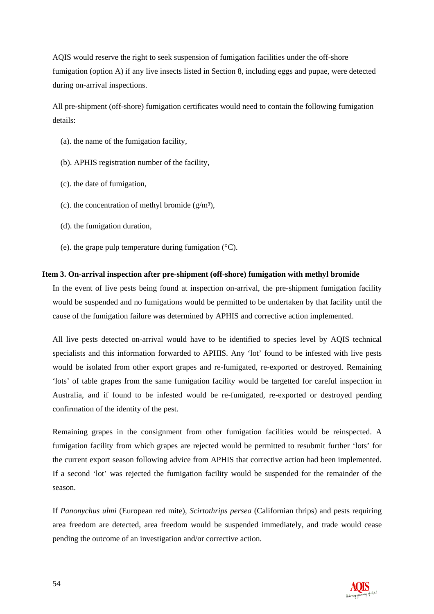AQIS would reserve the right to seek suspension of fumigation facilities under the off-shore fumigation (option A) if any live insects listed in Section 8, including eggs and pupae, were detected during on-arrival inspections.

All pre-shipment (off-shore) fumigation certificates would need to contain the following fumigation details:

- (a). the name of the fumigation facility,
- (b). APHIS registration number of the facility,
- (c). the date of fumigation,
- (c). the concentration of methyl bromide  $(g/m<sup>3</sup>)$ ,
- (d). the fumigation duration,
- (e). the grape pulp temperature during fumigation  $({}^{\circ}C)$ .

#### **Item 3. On-arrival inspection after pre-shipment (off-shore) fumigation with methyl bromide**

In the event of live pests being found at inspection on-arrival, the pre-shipment fumigation facility would be suspended and no fumigations would be permitted to be undertaken by that facility until the cause of the fumigation failure was determined by APHIS and corrective action implemented.

All live pests detected on-arrival would have to be identified to species level by AQIS technical specialists and this information forwarded to APHIS. Any 'lot' found to be infested with live pests would be isolated from other export grapes and re-fumigated, re-exported or destroyed. Remaining 'lots' of table grapes from the same fumigation facility would be targetted for careful inspection in Australia, and if found to be infested would be re-fumigated, re-exported or destroyed pending confirmation of the identity of the pest.

Remaining grapes in the consignment from other fumigation facilities would be reinspected. A fumigation facility from which grapes are rejected would be permitted to resubmit further 'lots' for the current export season following advice from APHIS that corrective action had been implemented. If a second 'lot' was rejected the fumigation facility would be suspended for the remainder of the season.

If *Panonychus ulmi* (European red mite), *Scirtothrips persea* (Californian thrips) and pests requiring area freedom are detected, area freedom would be suspended immediately, and trade would cease pending the outcome of an investigation and/or corrective action.

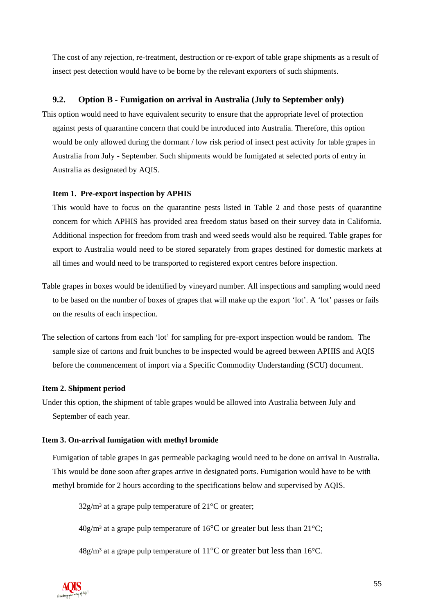The cost of any rejection, re-treatment, destruction or re-export of table grape shipments as a result of insect pest detection would have to be borne by the relevant exporters of such shipments.

#### **9.2. Option B - Fumigation on arrival in Australia (July to September only)**

This option would need to have equivalent security to ensure that the appropriate level of protection against pests of quarantine concern that could be introduced into Australia. Therefore, this option would be only allowed during the dormant / low risk period of insect pest activity for table grapes in Australia from July - September. Such shipments would be fumigated at selected ports of entry in Australia as designated by AQIS.

#### **Item 1. Pre-export inspection by APHIS**

This would have to focus on the quarantine pests listed in Table 2 and those pests of quarantine concern for which APHIS has provided area freedom status based on their survey data in California. Additional inspection for freedom from trash and weed seeds would also be required. Table grapes for export to Australia would need to be stored separately from grapes destined for domestic markets at all times and would need to be transported to registered export centres before inspection.

- Table grapes in boxes would be identified by vineyard number. All inspections and sampling would need to be based on the number of boxes of grapes that will make up the export 'lot'. A 'lot' passes or fails on the results of each inspection.
- The selection of cartons from each 'lot' for sampling for pre-export inspection would be random. The sample size of cartons and fruit bunches to be inspected would be agreed between APHIS and AQIS before the commencement of import via a Specific Commodity Understanding (SCU) document.

#### **Item 2. Shipment period**

Under this option, the shipment of table grapes would be allowed into Australia between July and September of each year.

#### **Item 3. On-arrival fumigation with methyl bromide**

Fumigation of table grapes in gas permeable packaging would need to be done on arrival in Australia. This would be done soon after grapes arrive in designated ports. Fumigation would have to be with methyl bromide for 2 hours according to the specifications below and supervised by AQIS.

 $32g/m<sup>3</sup>$  at a grape pulp temperature of  $21^{\circ}$ C or greater;

 $40g/m<sup>3</sup>$  at a grape pulp temperature of 16<sup>o</sup>C or greater but less than 21<sup>o</sup>C;

 $48g/m<sup>3</sup>$  at a grape pulp temperature of  $11^{\circ}$ C or greater but less than 16<sup>o</sup>C.

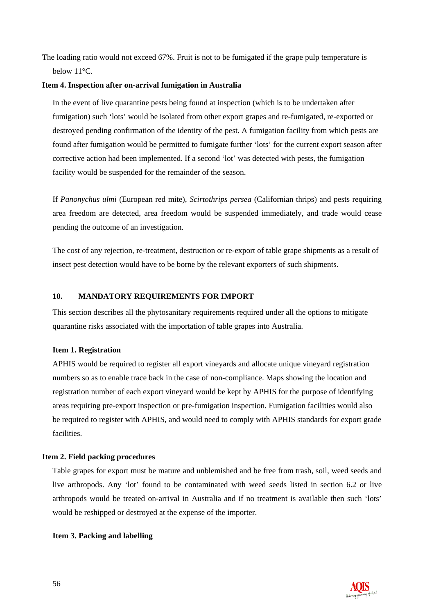The loading ratio would not exceed 67%. Fruit is not to be fumigated if the grape pulp temperature is below 11°C.

#### **Item 4. Inspection after on-arrival fumigation in Australia**

In the event of live quarantine pests being found at inspection (which is to be undertaken after fumigation) such 'lots' would be isolated from other export grapes and re-fumigated, re-exported or destroyed pending confirmation of the identity of the pest. A fumigation facility from which pests are found after fumigation would be permitted to fumigate further 'lots' for the current export season after corrective action had been implemented. If a second 'lot' was detected with pests, the fumigation facility would be suspended for the remainder of the season.

If *Panonychus ulmi* (European red mite), *Scirtothrips persea* (Californian thrips) and pests requiring area freedom are detected, area freedom would be suspended immediately, and trade would cease pending the outcome of an investigation.

The cost of any rejection, re-treatment, destruction or re-export of table grape shipments as a result of insect pest detection would have to be borne by the relevant exporters of such shipments.

#### **10. MANDATORY REQUIREMENTS FOR IMPORT**

This section describes all the phytosanitary requirements required under all the options to mitigate quarantine risks associated with the importation of table grapes into Australia.

#### **Item 1. Registration**

APHIS would be required to register all export vineyards and allocate unique vineyard registration numbers so as to enable trace back in the case of non-compliance. Maps showing the location and registration number of each export vineyard would be kept by APHIS for the purpose of identifying areas requiring pre-export inspection or pre-fumigation inspection. Fumigation facilities would also be required to register with APHIS, and would need to comply with APHIS standards for export grade facilities.

#### **Item 2. Field packing procedures**

Table grapes for export must be mature and unblemished and be free from trash, soil, weed seeds and live arthropods. Any 'lot' found to be contaminated with weed seeds listed in section 6.2 or live arthropods would be treated on-arrival in Australia and if no treatment is available then such 'lots' would be reshipped or destroyed at the expense of the importer.

#### **Item 3. Packing and labelling**

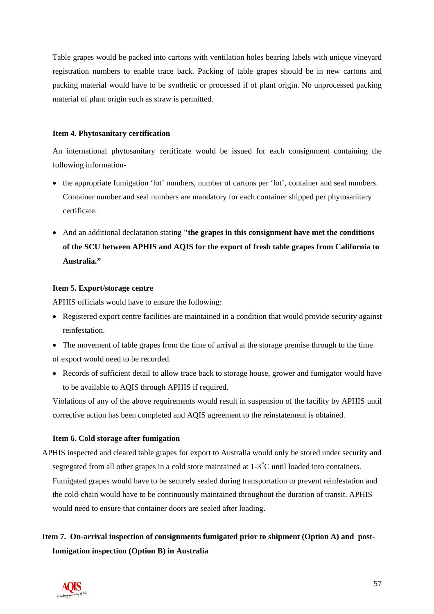Table grapes would be packed into cartons with ventilation holes bearing labels with unique vineyard registration numbers to enable trace back. Packing of table grapes should be in new cartons and packing material would have to be synthetic or processed if of plant origin. No unprocessed packing material of plant origin such as straw is permitted.

#### **Item 4. Phytosanitary certification**

An international phytosanitary certificate would be issued for each consignment containing the following information-

- the appropriate fumigation 'lot' numbers, number of cartons per 'lot', container and seal numbers. Container number and seal numbers are mandatory for each container shipped per phytosanitary certificate.
- And an additional declaration stating **"the grapes in this consignment have met the conditions of the SCU between APHIS and AQIS for the export of fresh table grapes from California to Australia."**

#### **Item 5. Export/storage centre**

APHIS officials would have to ensure the following:

- Registered export centre facilities are maintained in a condition that would provide security against reinfestation.
- The movement of table grapes from the time of arrival at the storage premise through to the time of export would need to be recorded.
- Records of sufficient detail to allow trace back to storage house, grower and fumigator would have to be available to AQIS through APHIS if required.

Violations of any of the above requirements would result in suspension of the facility by APHIS until corrective action has been completed and AQIS agreement to the reinstatement is obtained.

#### **Item 6. Cold storage after fumigation**

APHIS inspected and cleared table grapes for export to Australia would only be stored under security and segregated from all other grapes in a cold store maintained at 1-3<sup>°</sup>C until loaded into containers. Fumigated grapes would have to be securely sealed during transportation to prevent reinfestation and the cold-chain would have to be continuously maintained throughout the duration of transit. APHIS would need to ensure that container doors are sealed after loading.

### **Item 7. On-arrival inspection of consignments fumigated prior to shipment (Option A) and postfumigation inspection (Option B) in Australia**

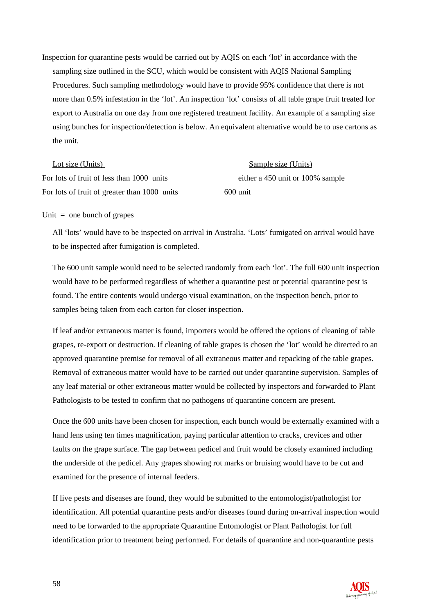Inspection for quarantine pests would be carried out by AQIS on each 'lot' in accordance with the sampling size outlined in the SCU, which would be consistent with AQIS National Sampling Procedures. Such sampling methodology would have to provide 95% confidence that there is not more than 0.5% infestation in the 'lot'. An inspection 'lot' consists of all table grape fruit treated for export to Australia on one day from one registered treatment facility. An example of a sampling size using bunches for inspection/detection is below. An equivalent alternative would be to use cartons as the unit.

| Lot size (Units)                             | Sample size (Units)              |
|----------------------------------------------|----------------------------------|
| For lots of fruit of less than 1000 units    | either a 450 unit or 100% sample |
| For lots of fruit of greater than 1000 units | $600$ unit                       |

#### Unit  $=$  one bunch of grapes

All 'lots' would have to be inspected on arrival in Australia. 'Lots' fumigated on arrival would have to be inspected after fumigation is completed.

The 600 unit sample would need to be selected randomly from each 'lot'. The full 600 unit inspection would have to be performed regardless of whether a quarantine pest or potential quarantine pest is found. The entire contents would undergo visual examination, on the inspection bench, prior to samples being taken from each carton for closer inspection.

If leaf and/or extraneous matter is found, importers would be offered the options of cleaning of table grapes, re-export or destruction. If cleaning of table grapes is chosen the 'lot' would be directed to an approved quarantine premise for removal of all extraneous matter and repacking of the table grapes. Removal of extraneous matter would have to be carried out under quarantine supervision. Samples of any leaf material or other extraneous matter would be collected by inspectors and forwarded to Plant Pathologists to be tested to confirm that no pathogens of quarantine concern are present.

Once the 600 units have been chosen for inspection, each bunch would be externally examined with a hand lens using ten times magnification, paying particular attention to cracks, crevices and other faults on the grape surface. The gap between pedicel and fruit would be closely examined including the underside of the pedicel. Any grapes showing rot marks or bruising would have to be cut and examined for the presence of internal feeders.

If live pests and diseases are found, they would be submitted to the entomologist/pathologist for identification. All potential quarantine pests and/or diseases found during on-arrival inspection would need to be forwarded to the appropriate Quarantine Entomologist or Plant Pathologist for full identification prior to treatment being performed. For details of quarantine and non-quarantine pests

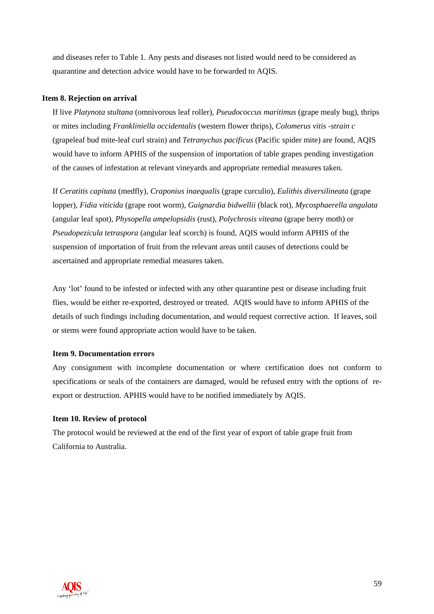and diseases refer to Table 1. Any pests and diseases not listed would need to be considered as quarantine and detection advice would have to be forwarded to AQIS.

#### **Item 8. Rejection on arrival**

If live *Platynota stultana* (omnivorous leaf roller), *Pseudococcus maritimus* (grape mealy bug), thrips or mites including *Frankliniella occidentalis* (western flower thrips), *Colomerus vitis -strain c* (grapeleaf bud mite-leaf curl strain) and *Tetranychus pacificus* (Pacific spider mite) are found, AQIS would have to inform APHIS of the suspension of importation of table grapes pending investigation of the causes of infestation at relevant vineyards and appropriate remedial measures taken.

If *Ceratitis capitata* (medfly), *Craponius inaequalis* (grape curculio), *Eulithis diversilineata* (grape lopper), *Fidia viticida* (grape root worm), *Guignardia bidwellii* (black rot), *Mycosphaerella angulata* (angular leaf spot), *Physopella ampelopsidis* (rust), *Polychrosis viteana* (grape berry moth) or *Pseudopezicula tetraspora* (angular leaf scorch) is found, AQIS would inform APHIS of the suspension of importation of fruit from the relevant areas until causes of detections could be ascertained and appropriate remedial measures taken.

Any 'lot' found to be infested or infected with any other quarantine pest or disease including fruit flies, would be either re-exported, destroyed or treated. AQIS would have to inform APHIS of the details of such findings including documentation, and would request corrective action. If leaves, soil or stems were found appropriate action would have to be taken.

#### **Item 9. Documentation errors**

Any consignment with incomplete documentation or where certification does not conform to specifications or seals of the containers are damaged, would be refused entry with the options of reexport or destruction. APHIS would have to be notified immediately by AQIS.

#### **Item 10. Review of protocol**

The protocol would be reviewed at the end of the first year of export of table grape fruit from California to Australia.